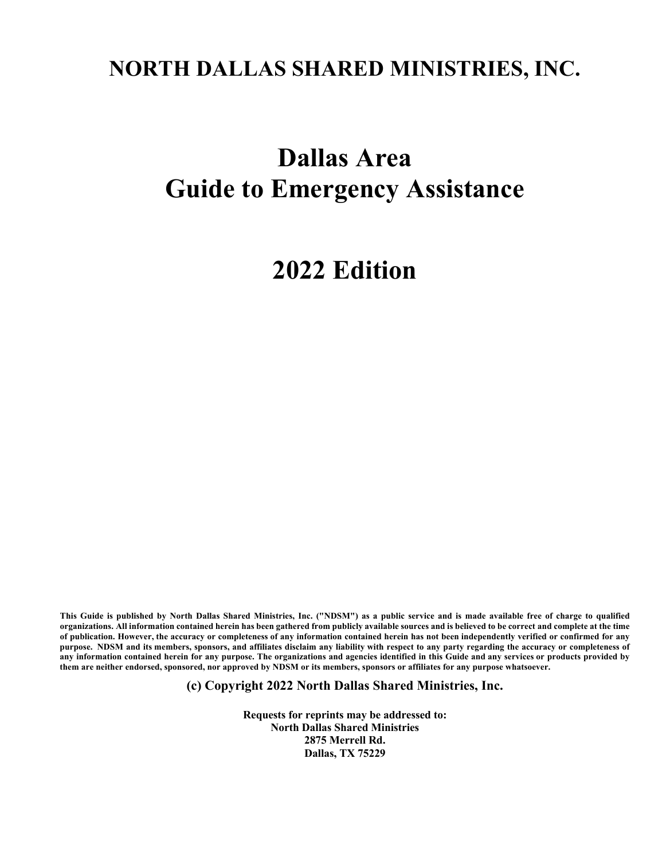## **NORTH DALLAS SHARED MINISTRIES, INC.**

# **Dallas Area Guide to Emergency Assistance**

## **2022 Edition**

This Guide is published by North Dallas Shared Ministries, Inc. ("NDSM") as a public service and is made available free of charge to qualified organizations. All information contained herein has been gathered from publicly available sources and is believed to be correct and complete at the time of publication. However, the accuracy or completeness of any information contained herein has not been independently verified or confirmed for any purpose. NDSM and its members, sponsors, and affiliates disclaim any liability with respect to any party regarding the accuracy or completeness of any information contained herein for any purpose. The organizations and agencies identified in this Guide and any services or products provided by them are neither endorsed, sponsored, nor approved by NDSM or its members, sponsors or affiliates for any purpose whatsoever.

**(c) Copyright 2022 North Dallas Shared Ministries, Inc.**

**Requests for reprints may be addressed to: North Dallas Shared Ministries 2875 Merrell Rd. Dallas, TX 75229**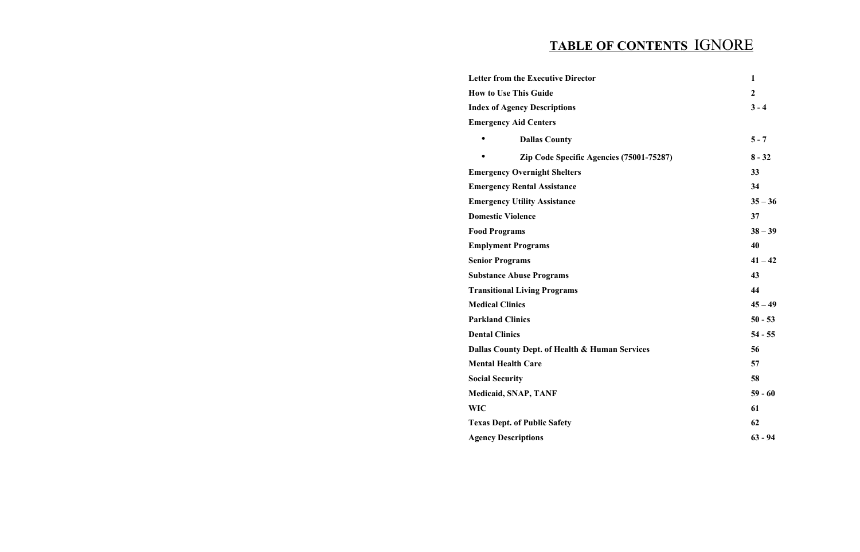## **TABLE OF CONTENTS** IGNORE

**Letter from the Executive Director 1 How to Use This Guide 2 Index of Agency Descriptions 3 - 4 Emergency Aid Centers** • **Dallas County 5 - 7** • **Zip** Code Specific Agencies (75001 **Emergency Overnight Shelters 33 Emergency Rental Assistance 34 Emergency Utility Assistance 35 – 36 Domestic Violence 37 Food Programs Emplyment Programs Senior Programs Substance Abuse Programs 43 Transitional Living Programs 44 Medical Clinics 45 – 49 Parkland Clinics Dental Clinics Dallas County Dept. of Health & Human Service Mental Health Care Social Security Medicaid, SNAP, TANF WIC 61 Texas Dept. of Public Safety 62 Agency Descriptions 63 - 94**

|             | $\mathbf{1}$     |
|-------------|------------------|
|             | $\boldsymbol{2}$ |
|             | $3 - 4$          |
|             |                  |
|             | $5 - 7$          |
| $1 - 75287$ | $8 - 32$         |
|             | 33               |
|             | 34               |
|             | $35 - 36$        |
|             | 37               |
|             | $38 - 39$        |
|             | 40               |
|             | $41 - 42$        |
|             | 43               |
|             | 44               |
|             | $45 - 49$        |
|             | $50 - 53$        |
|             | $54 - 55$        |
| es          | 56               |
|             | 57               |
|             | 58               |
|             | $59 - 60$        |
|             | 61               |
|             | 62               |
|             | $63 - 94$        |
|             |                  |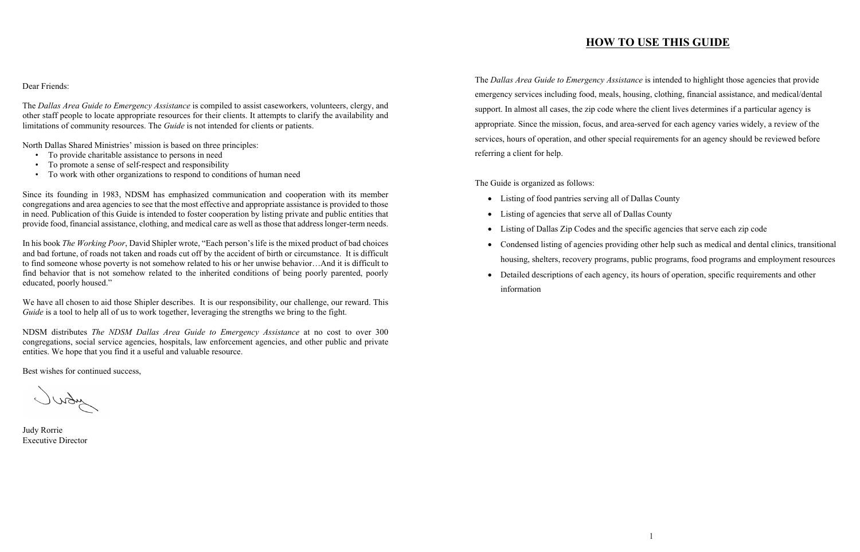Dear Friends:

The *Dallas Area Guide to Emergency Assistance* is compiled to assist caseworkers, volunteers, clergy, and other staff people to locate appropriate resources for their clients. It attempts to clarify the availability and limitations of community resources. The *Guide* is not intended for clients or patients.

Since its founding in 1983, NDSM has emphasized communication and cooperation with its member congregations and area agencies to see that the most effective and appropriate assistance is provided to those in need. Publication of this Guide is intended to foster cooperation by listing private and public entities that provide food, financial assistance, clothing, and medical care as well as those that address longer-term needs.

North Dallas Shared Ministries' mission is based on three principles:

- To provide charitable assistance to persons in need
- To promote a sense of self-respect and responsibility
- To work with other organizations to respond to conditions of human need

In his book *The Working Poor*, David Shipler wrote, "Each person's life is the mixed product of bad choices and bad fortune, of roads not taken and roads cut off by the accident of birth or circumstance. It is difficult to find someone whose poverty is not somehow related to his or her unwise behavior…And it is difficult to find behavior that is not somehow related to the inherited conditions of being poorly parented, poorly educated, poorly housed."

We have all chosen to aid those Shipler describes. It is our responsibility, our challenge, our reward. This *Guide* is a tool to help all of us to work together, leveraging the strengths we bring to the fight.

• Condensed listing of agencies providing other help such as medical and dental clinics, transitional housing, shelters, recovery programs, public programs, food programs and employment resources • Detailed descriptions of each agency, its hours of operation, specific requirements and other

NDSM distributes *The NDSM Dallas Area Guide to Emergency Assistance* at no cost to over 300 congregations, social service agencies, hospitals, law enforcement agencies, and other public and private entities. We hope that you find it a useful and valuable resource.

Best wishes for continued success,

Judy Rorrie Executive Director

## **HOW TO USE THIS GUIDE**

The *Dallas Area Guide to Emergency Assistance* is intended to highlight those agencies that provide emergency services including food, meals, housing, clothing, financial assistance, and medical/dental support. In almost all cases, the zip code where the client lives determines if a particular agency is appropriate. Since the mission, focus, and area-served for each agency varies widely, a review of the services, hours of operation, and other special requirements for an agency should be reviewed before referring a client for help.

The Guide is organized as follows:

- Listing of food pantries serving all of Dallas County
- Listing of agencies that serve all of Dallas County
- Listing of Dallas Zip Codes and the specific agencies that serve each zip code
- 
- information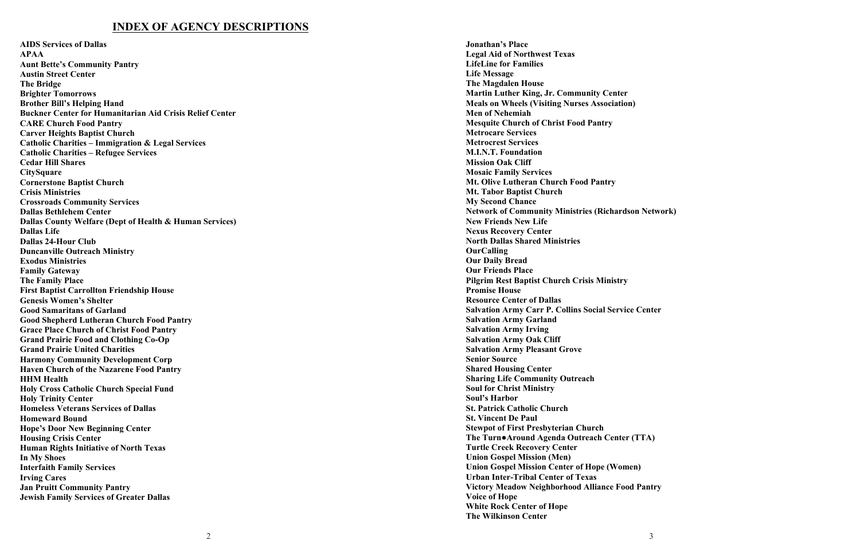## **INDEX OF AGENCY DESCRIPTIONS**

**AIDS Services of Dallas APAA Aunt Bette's Community Pantry Austin Street Center The Bridge Brighter Tomorrows Brother Bill's Helping Hand Buckner Center for Humanitarian Aid Crisis Relief Center CARE Church Food Pantry Carver Heights Baptist Church Catholic Charities – Immigration & Legal Services Catholic Charities – Refugee Services Cedar Hill Shares CitySquare Cornerstone Baptist Church Crisis Ministries Crossroads Community Services Dallas Bethlehem Center Dallas County Welfare (Dept of Health & Human Services) Dallas Life Dallas 24 -Hour Club Duncanville Outreach Ministry Exodus Ministries Family Gateway The Family Place First Baptist Carrollton Friendship House Genesis Women's Shelter Good Samaritans of Garland Good Shepherd Lutheran Church Food Pantry Grace Place Church of Christ Food Pantry Grand Prairie Food and Clothing Co -Op Grand Prairie United Charities Harmony Community Development Corp Haven Church of the Nazarene Food Pantry HHM Health Holy Cross Catholic Church Special Fund Holy Trinity Center Homeless Veterans Service s of Dallas Homeward Bound Hope' s Door New Beginning Center Housing Crisis Center Human Rights Initiative of North Texas In My Shoes Interfaith Family Services Irving Cares Jan Pruitt Community Pantry Jewish Family Services of Greater Dallas**

**Jonathan's Place Legal Aid of Northwest Texas LifeLine for Families Life Message The Magdalen House Martin Luther King, Jr. Community Center Meals on Wheels (Visiting Nurses Association) Men of Nehemiah Mesquite Church of Christ Food Pantry Metrocare Services Metrocrest Services M.I.N.T. Foundation Mission Oak Cliff Mosaic Family Services Mt. Olive Lutheran Church Food Pantry Mt. Tabor Baptist Church My Second Chance Network of Community Ministries (Richardson Network) New Friends New Life Nexus Recovery Center North Dallas Shared Ministries OurCalling Our Daily Bread Our Friends Place Pilgrim Rest Baptist Church Crisi s Ministry Promise House Resource Center of Dallas Salvation Army Carr P. Collins Social Service Center Salvation Army Garland Salvation Army Irving Salvation Army Oak Cliff Salvation Army Pleasant Grove Senior Source Shared Housing Center Sharing Life Community Outreach Soul for Christ Ministr y Soul's Harbor St. Patrick Catholic Church St. Vincent De Paul Stewpot of First Presbyterian Church The Turn● Around Agenda Outreach Center (TTA ) Turtle Creek Recovery Center Union Gospel Mission (Men) Union Gospel Mission Center of Hope (Women) Urban Inter -Tribal Center of Texas Victory Meadow Neighborhood Alliance Food Pantry Voice of Hope White Rock Center of Hope The Wilkinson Center**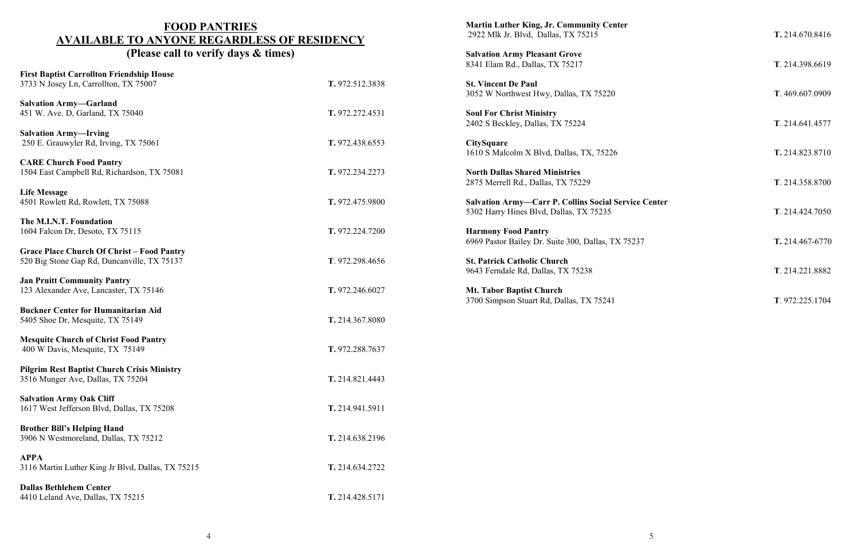## **FOOD PANTRIES AVAILABLE TO ANYONE REGARDLESS OF RESIDENCY (Please call to verify days & times)**

| <b>First Baptist Carrollton Friendship House</b><br>3733 N Josey Ln, Carrollton, TX 75007        | T. 972.512.3838 |
|--------------------------------------------------------------------------------------------------|-----------------|
| <b>Salvation Army-Garland</b><br>451 W. Ave. D, Garland, TX 75040                                | T. 972.272.4531 |
| <b>Salvation Army-Irving</b><br>250 E. Grauwyler Rd, Irving, TX 75061                            | T. 972.438.6553 |
| <b>CARE Church Food Pantry</b><br>1504 East Campbell Rd, Richardson, TX 75081                    | T. 972.234.2273 |
| <b>Life Message</b><br>4501 Rowlett Rd, Rowlett, TX 75088                                        | T. 972.475.9800 |
| The M.I.N.T. Foundation<br>1604 Falcon Dr, Desoto, TX 75115                                      | T. 972.224.7200 |
| <b>Grace Place Church Of Christ - Food Pantry</b><br>520 Big Stone Gap Rd, Duncanville, TX 75137 | T. 972.298.4656 |
| <b>Jan Pruitt Community Pantry</b><br>123 Alexander Ave, Lancaster, TX 75146                     | T. 972.246.6027 |
| <b>Buckner Center for Humanitarian Aid</b><br>5405 Shoe Dr, Mesquite, TX 75149                   | T. 214.367.8080 |
| <b>Mesquite Church of Christ Food Pantry</b><br>400 W Davis, Mesquite, TX 75149                  | T. 972.288.7637 |
| <b>Pilgrim Rest Baptist Church Crisis Ministry</b><br>3516 Munger Ave, Dallas, TX 75204          | T. 214.821.4443 |
| <b>Salvation Army Oak Cliff</b><br>1617 West Jefferson Blvd, Dallas, TX 75208                    | T. 214.941.5911 |
| <b>Brother Bill's Helping Hand</b><br>3906 N Westmoreland, Dallas, TX 75212                      | T. 214.638.2196 |
| <b>APPA</b><br>3116 Martin Luther King Jr Blvd, Dallas, TX 75215                                 | T. 214.634.2722 |
| <b>Dallas Bethlehem Center</b><br>4410 Leland Ave, Dallas, TX 75215                              | T. 214.428.5171 |

**Martin Luther King, Jr. Community Center** 2922 Mlk Jr. Blvd, Dallas, TX 75215 **T.** 214.670.8416

**Salvation Army Pleasant Grove** 8341 Elam Rd., Dallas, TX 75217 **T**. 214.398.6619

**St. Vincent De Paul** 3052 W Northwest Hwy, Dallas, TX 75220 **T**. 469.607.0909

**Soul For Christ Ministry** 2402 S Beckley, Dallas, TX 75224 **T**. 214.641.4577

**CitySquare** 1610 S Malcolm X Blvd, Dallas, TX, 75226 **T.** 214.823.8710

**North Dallas Shared Ministries** 2875 Merrell Rd., Dallas, TX 75229 **T**. 214.358.8700

**Salvation Army—Carr P. Collins Social Service Center** 5302 Harry Hines Blvd, Dallas, TX 75235 **T**. 214.424.7050

**Harmony Food Pantry** 6969 Pastor Bailey Dr. Suite 300, Dallas, TX 75237 **T.** 214.467-6770

**St. Patrick Catholic Church** 9643 Ferndale Rd, Dallas, TX 75238 **T**. 214.221.8882

**Mt. Tabor Baptist Church** 3700 Simpson Stuart Rd, Dallas, TX 75241 **T**. 972.225.1704

- 
- 
- 
- 
- 
- 
- 
- 
- 
-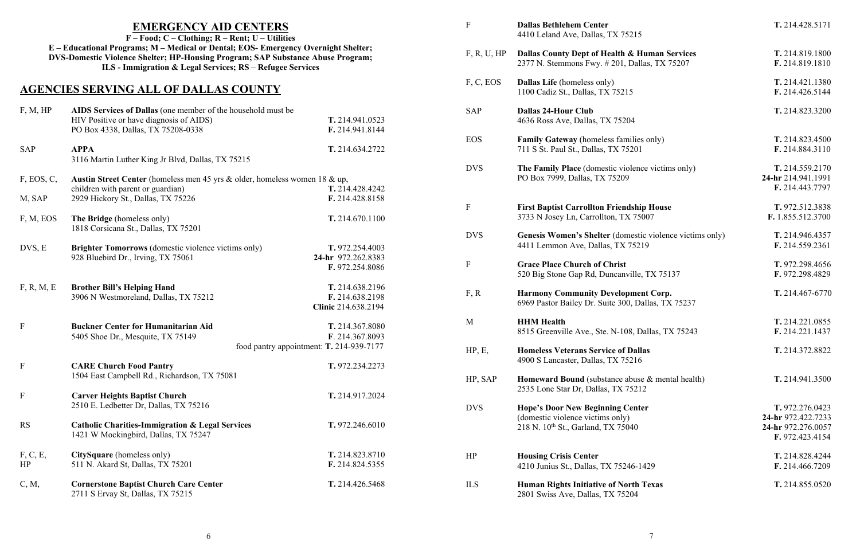|             | <b>EMERGENCY AID CENTERS</b><br>$F - Food; C - Clothing; R - Rent; U - Utilities$                                                                                                                                                  |                                          | $\mathbf F$ | <b>Dallas Bethlehem Center</b><br>4410 Leland Ave, Dallas, TX 75215               |
|-------------|------------------------------------------------------------------------------------------------------------------------------------------------------------------------------------------------------------------------------------|------------------------------------------|-------------|-----------------------------------------------------------------------------------|
|             | E - Educational Programs; M - Medical or Dental; EOS- Emergency Overnight Shelter;<br>DVS-Domestic Violence Shelter; HP-Housing Program; SAP Substance Abuse Program;<br>ILS - Immigration & Legal Services; RS – Refugee Services |                                          | F, R, U, HP | Dallas County Dept of Health & Hu<br>2377 N. Stemmons Fwy. #201, Dalla            |
|             | <b>AGENCIES SERVING ALL OF DALLAS COUNTY</b>                                                                                                                                                                                       |                                          | F, C, EOS   | <b>Dallas Life</b> (homeless only)<br>1100 Cadiz St., Dallas, TX 75215            |
| F, M, HP    | AIDS Services of Dallas (one member of the household must be                                                                                                                                                                       |                                          | <b>SAP</b>  | <b>Dallas 24-Hour Club</b>                                                        |
|             | HIV Positive or have diagnosis of AIDS)<br>PO Box 4338, Dallas, TX 75208-0338                                                                                                                                                      | T. 214.941.0523<br>F. 214.941.8144       |             | 4636 Ross Ave, Dallas, TX 75204                                                   |
|             |                                                                                                                                                                                                                                    |                                          | <b>EOS</b>  | Family Gateway (homeless families                                                 |
| <b>SAP</b>  | <b>APPA</b>                                                                                                                                                                                                                        | T. 214.634.2722                          |             | 711 S St. Paul St., Dallas, TX 75201                                              |
|             | 3116 Martin Luther King Jr Blvd, Dallas, TX 75215                                                                                                                                                                                  |                                          | <b>DVS</b>  | The Family Place (domestic violence                                               |
| F, EOS, C,  | Austin Street Center (homeless men 45 yrs & older, homeless women 18 & up,                                                                                                                                                         |                                          |             | PO Box 7999, Dallas, TX 75209                                                     |
|             | children with parent or guardian)                                                                                                                                                                                                  | T. 214.428.4242                          |             |                                                                                   |
| M, SAP      | 2929 Hickory St., Dallas, TX 75226                                                                                                                                                                                                 | F. 214.428.8158                          |             |                                                                                   |
|             |                                                                                                                                                                                                                                    |                                          | $\mathbf F$ | <b>First Baptist Carrollton Friendship</b><br>3733 N Josey Ln, Carrollton, TX 750 |
| F, M, EOS   | The Bridge (homeless only)<br>1818 Corsicana St., Dallas, TX 75201                                                                                                                                                                 | T. 214.670.1100                          |             |                                                                                   |
|             |                                                                                                                                                                                                                                    |                                          | <b>DVS</b>  | <b>Genesis Women's Shelter (domestic</b>                                          |
| DVS, E      | <b>Brighter Tomorrows</b> (domestic violence victims only)                                                                                                                                                                         | T. 972.254.4003                          |             | 4411 Lemmon Ave, Dallas, TX 75219                                                 |
|             | 928 Bluebird Dr., Irving, TX 75061                                                                                                                                                                                                 | 24-hr 972.262.8383                       |             |                                                                                   |
|             |                                                                                                                                                                                                                                    | F. 972.254.8086                          | $\mathbf F$ | <b>Grace Place Church of Christ</b><br>520 Big Stone Gap Rd, Duncanville,         |
| F, R, M, E  | <b>Brother Bill's Helping Hand</b>                                                                                                                                                                                                 | T. 214.638.2196                          |             |                                                                                   |
|             | 3906 N Westmoreland, Dallas, TX 75212                                                                                                                                                                                              | F. 214.638.2198                          | F, R        | <b>Harmony Community Developmen</b><br>6969 Pastor Bailey Dr. Suite 300, Dal      |
|             |                                                                                                                                                                                                                                    | Clinic 214.638.2194                      |             |                                                                                   |
| $\mathbf F$ | <b>Buckner Center for Humanitarian Aid</b>                                                                                                                                                                                         | T. 214.367.8080                          | M           | <b>HHM Health</b>                                                                 |
|             | 5405 Shoe Dr., Mesquite, TX 75149                                                                                                                                                                                                  | F. 214.367.8093                          |             | 8515 Greenville Ave., Ste. N-108, Da                                              |
|             |                                                                                                                                                                                                                                    | food pantry appointment: T. 214-939-7177 | HP, E,      | <b>Homeless Veterans Service of Dalla</b>                                         |
| $\mathbf F$ | <b>CARE Church Food Pantry</b>                                                                                                                                                                                                     | T. 972.234.2273                          |             | 4900 S Lancaster, Dallas, TX 75216                                                |
|             | 1504 East Campbell Rd., Richardson, TX 75081                                                                                                                                                                                       |                                          | HP, SAP     | Homeward Bound (substance abuse                                                   |
| $\mathbf F$ | <b>Carver Heights Baptist Church</b>                                                                                                                                                                                               | T. 214.917.2024                          |             | 2535 Lone Star Dr, Dallas, TX 75212                                               |
|             | 2510 E. Ledbetter Dr, Dallas, TX 75216                                                                                                                                                                                             |                                          | <b>DVS</b>  | <b>Hope's Door New Beginning Center</b>                                           |
| <b>RS</b>   | <b>Catholic Charities-Immigration &amp; Legal Services</b><br>1421 W Mockingbird, Dallas, TX 75247                                                                                                                                 | T. 972.246.6010                          |             | (domestic violence victims only)<br>218 N. 10th St., Garland, TX 75040            |
| F, C, E,    | CitySquare (homeless only)                                                                                                                                                                                                         | T. 214.823.8710                          | HP          | <b>Housing Crisis Center</b>                                                      |
| HP          | 511 N. Akard St, Dallas, TX 75201                                                                                                                                                                                                  | F. 214.824.5355                          |             | 4210 Junius St., Dallas, TX 75246-14                                              |
| C, M,       | <b>Cornerstone Baptist Church Care Center</b><br>2711 S Ervay St, Dallas, TX 75215                                                                                                                                                 | T. 214.426.5468                          | <b>ILS</b>  | <b>Human Rights Initiative of North T</b><br>2801 Swiss Ave, Dallas, TX 75204     |

# **237** Human Services<br>Ilas, TX 75207

**T.** 214.946.4357<br>19 **F.** 214.559.2361

 $9$ allas, TX 75237

F **Dallas Bethlehem Center T.** 214.428.5171 F, R, U, HP **Dallas County Dept of Health & Human Services T.** 214.819.1800 F, C, EOS **Dallas Life** (homeless only) **T.** 214.421.1380 F. 214.426.5144 SAP **Dallas 24-Hour Club T.** 214.823.3200 **Families Families Families Families families families families families families families only) <b>T.** 214.823.4500 F. 214.884.3110 **Family Family Place** victims only) **Place Place Place Place Place Place Place Place Place Place Place Place Place Place Place Place Place Place Place Place Place Place Place** 24-hr 214.941.1991 **F.** 214.443.7797 **FRIEND ISLAM EXAMPLE 1.855.512.3838**<br> **F.** 1.855.512.3700 F. 1.855.512.3700 F. 214.559.2361 **F.** 972.298.4656<br>**F.** 972.298.4829 520 Big Stone Gap Rd, Duncanville, TX 75137 **F.** 972.298.4829 F, R **Harmony Community Development Corp. T.** 214.467-6770 **T.** 214.221.0855<br> **Health Health Health Health Health Health Health Health Health Health Health Health Health Healt** 8515 Greenville Ave., Ste. N-108, Dallas, TX 75243 **F.** 214.221.1437 HP, E, **Homeless Veterans Service of Dallas T.** 214.372.8822 **Homeward Boundary Boundary Boundary <b>Boundary Boundary Boundary Boundary Boundary Boundary Boundary Boundary Boundary Boundary Boundary Boundary Boundary Boundary Boundary Boundary Bo home Example 1.** 972.276.0423 (domestic violence victims only) **24-hr** 972.422.7233 24-hr 972.276.0057 **F.** 972.423.4154 **T.** 214.828.4244<br>**F.** 214.466.7209 4210 Junius St., Dallas, TX 75246-1429 **F.** 214.466.7209

ILS **Human Rights Initiative of North Texas T.** 214.855.0520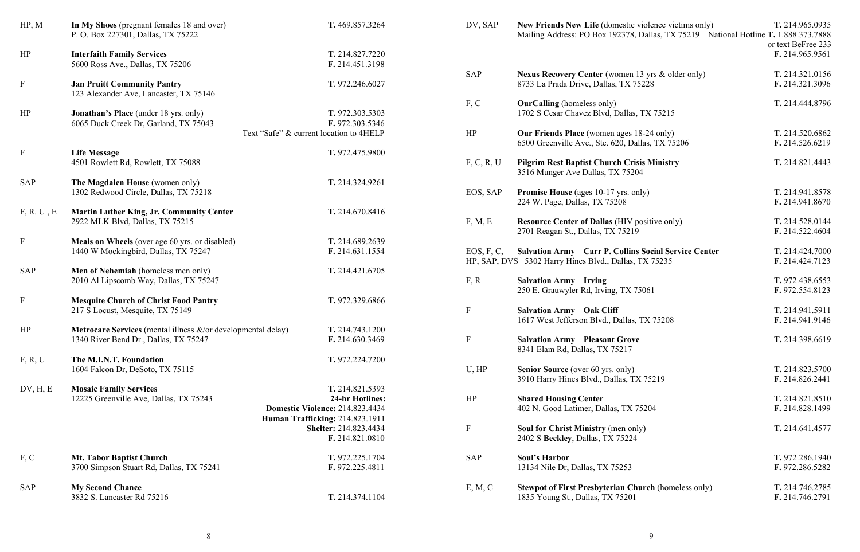| HP, M                     | In My Shoes (pregnant females 18 and over)<br>P. O. Box 227301, Dallas, TX 75222              | T. 469.857.3264                                            | DV, SAP     | <b>New Friends New Life (domestic)</b><br>Mailing Address: PO Box 192378,      |
|---------------------------|-----------------------------------------------------------------------------------------------|------------------------------------------------------------|-------------|--------------------------------------------------------------------------------|
| HP                        | <b>Interfaith Family Services</b>                                                             | T. 214.827.7220                                            |             |                                                                                |
|                           | 5600 Ross Ave., Dallas, TX 75206                                                              | F. 214.451.3198                                            | <b>SAP</b>  | <b>Nexus Recovery Center (women)</b>                                           |
| $\mathbf F$               | <b>Jan Pruitt Community Pantry</b><br>123 Alexander Ave, Lancaster, TX 75146                  | T. 972.246.6027                                            |             | 8733 La Prada Drive, Dallas, TX 7                                              |
| HP                        | <b>Jonathan's Place</b> (under 18 yrs. only)                                                  | T. 972.303.5303                                            | F, C        | <b>OurCalling</b> (homeless only)<br>1702 S Cesar Chavez Blvd, Dallas,         |
|                           | 6065 Duck Creek Dr, Garland, TX 75043                                                         | F. 972.303.5346<br>Text "Safe" & current location to 4HELP | HP          | <b>Our Friends Place</b> (women ages 1                                         |
| $\boldsymbol{\mathrm{F}}$ | <b>Life Message</b>                                                                           | T. 972.475.9800                                            |             | 6500 Greenville Ave., Ste. 620, Da                                             |
|                           | 4501 Rowlett Rd, Rowlett, TX 75088                                                            |                                                            | F, C, R, U  | <b>Pilgrim Rest Baptist Church Cris</b><br>3516 Munger Ave Dallas, TX 7520     |
| <b>SAP</b>                | The Magdalen House (women only)                                                               | T. 214.324.9261                                            |             |                                                                                |
|                           | 1302 Redwood Circle, Dallas, TX 75218                                                         |                                                            | EOS, SAP    | Promise House (ages 10-17 yrs. or<br>224 W. Page, Dallas, TX 75208             |
| F, R, U, E                | <b>Martin Luther King, Jr. Community Center</b>                                               | T. 214.670.8416                                            |             |                                                                                |
|                           | 2922 MLK Blvd, Dallas, TX 75215                                                               |                                                            | F, M, E     | <b>Resource Center of Dallas (HIV p</b><br>2701 Reagan St., Dallas, TX 75219   |
| $\mathbf{F}$              | <b>Meals on Wheels</b> (over age 60 yrs. or disabled)<br>1440 W Mockingbird, Dallas, TX 75247 | T. 214.689.2639<br>F. 214.631.1554                         | EOS, F, C,  | <b>Salvation Army-Carr P. Collins</b>                                          |
|                           |                                                                                               |                                                            |             | HP, SAP, DVS 5302 Harry Hines Blvd., Dallas,                                   |
| <b>SAP</b>                | Men of Nehemiah (homeless men only)                                                           | T. 214.421.6705                                            |             |                                                                                |
|                           | 2010 Al Lipscomb Way, Dallas, TX 75247                                                        |                                                            | F, R        | <b>Salvation Army – Irving</b><br>250 E. Grauwyler Rd, Irving, TX 7            |
| $\boldsymbol{\mathrm{F}}$ | <b>Mesquite Church of Christ Food Pantry</b><br>217 S Locust, Mesquite, TX 75149              | T. 972.329.6866                                            | ${\bf F}$   | <b>Salvation Army - Oak Cliff</b>                                              |
|                           |                                                                                               |                                                            |             | 1617 West Jefferson Blvd., Dallas,                                             |
| HP                        | Metrocare Services (mental illness &/or developmental delay)                                  | T. 214.743.1200                                            |             |                                                                                |
|                           | 1340 River Bend Dr., Dallas, TX 75247                                                         | F. 214.630.3469                                            | F           | <b>Salvation Army - Pleasant Grove</b><br>8341 Elam Rd, Dallas, TX 75217       |
| F, R, U                   | The M.I.N.T. Foundation                                                                       | T. 972.224.7200                                            |             |                                                                                |
|                           | 1604 Falcon Dr, DeSoto, TX 75115                                                              |                                                            | U, HP       | <b>Senior Source</b> (over 60 yrs. only)<br>3910 Harry Hines Blvd., Dallas, T. |
| DV, H, E                  | <b>Mosaic Family Services</b><br>12225 Greenville Ave, Dallas, TX 75243                       | T. 214.821.5393<br><b>24-hr Hotlines:</b>                  | HP          | <b>Shared Housing Center</b>                                                   |
|                           |                                                                                               | Domestic Violence: 214.823.4434                            |             | 402 N. Good Latimer, Dallas, TX 7                                              |
|                           |                                                                                               | Human Trafficking: 214.823.1911                            |             |                                                                                |
|                           |                                                                                               | Shelter: 214.823.4434                                      | $\mathbf F$ | Soul for Christ Ministry (men on                                               |
|                           |                                                                                               | F. 214.821.0810                                            |             | 2402 S Beckley, Dallas, TX 75224                                               |
| F, C                      | <b>Mt. Tabor Baptist Church</b>                                                               | T. 972.225.1704                                            | <b>SAP</b>  | <b>Soul's Harbor</b>                                                           |
|                           | 3700 Simpson Stuart Rd, Dallas, TX 75241                                                      | F. 972.225.4811                                            |             | 13134 Nile Dr, Dallas, TX 75253                                                |
| <b>SAP</b>                | <b>My Second Chance</b>                                                                       |                                                            | E, M, C     | <b>Stewpot of First Presbyterian Ch</b>                                        |
|                           | 3832 S. Lancaster Rd 75216                                                                    | T. 214.374.1104                                            |             | 1835 Young St., Dallas, TX 75201                                               |

DV, SAP **New Friends New Life** (domestic violence victims only) **T.** 214.965.0935 Mailing Address: PO Box 192378, Dallas, TX 75219 National Hotline **T.** 1.888.373.7888 or text BeFree 233 **F.** 214.965.9561  $\text{Recovery Center (woman 13 yrs & older only)}$   $\text{T. } 214.321.0156$ 8733 La Prada Drive, Dallas, TX 75228 **F.** 214.321.3096  $\text{Ling}$  (homeless only) **T.** 214.444.8796 Cesar Chavez Blvd, Dallas, TX 75215 **ends Place** (women ages 18-24 only) **T.** 214.520.6862 6500 Greenville Ave., Ste. 620, Dallas, TX 75206 **F.** 214.526.6219 F, C, R, U **Pilgrim Rest Baptist Church Crisis Ministry T.** 214.821.4443 3516 Munger Ave Dallas, TX 75204 **Promise** (ages 10-17 yrs. only) **T.** 214.941.8578 224 W. Page, Dallas, TX 75208 **F.** 214.941.8670 F, M, E **Resource Center of Dallas** (HIV positive only) **T.** 214.528.0144 2701 Reagan St., Dallas, TX 75219 **F.** 214.522.4604 EOS, F, C, **Salvation Army—Carr P. Collins Social Service Center T.** 214.424.7000 Harry Hines Blvd., Dallas, TX 75235 **F.** 214.424.7123 F, R **Salvation Army – Irving T.** 972.438.6553 250 E. Grauwyler Rd, Irving, TX 75061 **F.** 972.554.8123 F **Salvation Army – Oak Cliff T.** 214.941.5911 1617 West Jefferson Blvd., Dallas, TX 75208 **F.** 214.941.9146 F **Salvation Army – Pleasant Grove T.** 214.398.6619 **Source** (over 60 yrs. only) **T.** 214.823.5700 3910 Harry Hines Blvd., Dallas, TX 75219 **F.** 214.826.2441 **Housing Center T.** 214.821.8510 402 N. Good Latimer, Dallas, TX 75204 **F.** 214.828.1499 **F.** 214.641.4577 **Souther Same Southern T.** 972.286.1940 13134 Nile Dr, Dallas, TX 75253 **F.** 972.286.5282 **of First Presbyterian Church** (homeless only) **T.** 214.746.2785 1835 Young St., Dallas, TX 75201 **F.** 214.746.2791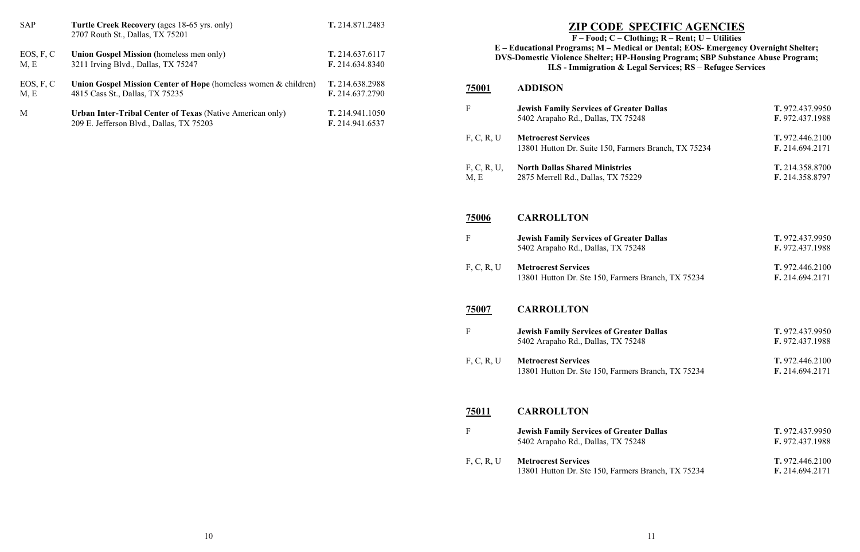## **ZIP CODE SPECIFIC AGENCIES**

## **E – Educational Programs; M – Medical or Dental; EOS- Emergency Overnight Shelter; DVS-Domestic Violence Shelter; HP-Housing Program; SBP Substance Abuse Program; ILS - Immigration & Legal Services; RS – Refugee Services**

| <b>SAP</b>        | Turtle Creek Recovery (ages 18-65 yrs. only)<br>2707 Routh St., Dallas, TX 75201                      | T. 214.871.2483                    |                     | <b>ZIP CODE SPECIFIC AGENCIES</b><br>$F - Food; C - Clothing; R - Rent; U - Utilities$                                                                                               |
|-------------------|-------------------------------------------------------------------------------------------------------|------------------------------------|---------------------|--------------------------------------------------------------------------------------------------------------------------------------------------------------------------------------|
| EOS, F, C<br>M, E | Union Gospel Mission (homeless men only)<br>3211 Irving Blvd., Dallas, TX 75247                       | T. 214.637.6117<br>F. 214.634.8340 |                     | E - Educational Programs; M - Medical or Dental; EOS-Emergene<br>DVS-Domestic Violence Shelter; HP-Housing Program; SBP Substa<br>ILS - Immigration & Legal Services; RS - Refugee S |
| EOS, F, C<br>M, E | Union Gospel Mission Center of Hope (homeless women & children)<br>4815 Cass St., Dallas, TX 75235    | T. 214.638.2988<br>F. 214.637.2790 | <u>75001</u>        | <b>ADDISON</b>                                                                                                                                                                       |
| M                 | Urban Inter-Tribal Center of Texas (Native American only)<br>209 E. Jefferson Blvd., Dallas, TX 75203 | T. 214.941.1050<br>F. 214.941.6537 | $\mathbf{F}$        | <b>Jewish Family Services of Greater Dallas</b><br>5402 Arapaho Rd., Dallas, TX 75248                                                                                                |
|                   |                                                                                                       |                                    | F, C, R, U          | <b>Metrocrest Services</b><br>13801 Hutton Dr. Suite 150, Farmers Branch, TX 75234                                                                                                   |
|                   |                                                                                                       |                                    | F, C, R, U,<br>M, E | <b>North Dallas Shared Ministries</b><br>2875 Merrell Rd., Dallas, TX 75229                                                                                                          |
|                   |                                                                                                       |                                    | 75006               | <b>CARROLLTON</b>                                                                                                                                                                    |
|                   |                                                                                                       |                                    | $\mathbf F$         | <b>Jewish Family Services of Greater Dallas</b><br>5402 Arapaho Rd., Dallas, TX 75248                                                                                                |
|                   |                                                                                                       |                                    | F, C, R, U          | <b>Metrocrest Services</b><br>13801 Hutton Dr. Ste 150, Farmers Branch, TX 75234                                                                                                     |
|                   |                                                                                                       |                                    | 75007               | <b>CARROLLTON</b>                                                                                                                                                                    |
|                   |                                                                                                       |                                    | $\mathbf{F}$        | <b>Jewish Family Services of Greater Dallas</b><br>5402 Arapaho Rd., Dallas, TX 75248                                                                                                |
|                   |                                                                                                       |                                    | F, C, R, U          | <b>Metrocrest Services</b><br>13801 Hutton Dr. Ste 150, Farmers Branch, TX 75234                                                                                                     |
|                   |                                                                                                       |                                    | <u>75011</u>        | <b>CARROLLTON</b>                                                                                                                                                                    |
|                   |                                                                                                       |                                    | $\mathbf{F}$        | <b>Jewish Family Services of Greater Dallas</b><br>5402 Arapaho Rd., Dallas, TX 75248                                                                                                |
|                   |                                                                                                       |                                    | F, C, R, U          | <b>Metrocrest Services</b><br>13801 Hutton Dr. Ste 150, Farmers Branch, TX 75234                                                                                                     |
|                   |                                                                                                       |                                    |                     |                                                                                                                                                                                      |

| F                   | <b>Jewish Family Services of Greater Dallas</b><br>5402 Arapaho Rd., Dallas, TX 75248 | T. 972.437.9950<br>F. 972.437.1988 |
|---------------------|---------------------------------------------------------------------------------------|------------------------------------|
| F, C, R, U          | <b>Metrocrest Services</b><br>13801 Hutton Dr. Suite 150, Farmers Branch, TX 75234    | T. 972.446.2100<br>F. 214.694.2171 |
| F, C, R, U,<br>M, E | <b>North Dallas Shared Ministries</b><br>2875 Merrell Rd., Dallas, TX 75229           | T. 214.358.8700<br>F. 214.358.8797 |
| <u>75006</u>        | <b>CARROLLTON</b>                                                                     |                                    |
| F                   | <b>Jewish Family Services of Greater Dallas</b><br>5402 Arapaho Rd., Dallas, TX 75248 | T. 972.437.9950<br>F. 972.437.1988 |
| F, C, R, U          | <b>Metrocrest Services</b><br>13801 Hutton Dr. Ste 150, Farmers Branch, TX 75234      | T. 972.446.2100<br>F. 214.694.2171 |
|                     |                                                                                       |                                    |
| 75007               | <b>CARROLLTON</b>                                                                     |                                    |
| F                   | <b>Jewish Family Services of Greater Dallas</b><br>5402 Arapaho Rd., Dallas, TX 75248 | T. 972.437.9950<br>F. 972.437.1988 |
| F, C, R, U          | <b>Metrocrest Services</b><br>13801 Hutton Dr. Ste 150, Farmers Branch, TX 75234      | T. 972.446.2100<br>F. 214.694.2171 |
| 75011               | <b>CARROLLTON</b>                                                                     |                                    |
| F                   | <b>Jewish Family Services of Greater Dallas</b><br>5402 Arapaho Rd., Dallas, TX 75248 | T. 972.437.9950<br>F. 972.437.1988 |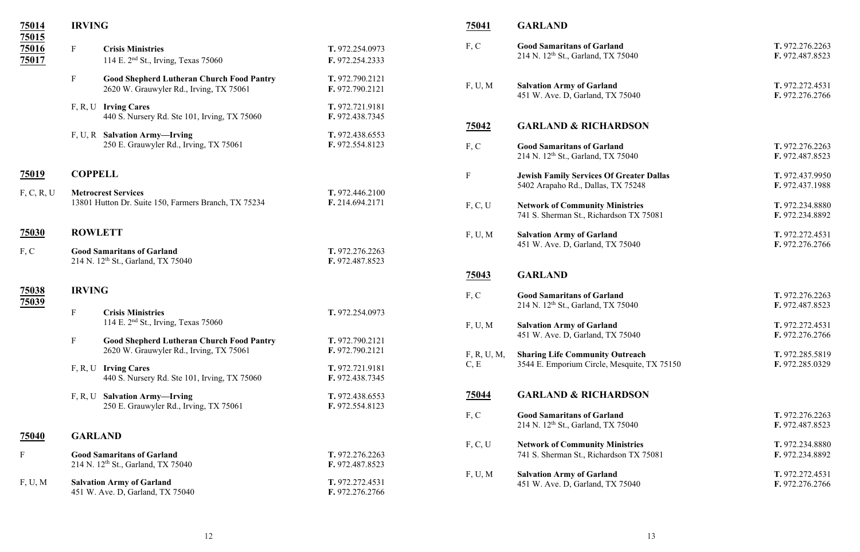|                |                                                                                             |                                                                                                                                                                                                                                                                                                                                                                                                                                                                                                                                                                                                                                                                                                                                                                                                        | 75041                                                                                                                                                                                                         | <b>GARLAND</b>                                                                        |
|----------------|---------------------------------------------------------------------------------------------|--------------------------------------------------------------------------------------------------------------------------------------------------------------------------------------------------------------------------------------------------------------------------------------------------------------------------------------------------------------------------------------------------------------------------------------------------------------------------------------------------------------------------------------------------------------------------------------------------------------------------------------------------------------------------------------------------------------------------------------------------------------------------------------------------------|---------------------------------------------------------------------------------------------------------------------------------------------------------------------------------------------------------------|---------------------------------------------------------------------------------------|
| $\mathbf{F}$   | <b>Crisis Ministries</b>                                                                    | T. 972.254.0973                                                                                                                                                                                                                                                                                                                                                                                                                                                                                                                                                                                                                                                                                                                                                                                        | F, C                                                                                                                                                                                                          | <b>Good Samaritans of Garland</b><br>214 N. 12 <sup>th</sup> St., Garland, TX 75040   |
|                |                                                                                             |                                                                                                                                                                                                                                                                                                                                                                                                                                                                                                                                                                                                                                                                                                                                                                                                        |                                                                                                                                                                                                               |                                                                                       |
| $\mathbf{F}$   | <b>Good Shepherd Lutheran Church Food Pantry</b><br>2620 W. Grauwyler Rd., Irving, TX 75061 | T. 972.790.2121<br>F. 972.790.2121                                                                                                                                                                                                                                                                                                                                                                                                                                                                                                                                                                                                                                                                                                                                                                     | F, U, M                                                                                                                                                                                                       | <b>Salvation Army of Garland</b><br>451 W. Ave. D, Garland, TX 75040                  |
|                |                                                                                             | T. 972.721.9181                                                                                                                                                                                                                                                                                                                                                                                                                                                                                                                                                                                                                                                                                                                                                                                        |                                                                                                                                                                                                               |                                                                                       |
|                |                                                                                             |                                                                                                                                                                                                                                                                                                                                                                                                                                                                                                                                                                                                                                                                                                                                                                                                        | <u>75042</u>                                                                                                                                                                                                  | <b>GARLAND &amp; RICHARDSON</b>                                                       |
|                | 250 E. Grauwyler Rd., Irving, TX 75061                                                      | F. 972.554.8123                                                                                                                                                                                                                                                                                                                                                                                                                                                                                                                                                                                                                                                                                                                                                                                        | F, C                                                                                                                                                                                                          | <b>Good Samaritans of Garland</b><br>214 N. 12 <sup>th</sup> St., Garland, TX 75040   |
|                |                                                                                             |                                                                                                                                                                                                                                                                                                                                                                                                                                                                                                                                                                                                                                                                                                                                                                                                        | $\boldsymbol{\mathrm{F}}$                                                                                                                                                                                     | <b>Jewish Family Services Of Greater Dallas</b><br>5402 Arapaho Rd., Dallas, TX 75248 |
|                |                                                                                             |                                                                                                                                                                                                                                                                                                                                                                                                                                                                                                                                                                                                                                                                                                                                                                                                        |                                                                                                                                                                                                               |                                                                                       |
|                |                                                                                             |                                                                                                                                                                                                                                                                                                                                                                                                                                                                                                                                                                                                                                                                                                                                                                                                        |                                                                                                                                                                                                               | <b>Network of Community Ministries</b><br>741 S. Sherman St., Richardson TX 75081     |
| <b>ROWLETT</b> |                                                                                             |                                                                                                                                                                                                                                                                                                                                                                                                                                                                                                                                                                                                                                                                                                                                                                                                        | F, U, M                                                                                                                                                                                                       | <b>Salvation Army of Garland</b><br>451 W. Ave. D, Garland, TX 75040                  |
|                |                                                                                             | T. 972.276.2263<br>F. 972.487.8523                                                                                                                                                                                                                                                                                                                                                                                                                                                                                                                                                                                                                                                                                                                                                                     |                                                                                                                                                                                                               |                                                                                       |
|                |                                                                                             |                                                                                                                                                                                                                                                                                                                                                                                                                                                                                                                                                                                                                                                                                                                                                                                                        | <u>75043</u>                                                                                                                                                                                                  | <b>GARLAND</b>                                                                        |
|                |                                                                                             |                                                                                                                                                                                                                                                                                                                                                                                                                                                                                                                                                                                                                                                                                                                                                                                                        |                                                                                                                                                                                                               | <b>Good Samaritans of Garland</b>                                                     |
|                |                                                                                             |                                                                                                                                                                                                                                                                                                                                                                                                                                                                                                                                                                                                                                                                                                                                                                                                        |                                                                                                                                                                                                               | 214 N. 12 <sup>th</sup> St., Garland, TX 75040                                        |
|                |                                                                                             |                                                                                                                                                                                                                                                                                                                                                                                                                                                                                                                                                                                                                                                                                                                                                                                                        |                                                                                                                                                                                                               | <b>Salvation Army of Garland</b>                                                      |
|                |                                                                                             |                                                                                                                                                                                                                                                                                                                                                                                                                                                                                                                                                                                                                                                                                                                                                                                                        |                                                                                                                                                                                                               | 451 W. Ave. D, Garland, TX 75040                                                      |
|                | 2620 W. Grauwyler Rd., Irving, TX 75061                                                     | F. 972.790.2121                                                                                                                                                                                                                                                                                                                                                                                                                                                                                                                                                                                                                                                                                                                                                                                        |                                                                                                                                                                                                               |                                                                                       |
|                |                                                                                             |                                                                                                                                                                                                                                                                                                                                                                                                                                                                                                                                                                                                                                                                                                                                                                                                        |                                                                                                                                                                                                               | <b>Sharing Life Community Outreach</b><br>3544 E. Emporium Circle, Mesquite, TX 75150 |
|                | 440 S. Nursery Rd. Ste 101, Irving, TX 75060                                                | F. 972.438.7345                                                                                                                                                                                                                                                                                                                                                                                                                                                                                                                                                                                                                                                                                                                                                                                        |                                                                                                                                                                                                               |                                                                                       |
|                |                                                                                             | T. 972.438.6553                                                                                                                                                                                                                                                                                                                                                                                                                                                                                                                                                                                                                                                                                                                                                                                        | <u>75044</u>                                                                                                                                                                                                  | <b>GARLAND &amp; RICHARDSON</b>                                                       |
|                |                                                                                             |                                                                                                                                                                                                                                                                                                                                                                                                                                                                                                                                                                                                                                                                                                                                                                                                        | F, C                                                                                                                                                                                                          | <b>Good Samaritans of Garland</b><br>214 N. 12 <sup>th</sup> St., Garland, TX 75040   |
|                |                                                                                             |                                                                                                                                                                                                                                                                                                                                                                                                                                                                                                                                                                                                                                                                                                                                                                                                        |                                                                                                                                                                                                               |                                                                                       |
|                |                                                                                             |                                                                                                                                                                                                                                                                                                                                                                                                                                                                                                                                                                                                                                                                                                                                                                                                        |                                                                                                                                                                                                               | <b>Network of Community Ministries</b>                                                |
|                |                                                                                             | F. 972.487.8523                                                                                                                                                                                                                                                                                                                                                                                                                                                                                                                                                                                                                                                                                                                                                                                        |                                                                                                                                                                                                               | 741 S. Sherman St., Richardson TX 75081                                               |
|                |                                                                                             | T. 972.272.4531                                                                                                                                                                                                                                                                                                                                                                                                                                                                                                                                                                                                                                                                                                                                                                                        | F, U, M                                                                                                                                                                                                       | <b>Salvation Army of Garland</b><br>451 W. Ave. D, Garland, TX 75040                  |
|                | $\boldsymbol{\mathrm{F}}$<br>$\mathbf{F}$                                                   | <b>IRVING</b><br>114 E. 2 <sup>nd</sup> St., Irving, Texas 75060<br>F, R, U Irving Cares<br>440 S. Nursery Rd. Ste 101, Irving, TX 75060<br>F, U, R Salvation Army-Irving<br><b>COPPELL</b><br><b>Metrocrest Services</b><br>13801 Hutton Dr. Suite 150, Farmers Branch, TX 75234<br><b>Good Samaritans of Garland</b><br>214 N. 12 <sup>th</sup> St., Garland, TX 75040<br><b>IRVING</b><br><b>Crisis Ministries</b><br>114 E. $2nd$ St., Irving, Texas 75060<br><b>Good Shepherd Lutheran Church Food Pantry</b><br>F, R, U Irving Cares<br>F, R, U Salvation Army-Irving<br>250 E. Grauwyler Rd., Irving, TX 75061<br><b>GARLAND</b><br><b>Good Samaritans of Garland</b><br>214 N. 12 <sup>th</sup> St., Garland, TX 75040<br><b>Salvation Army of Garland</b><br>451 W. Ave. D, Garland, TX 75040 | F. 972.254.2333<br>F. 972.438.7345<br>T. 972.438.6553<br>T. 972.446.2100<br>F. 214.694.2171<br>T. 972.254.0973<br>T. 972.790.2121<br>T. 972.721.9181<br>F. 972.554.8123<br>T. 972.276.2263<br>F. 972.276.2766 | F, C, U<br>F, C<br>F, U, M<br>F, R, U, M,<br>C, E<br>F, C, U                          |

| F, C                | <b>Good Samaritans of Garland</b><br>214 N. 12 <sup>th</sup> St., Garland, TX 75040   | T. 972.276.2263<br>F. 972.487.8523 |
|---------------------|---------------------------------------------------------------------------------------|------------------------------------|
| F, U, M             | <b>Salvation Army of Garland</b><br>451 W. Ave. D, Garland, TX 75040                  | T. 972.272.4531<br>F. 972.276.2766 |
| <u>75042</u>        | <b>GARLAND &amp; RICHARDSON</b>                                                       |                                    |
| F, C                | <b>Good Samaritans of Garland</b><br>214 N. 12 <sup>th</sup> St., Garland, TX 75040   | T. 972.276.2263<br>F. 972.487.8523 |
| F                   | <b>Jewish Family Services Of Greater Dallas</b><br>5402 Arapaho Rd., Dallas, TX 75248 | T. 972.437.9950<br>F. 972.437.1988 |
| F, C, U             | <b>Network of Community Ministries</b><br>741 S. Sherman St., Richardson TX 75081     | T. 972.234.8880<br>F. 972.234.8892 |
| F, U, M             | <b>Salvation Army of Garland</b><br>451 W. Ave. D, Garland, TX 75040                  | T. 972.272.4531<br>F. 972.276.2766 |
| 75043               | <b>GARLAND</b>                                                                        |                                    |
| F, C                | <b>Good Samaritans of Garland</b><br>214 N. 12 <sup>th</sup> St., Garland, TX 75040   | T. 972.276.2263<br>F. 972.487.8523 |
| F, U, M             | <b>Salvation Army of Garland</b><br>451 W. Ave. D, Garland, TX 75040                  | T. 972.272.4531<br>F. 972.276.2766 |
| F, R, U, M,<br>C, E | <b>Sharing Life Community Outreach</b><br>3544 E. Emporium Circle, Mesquite, TX 75150 | T. 972.285.5819<br>F. 972.285.0329 |
| <u>75044</u>        | <b>GARLAND &amp; RICHARDSON</b>                                                       |                                    |
| F, C                | <b>Good Samaritans of Garland</b><br>214 N. 12 <sup>th</sup> St., Garland, TX 75040   | T. 972.276.2263<br>F. 972.487.8523 |
| F, C, U             | <b>Network of Community Ministries</b><br>741 S. Sherman St., Richardson TX 75081     | T. 972.234.8880<br>F. 972.234.8892 |
| F, U, M             | <b>Salvation Army of Garland</b><br>451 W. Ave. D, Garland, TX 75040                  | T. 972.272.4531<br>F. 972.276.2766 |
|                     |                                                                                       |                                    |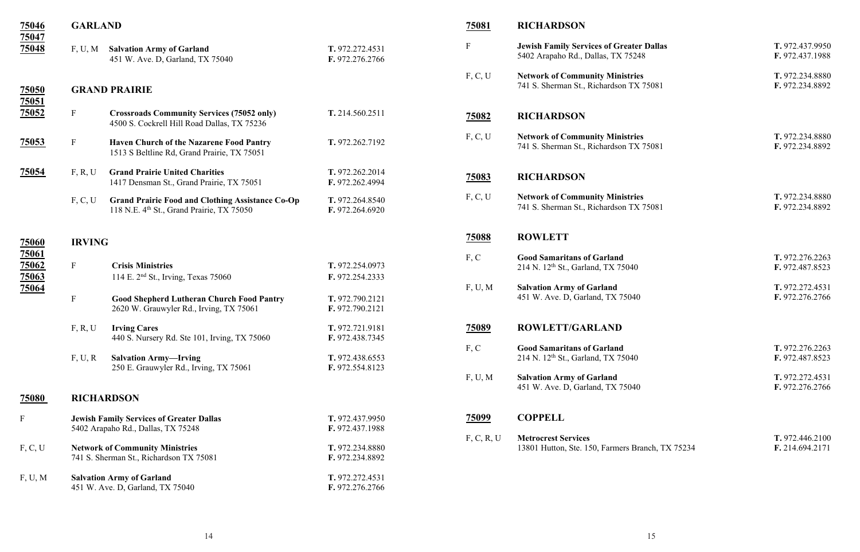| 75046                     | <b>GARLAND</b>            |                                                                                                                  |                                    | <b>75081</b> | <b>RICHARDSON</b>                                                              |
|---------------------------|---------------------------|------------------------------------------------------------------------------------------------------------------|------------------------------------|--------------|--------------------------------------------------------------------------------|
| 75047<br>75048            | F, U, M                   | <b>Salvation Army of Garland</b><br>451 W. Ave. D, Garland, TX 75040                                             | T. 972.272.4531<br>F. 972.276.2766 | $\mathbf F$  | <b>Jewish Family Services of Greater</b><br>5402 Arapaho Rd., Dallas, TX 75248 |
| <u>75050</u>              |                           | <b>GRAND PRAIRIE</b>                                                                                             |                                    | F, C, U      | <b>Network of Community Ministries</b><br>741 S. Sherman St., Richardson TX    |
| 75051                     |                           |                                                                                                                  |                                    |              |                                                                                |
| 75052                     | $\boldsymbol{\mathrm{F}}$ | <b>Crossroads Community Services (75052 only)</b><br>4500 S. Cockrell Hill Road Dallas, TX 75236                 | T. 214.560.2511                    | <u>75082</u> | <b>RICHARDSON</b>                                                              |
| <u>75053</u>              | $\mathbf F$               | <b>Haven Church of the Nazarene Food Pantry</b><br>1513 S Beltline Rd, Grand Prairie, TX 75051                   | T. 972.262.7192                    | F, C, U      | <b>Network of Community Ministries</b><br>741 S. Sherman St., Richardson TX    |
| 75054                     | F, R, U                   | <b>Grand Prairie United Charities</b><br>1417 Densman St., Grand Prairie, TX 75051                               | T. 972.262.2014<br>F. 972.262.4994 | <u>75083</u> | <b>RICHARDSON</b>                                                              |
|                           | F, C, U                   | <b>Grand Prairie Food and Clothing Assistance Co-Op</b><br>118 N.E. 4 <sup>th</sup> St., Grand Prairie, TX 75050 | T. 972.264.8540<br>F. 972.264.6920 | F, C, U      | <b>Network of Community Ministries</b><br>741 S. Sherman St., Richardson TX    |
| 75060                     | <b>IRVING</b>             |                                                                                                                  |                                    | <u>75088</u> | <b>ROWLETT</b>                                                                 |
| <u>75061</u>              |                           |                                                                                                                  |                                    | F, C         | <b>Good Samaritans of Garland</b>                                              |
| 75062                     | $\mathbf{F}$              | <b>Crisis Ministries</b>                                                                                         | T. 972.254.0973                    |              | 214 N. 12 <sup>th</sup> St., Garland, TX 75040                                 |
| 75063                     |                           | 114 E. 2 <sup>nd</sup> St., Irving, Texas 75060                                                                  | F. 972.254.2333                    |              |                                                                                |
| 75064                     | $\mathbf{F}$              |                                                                                                                  |                                    | F, U, M      | <b>Salvation Army of Garland</b><br>451 W. Ave. D, Garland, TX 75040           |
|                           |                           | <b>Good Shepherd Lutheran Church Food Pantry</b><br>2620 W. Grauwyler Rd., Irving, TX 75061                      | T. 972.790.2121<br>F. 972.790.2121 |              |                                                                                |
|                           | F, R, U                   | <b>Irving Cares</b>                                                                                              | T. 972.721.9181                    | <u>75089</u> | <b>ROWLETT/GARLAND</b>                                                         |
|                           |                           | 440 S. Nursery Rd. Ste 101, Irving, TX 75060                                                                     | F. 972.438.7345                    |              |                                                                                |
|                           |                           |                                                                                                                  |                                    | F, C         | <b>Good Samaritans of Garland</b>                                              |
|                           | F, U, R                   | <b>Salvation Army-Irving</b><br>250 E. Grauwyler Rd., Irving, TX 75061                                           | T. 972.438.6553<br>F. 972.554.8123 |              | 214 N. 12 <sup>th</sup> St., Garland, TX 75040                                 |
|                           |                           |                                                                                                                  |                                    | F, U, M      | <b>Salvation Army of Garland</b><br>451 W. Ave. D, Garland, TX 75040           |
| <b>75080</b>              |                           | <b>RICHARDSON</b>                                                                                                |                                    |              |                                                                                |
| $\boldsymbol{\mathrm{F}}$ |                           | <b>Jewish Family Services of Greater Dallas</b><br>5402 Arapaho Rd., Dallas, TX 75248                            | T. 972.437.9950<br>F. 972.437.1988 | 75099        | <b>COPPELL</b>                                                                 |
|                           |                           |                                                                                                                  |                                    | F, C, R, U   | <b>Metrocrest Services</b>                                                     |
| F, C, U                   |                           | <b>Network of Community Ministries</b><br>741 S. Sherman St., Richardson TX 75081                                | T. 972.234.8880<br>F. 972.234.8892 |              | 13801 Hutton, Ste. 150, Farmers Bra                                            |
| F, U, M                   |                           | <b>Salvation Army of Garland</b>                                                                                 | T. 972.272.4531                    |              |                                                                                |
|                           |                           | 451 W. Ave. D, Garland, TX 75040                                                                                 | F. 972.276.2766                    |              |                                                                                |

| F            | <b>Jewish Family Services of Greater Dallas</b><br>5402 Arapaho Rd., Dallas, TX 75248 | T. 972.437.9950<br>F. 972.437.1988 |
|--------------|---------------------------------------------------------------------------------------|------------------------------------|
| F, C, U      | <b>Network of Community Ministries</b><br>741 S. Sherman St., Richardson TX 75081     | T. 972.234.8880<br>F. 972.234.8892 |
| <u>75082</u> | <b>RICHARDSON</b>                                                                     |                                    |
| F, C, U      | <b>Network of Community Ministries</b><br>741 S. Sherman St., Richardson TX 75081     | T. 972.234.8880<br>F. 972.234.8892 |
| 75083        | <b>RICHARDSON</b>                                                                     |                                    |
| F, C, U      | <b>Network of Community Ministries</b><br>741 S. Sherman St., Richardson TX 75081     | T. 972.234.8880<br>F. 972.234.8892 |
| <u>75088</u> | <b>ROWLETT</b>                                                                        |                                    |
| F, C         | <b>Good Samaritans of Garland</b><br>214 N. 12 <sup>th</sup> St., Garland, TX 75040   | T. 972.276.2263<br>F. 972.487.8523 |
| F, U, M      | <b>Salvation Army of Garland</b><br>451 W. Ave. D, Garland, TX 75040                  | T. 972.272.4531<br>F. 972.276.2766 |
| 75089        | <b>ROWLETT/GARLAND</b>                                                                |                                    |
| F, C         | <b>Good Samaritans of Garland</b><br>214 N. 12 <sup>th</sup> St., Garland, TX 75040   | T. 972.276.2263<br>F. 972.487.8523 |
| F, U, M      | <b>Salvation Army of Garland</b><br>451 W. Ave. D, Garland, TX 75040                  | T. 972.272.4531<br>F. 972.276.2766 |
| <u>75099</u> | <b>COPPELL</b>                                                                        |                                    |
| F, C, R, U   | <b>Metrocrest Services</b><br>13801 Hutton, Ste. 150, Farmers Branch, TX 75234        | T. 972.446.2100<br>F. 214.694.2171 |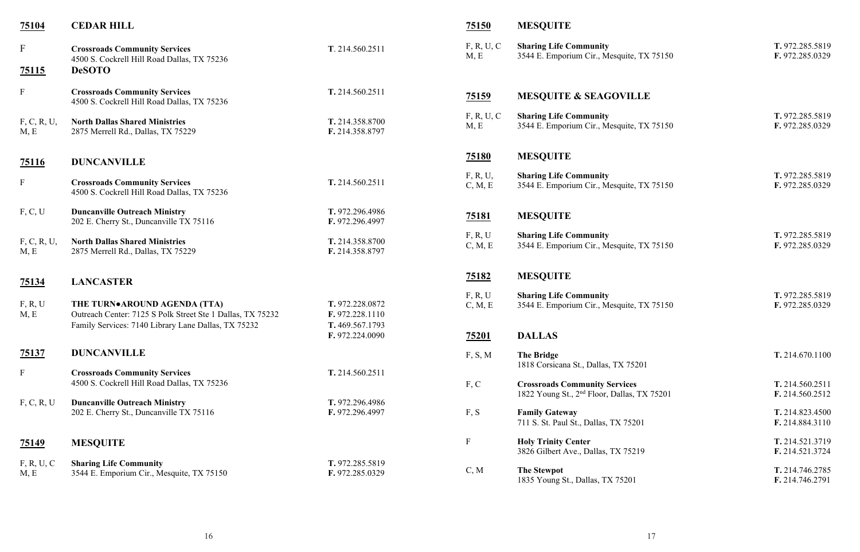| 75104               | <b>CEDAR HILL</b>                                                                          |                                    | 75150               | <b>MESQUITE</b>                                                                           |
|---------------------|--------------------------------------------------------------------------------------------|------------------------------------|---------------------|-------------------------------------------------------------------------------------------|
| $\mathbf{F}$        | <b>Crossroads Community Services</b><br>4500 S. Cockrell Hill Road Dallas, TX 75236        | T. 214.560.2511                    | F, R, U, C<br>M, E  | <b>Sharing Life Community</b><br>3544 E. Emporium Cir., Mesquite, TX                      |
| <u>75115</u>        | <b>DeSOTO</b>                                                                              |                                    |                     |                                                                                           |
| $\mathbf{F}$        | <b>Crossroads Community Services</b><br>4500 S. Cockrell Hill Road Dallas, TX 75236        | T. 214.560.2511                    | <u>75159</u>        | <b>MESQUITE &amp; SEAGOVILLE</b>                                                          |
| F, C, R, U,<br>M, E | <b>North Dallas Shared Ministries</b><br>2875 Merrell Rd., Dallas, TX 75229                | T. 214.358.8700<br>F. 214.358.8797 | F, R, U, C<br>M, E  | <b>Sharing Life Community</b><br>3544 E. Emporium Cir., Mesquite, TX                      |
| 75116               | <b>DUNCANVILLE</b>                                                                         |                                    | <b>75180</b>        | <b>MESQUITE</b>                                                                           |
| ${\bf F}$           | <b>Crossroads Community Services</b><br>4500 S. Cockrell Hill Road Dallas, TX 75236        | T. 214.560.2511                    | F, R, U,<br>C, M, E | <b>Sharing Life Community</b><br>3544 E. Emporium Cir., Mesquite, TX                      |
| F, C, U             | <b>Duncanville Outreach Ministry</b><br>202 E. Cherry St., Duncanville TX 75116            | T. 972.296.4986<br>F. 972.296.4997 | <u>75181</u>        | <b>MESQUITE</b>                                                                           |
| F, C, R, U,<br>M, E | <b>North Dallas Shared Ministries</b><br>2875 Merrell Rd., Dallas, TX 75229                | T. 214.358.8700<br>F. 214.358.8797 | F, R, U<br>C, M, E  | <b>Sharing Life Community</b><br>3544 E. Emporium Cir., Mesquite, TX                      |
| 75134               | <b>LANCASTER</b>                                                                           |                                    | <u>75182</u>        | <b>MESQUITE</b>                                                                           |
| F, R, U<br>M, E     | THE TURN•AROUND AGENDA (TTA)<br>Outreach Center: 7125 S Polk Street Ste 1 Dallas, TX 75232 | T. 972.228.0872<br>F. 972.228.1110 | F, R, U<br>C, M, E  | <b>Sharing Life Community</b><br>3544 E. Emporium Cir., Mesquite, TX                      |
|                     | Family Services: 7140 Library Lane Dallas, TX 75232                                        | T. 469.567.1793<br>F. 972.224.0090 | 75201               | <b>DALLAS</b>                                                                             |
| <u>75137</u>        | <b>DUNCANVILLE</b>                                                                         |                                    | F, S, M             | <b>The Bridge</b><br>1818 Corsicana St., Dallas, TX 75201                                 |
| ${\bf F}$           | <b>Crossroads Community Services</b><br>4500 S. Cockrell Hill Road Dallas, TX 75236        | T. 214.560.2511                    | F, C                | <b>Crossroads Community Services</b><br>1822 Young St., 2 <sup>nd</sup> Floor, Dallas, TX |
| F, C, R, U          | <b>Duncanville Outreach Ministry</b><br>202 E. Cherry St., Duncanville TX 75116            | T. 972.296.4986<br>F. 972.296.4997 | F, S                | <b>Family Gateway</b><br>711 S. St. Paul St., Dallas, TX 75201                            |
| <u>75149</u>        | <b>MESQUITE</b>                                                                            |                                    | $\mathbf F$         | <b>Holy Trinity Center</b><br>3826 Gilbert Ave., Dallas, TX 75219                         |
| F, R, U, C<br>M, E  | <b>Sharing Life Community</b><br>3544 E. Emporium Cir., Mesquite, TX 75150                 | T. 972.285.5819<br>F. 972.285.0329 | C, M                | <b>The Stewpot</b><br>1835 Young St., Dallas, TX 75201                                    |

| F, R, U, C<br>M, E  | <b>Sharing Life Community</b><br>3544 E. Emporium Cir., Mesquite, TX 75150                      | T. 972.285.5819<br>F. 972.285.0329 |
|---------------------|-------------------------------------------------------------------------------------------------|------------------------------------|
| <u>75159 </u>       | <b>MESQUITE &amp; SEAGOVILLE</b>                                                                |                                    |
| F, R, U, C<br>M, E  | <b>Sharing Life Community</b><br>3544 E. Emporium Cir., Mesquite, TX 75150                      | T. 972.285.5819<br>F. 972.285.0329 |
| <u>75180</u>        | <b>MESQUITE</b>                                                                                 |                                    |
| F, R, U,<br>C, M, E | <b>Sharing Life Community</b><br>3544 E. Emporium Cir., Mesquite, TX 75150                      | T. 972.285.5819<br>F. 972.285.0329 |
| <u>75181</u>        | <b>MESQUITE</b>                                                                                 |                                    |
| F, R, U<br>C, M, E  | <b>Sharing Life Community</b><br>3544 E. Emporium Cir., Mesquite, TX 75150                      | T. 972.285.5819<br>F. 972.285.0329 |
| <u>75182</u>        | <b>MESQUITE</b>                                                                                 |                                    |
| F, R, U<br>C, M, E  | <b>Sharing Life Community</b><br>3544 E. Emporium Cir., Mesquite, TX 75150                      | T. 972.285.5819<br>F. 972.285.0329 |
| <u>75201</u>        | <b>DALLAS</b>                                                                                   |                                    |
| F, S, M             | <b>The Bridge</b><br>1818 Corsicana St., Dallas, TX 75201                                       | T. 214.670.1100                    |
| F, C                | <b>Crossroads Community Services</b><br>1822 Young St., 2 <sup>nd</sup> Floor, Dallas, TX 75201 | T. 214.560.2511<br>F. 214.560.2512 |
| F, S                | <b>Family Gateway</b><br>711 S. St. Paul St., Dallas, TX 75201                                  | T. 214.823.4500<br>F. 214.884.3110 |
| F                   | <b>Holy Trinity Center</b><br>3826 Gilbert Ave., Dallas, TX 75219                               | T. 214.521.3719<br>F. 214.521.3724 |
| C, M                | <b>The Stewpot</b><br>1835 Young St., Dallas, TX 75201                                          | T. 214.746.2785<br>F. 214.746.2791 |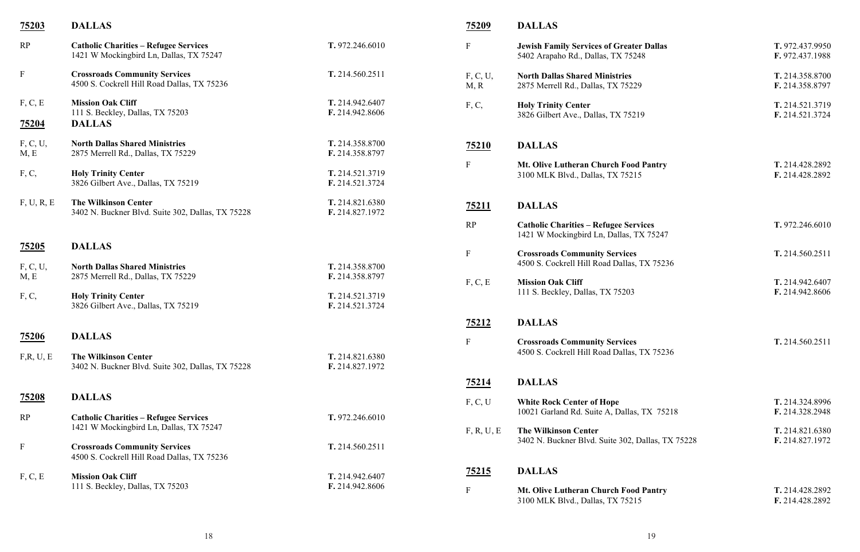| <u>75203</u>            | <b>DALLAS</b>                                                                           |                                    | <u>75209</u>              | <b>DALLAS</b>                                                                           |
|-------------------------|-----------------------------------------------------------------------------------------|------------------------------------|---------------------------|-----------------------------------------------------------------------------------------|
| RP                      | <b>Catholic Charities - Refugee Services</b><br>1421 W Mockingbird Ln, Dallas, TX 75247 | T. 972.246.6010                    | ${\bf F}$                 | <b>Jewish Family Services of Greater Dallas</b><br>5402 Arapaho Rd., Dallas, TX 75248   |
| $\mathbf F$             | <b>Crossroads Community Services</b><br>4500 S. Cockrell Hill Road Dallas, TX 75236     | T. 214.560.2511                    | F, C, U,<br>M, R          | <b>North Dallas Shared Ministries</b><br>2875 Merrell Rd., Dallas, TX 75229             |
| F, C, E<br><u>75204</u> | <b>Mission Oak Cliff</b><br>111 S. Beckley, Dallas, TX 75203<br><b>DALLAS</b>           | T. 214.942.6407<br>F. 214.942.8606 | F, C,                     | <b>Holy Trinity Center</b><br>3826 Gilbert Ave., Dallas, TX 75219                       |
| F, C, U,<br>M, E        | <b>North Dallas Shared Ministries</b><br>2875 Merrell Rd., Dallas, TX 75229             | T. 214.358.8700<br>F. 214.358.8797 | 75210                     | <b>DALLAS</b>                                                                           |
| F, C,                   | <b>Holy Trinity Center</b><br>3826 Gilbert Ave., Dallas, TX 75219                       | T. 214.521.3719<br>F. 214.521.3724 | ${\bf F}$                 | Mt. Olive Lutheran Church Food Pantry<br>3100 MLK Blvd., Dallas, TX 75215               |
| F, U, R, E              | <b>The Wilkinson Center</b><br>3402 N. Buckner Blvd. Suite 302, Dallas, TX 75228        | T. 214.821.6380<br>F. 214.827.1972 | <u>75211</u>              | <b>DALLAS</b>                                                                           |
|                         |                                                                                         |                                    | RP                        | <b>Catholic Charities - Refugee Services</b><br>1421 W Mockingbird Ln, Dallas, TX 75247 |
| 75205                   | <b>DALLAS</b>                                                                           |                                    | ${\bf F}$                 | <b>Crossroads Community Services</b>                                                    |
| F, C, U,                | <b>North Dallas Shared Ministries</b><br>2875 Merrell Rd., Dallas, TX 75229             | T. 214.358.8700<br>F. 214.358.8797 |                           | 4500 S. Cockrell Hill Road Dallas, TX 75236                                             |
| M, E                    |                                                                                         |                                    | F, C, E                   | <b>Mission Oak Cliff</b><br>111 S. Beckley, Dallas, TX 75203                            |
| F, C,                   | <b>Holy Trinity Center</b><br>3826 Gilbert Ave., Dallas, TX 75219                       | T. 214.521.3719<br>F. 214.521.3724 |                           |                                                                                         |
|                         |                                                                                         |                                    | <u>75212</u>              | <b>DALLAS</b>                                                                           |
| 75206                   | <b>DALLAS</b>                                                                           |                                    | ${\bf F}$                 | <b>Crossroads Community Services</b>                                                    |
| F,R, U, E               | <b>The Wilkinson Center</b><br>3402 N. Buckner Blvd. Suite 302, Dallas, TX 75228        | T. 214.821.6380<br>F. 214.827.1972 |                           | 4500 S. Cockrell Hill Road Dallas, TX 75236                                             |
|                         |                                                                                         |                                    | <u>75214</u>              | <b>DALLAS</b>                                                                           |
| <u>75208</u>            | <b>DALLAS</b>                                                                           |                                    | F, C, U                   | <b>White Rock Center of Hope</b><br>10021 Garland Rd. Suite A, Dallas, TX 7521          |
| RP                      | <b>Catholic Charities - Refugee Services</b><br>1421 W Mockingbird Ln, Dallas, TX 75247 | T. 972.246.6010                    |                           |                                                                                         |
| $\mathbf F$             | <b>Crossroads Community Services</b><br>4500 S. Cockrell Hill Road Dallas, TX 75236     | T. 214.560.2511                    | F, R, U, E                | <b>The Wilkinson Center</b><br>3402 N. Buckner Blvd. Suite 302, Dallas, TX              |
|                         | <b>Mission Oak Cliff</b>                                                                | T. 214.942.6407                    | 75215                     | <b>DALLAS</b>                                                                           |
| F, C, E                 | 111 S. Beckley, Dallas, TX 75203                                                        | F. 214.942.8606                    | $\boldsymbol{\mathrm{F}}$ | Mt. Olive Lutheran Church Food Pantry<br>3100 MLK Blvd., Dallas, TX 75215               |

| F                | <b>Jewish Family Services of Greater Dallas</b><br>5402 Arapaho Rd., Dallas, TX 75248   | T. 972.437.9950<br>F. 972.437.1988 |
|------------------|-----------------------------------------------------------------------------------------|------------------------------------|
| F, C, U,<br>M, R | <b>North Dallas Shared Ministries</b><br>2875 Merrell Rd., Dallas, TX 75229             | T. 214.358.8700<br>F. 214.358.8797 |
| F, C,            | <b>Holy Trinity Center</b><br>3826 Gilbert Ave., Dallas, TX 75219                       | T. 214.521.3719<br>F. 214.521.3724 |
| 75210            | <b>DALLAS</b>                                                                           |                                    |
| F                | Mt. Olive Lutheran Church Food Pantry<br>3100 MLK Blvd., Dallas, TX 75215               | T. 214.428.2892<br>F. 214.428.2892 |
| <u>75211</u>     | <b>DALLAS</b>                                                                           |                                    |
| RP               | <b>Catholic Charities - Refugee Services</b><br>1421 W Mockingbird Ln, Dallas, TX 75247 | T. 972.246.6010                    |
| F                | <b>Crossroads Community Services</b><br>4500 S. Cockrell Hill Road Dallas, TX 75236     | T. 214.560.2511                    |
| F, C, E          | <b>Mission Oak Cliff</b><br>111 S. Beckley, Dallas, TX 75203                            | T. 214.942.6407<br>F. 214.942.8606 |
| 75212            | <b>DALLAS</b>                                                                           |                                    |
| F                | <b>Crossroads Community Services</b><br>4500 S. Cockrell Hill Road Dallas, TX 75236     | T. 214.560.2511                    |
| <u>75214</u>     | <b>DALLAS</b>                                                                           |                                    |
| F, C, U          | <b>White Rock Center of Hope</b><br>10021 Garland Rd. Suite A, Dallas, TX 75218         | T. 214.324.8996<br>F. 214.328.2948 |
| F, R, U, E       | <b>The Wilkinson Center</b><br>3402 N. Buckner Blvd. Suite 302, Dallas, TX 75228        | T. 214.821.6380<br>F. 214.827.1972 |
| 75215            | <b>DALLAS</b>                                                                           |                                    |
| F                | Mt. Olive Lutheran Church Food Pantry<br>3100 MLK Blvd., Dallas, TX 75215               | T. 214.428.2892<br>F. 214.428.2892 |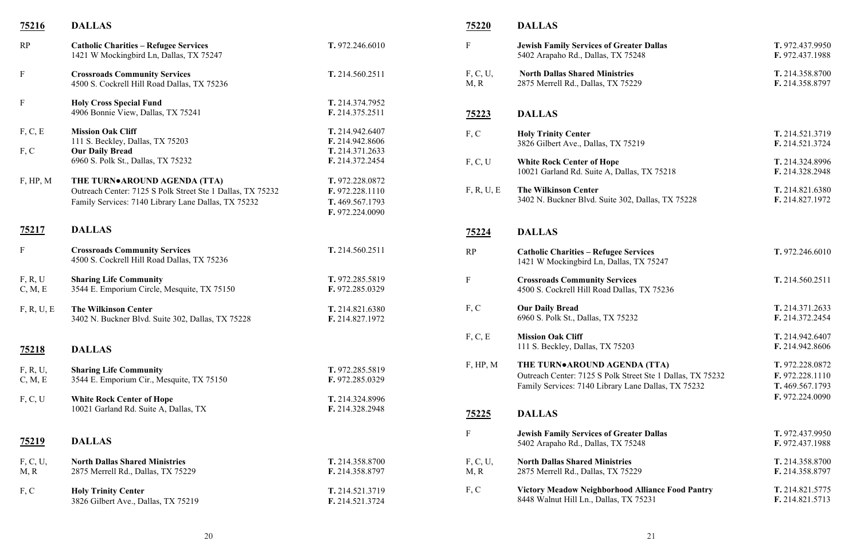| <u>75216</u>        | <b>DALLAS</b>                                                                           |                                    | 75220            | <b>DALLAS</b>                                                                           |
|---------------------|-----------------------------------------------------------------------------------------|------------------------------------|------------------|-----------------------------------------------------------------------------------------|
| RP                  | <b>Catholic Charities - Refugee Services</b><br>1421 W Mockingbird Ln, Dallas, TX 75247 | T. 972.246.6010                    | $\mathbf F$      | <b>Jewish Family Services of Greater Dallas</b><br>5402 Arapaho Rd., Dallas, TX 75248   |
| $\mathbf F$         | <b>Crossroads Community Services</b><br>4500 S. Cockrell Hill Road Dallas, TX 75236     | T. 214.560.2511                    | F, C, U,<br>M, R | <b>North Dallas Shared Ministries</b><br>2875 Merrell Rd., Dallas, TX 75229             |
| $\mathbf F$         | <b>Holy Cross Special Fund</b>                                                          | T. 214.374.7952                    |                  |                                                                                         |
|                     | 4906 Bonnie View, Dallas, TX 75241                                                      | F. 214.375.2511                    | 75223            | <b>DALLAS</b>                                                                           |
| F, C, E             | <b>Mission Oak Cliff</b>                                                                | T. 214.942.6407                    | F, C             | <b>Holy Trinity Center</b>                                                              |
|                     | 111 S. Beckley, Dallas, TX 75203                                                        | F. 214.942.8606                    |                  | 3826 Gilbert Ave., Dallas, TX 75219                                                     |
| F, C                | <b>Our Daily Bread</b>                                                                  | T. 214.371.2633                    |                  |                                                                                         |
|                     | 6960 S. Polk St., Dallas, TX 75232                                                      | F. 214.372.2454                    | F, C, U          | <b>White Rock Center of Hope</b><br>10021 Garland Rd. Suite A, Dallas, TX 75218         |
| F, HP, M            | THE TURN•AROUND AGENDA (TTA)                                                            | T. 972.228.0872                    |                  |                                                                                         |
|                     | Outreach Center: 7125 S Polk Street Ste 1 Dallas, TX 75232                              | F. 972.228.1110                    | F, R, U, E       | <b>The Wilkinson Center</b>                                                             |
|                     | Family Services: 7140 Library Lane Dallas, TX 75232                                     | T. 469.567.1793                    |                  | 3402 N. Buckner Blvd. Suite 302, Dallas, TX                                             |
|                     |                                                                                         | F. 972.224.0090                    |                  |                                                                                         |
| <u>75217</u>        | <b>DALLAS</b>                                                                           |                                    | 75224            | <b>DALLAS</b>                                                                           |
| $\mathbf{F}$        | <b>Crossroads Community Services</b><br>4500 S. Cockrell Hill Road Dallas, TX 75236     | T. 214.560.2511                    | RP               | <b>Catholic Charities - Refugee Services</b><br>1421 W Mockingbird Ln, Dallas, TX 75247 |
| F, R, U             | <b>Sharing Life Community</b>                                                           | T. 972.285.5819                    | $\mathbf F$      | <b>Crossroads Community Services</b>                                                    |
| C, M, E             | 3544 E. Emporium Circle, Mesquite, TX 75150                                             | F. 972.285.0329                    |                  | 4500 S. Cockrell Hill Road Dallas, TX 75236                                             |
| F, R, U, E          | <b>The Wilkinson Center</b>                                                             | T. 214.821.6380                    | F, C             | <b>Our Daily Bread</b>                                                                  |
|                     | 3402 N. Buckner Blvd. Suite 302, Dallas, TX 75228                                       | F. 214.827.1972                    |                  | 6960 S. Polk St., Dallas, TX 75232                                                      |
|                     |                                                                                         |                                    | F, C, E          | <b>Mission Oak Cliff</b>                                                                |
| <u>75218</u>        | <b>DALLAS</b>                                                                           |                                    |                  | 111 S. Beckley, Dallas, TX 75203                                                        |
|                     |                                                                                         |                                    | F, HP, M         | THE TURN•AROUND AGENDA (TTA)                                                            |
| F, R, U,<br>C, M, E | <b>Sharing Life Community</b><br>3544 E. Emporium Cir., Mesquite, TX 75150              | T. 972.285.5819<br>F. 972.285.0329 |                  | Outreach Center: 7125 S Polk Street Ste 1 Da                                            |
|                     |                                                                                         |                                    |                  | Family Services: 7140 Library Lane Dallas, T                                            |
| F, C, U             | <b>White Rock Center of Hope</b>                                                        | T. 214.324.8996                    |                  |                                                                                         |
|                     | 10021 Garland Rd. Suite A, Dallas, TX                                                   | F. 214.328.2948                    | <u>75225</u>     | <b>DALLAS</b>                                                                           |
|                     |                                                                                         |                                    |                  |                                                                                         |
| <u>75219</u>        | <b>DALLAS</b>                                                                           |                                    | $\mathbf F$      | <b>Jewish Family Services of Greater Dallas</b><br>5402 Arapaho Rd., Dallas, TX 75248   |
| F, C, U,            | <b>North Dallas Shared Ministries</b>                                                   | T. 214.358.8700                    | F, C, U,         | <b>North Dallas Shared Ministries</b>                                                   |
| M, R                | 2875 Merrell Rd., Dallas, TX 75229                                                      | F. 214.358.8797                    | M, R             | 2875 Merrell Rd., Dallas, TX 75229                                                      |
| F, C                | <b>Holy Trinity Center</b>                                                              | T. 214.521.3719                    | F, C             | <b>Victory Meadow Neighborhood Alliance F</b>                                           |
|                     | 3826 Gilbert Ave., Dallas, TX 75219                                                     | F. 214.521.3724                    |                  | 8448 Walnut Hill Ln., Dallas, TX 75231                                                  |
|                     |                                                                                         |                                    |                  |                                                                                         |

| F                | <b>Jewish Family Services of Greater Dallas</b><br>5402 Arapaho Rd., Dallas, TX 75248                                                             | T. 972.437.9950<br>F. 972.437.1988                                       |
|------------------|---------------------------------------------------------------------------------------------------------------------------------------------------|--------------------------------------------------------------------------|
| F, C, U,<br>M, R | <b>North Dallas Shared Ministries</b><br>2875 Merrell Rd., Dallas, TX 75229                                                                       | T. 214.358.8700<br>F. 214.358.8797                                       |
| <u>75223</u>     | <b>DALLAS</b>                                                                                                                                     |                                                                          |
| F, C             | <b>Holy Trinity Center</b><br>3826 Gilbert Ave., Dallas, TX 75219                                                                                 | T. 214.521.3719<br>F. 214.521.3724                                       |
| F, C, U          | <b>White Rock Center of Hope</b><br>10021 Garland Rd. Suite A, Dallas, TX 75218                                                                   | T. 214.324.8996<br>F. 214.328.2948                                       |
| F, R, U, E       | <b>The Wilkinson Center</b><br>3402 N. Buckner Blvd. Suite 302, Dallas, TX 75228                                                                  | T. 214.821.6380<br>F. 214.827.1972                                       |
| <u>75224</u>     | <b>DALLAS</b>                                                                                                                                     |                                                                          |
| RP               | <b>Catholic Charities - Refugee Services</b><br>1421 W Mockingbird Ln, Dallas, TX 75247                                                           | T. 972.246.6010                                                          |
| F                | <b>Crossroads Community Services</b><br>4500 S. Cockrell Hill Road Dallas, TX 75236                                                               | T. 214.560.2511                                                          |
| F, C             | <b>Our Daily Bread</b><br>6960 S. Polk St., Dallas, TX 75232                                                                                      | T. 214.371.2633<br>F. 214.372.2454                                       |
| F, C, E          | <b>Mission Oak Cliff</b><br>111 S. Beckley, Dallas, TX 75203                                                                                      | T. 214.942.6407<br>F. 214.942.8606                                       |
| F, HP, M         | THE TURN•AROUND AGENDA (TTA)<br>Outreach Center: 7125 S Polk Street Ste 1 Dallas, TX 75232<br>Family Services: 7140 Library Lane Dallas, TX 75232 | T. 972.228.0872<br>F. 972.228.1110<br>T. 469.567.1793<br>F. 972.224.0090 |
| <u>75225</u>     | <b>DALLAS</b>                                                                                                                                     |                                                                          |
| F                | <b>Jewish Family Services of Greater Dallas</b><br>5402 Arapaho Rd., Dallas, TX 75248                                                             | T. 972.437.9950<br>F. 972.437.1988                                       |
| F, C, U,<br>M, R | <b>North Dallas Shared Ministries</b><br>2875 Merrell Rd., Dallas, TX 75229                                                                       | T. 214.358.8700<br>F. 214.358.8797                                       |
| F, C             | <b>Victory Meadow Neighborhood Alliance Food Pantry</b><br>8448 Walnut Hill Ln., Dallas, TX 75231                                                 | T. 214.821.5775<br>F. 214.821.5713                                       |
|                  |                                                                                                                                                   |                                                                          |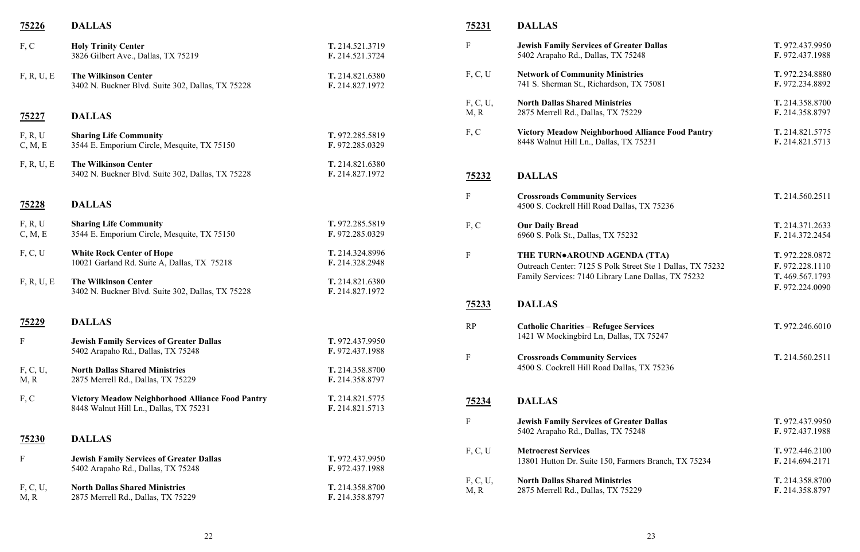# **F. 214.821.5775**<br>5231 **F. 214.821.5713**

TX 75236

- F **Jewish Family Services of Greater Dallas T.** 972.437.9950 5402 Arapaho Rd., Dallas, TX 75248 **F.** 972.437.1988 **F.** 972.234.8880<br> **F.** 972.234.8892 741 S. Sherman St., Richardson, TX 75081 **F.** 972.234.8892 F, C, U, **North Dallas Shared Ministries T.** 214.358.8700 F. 214.358.8797 8448 Walnut Hill Ln., Dallas, TX 75231 **F.** 214.821.5713 F **Crossroads Community Services T.** 214.560.2511 F, C **Our Daily Bread T.** 214.371.2633 6960 S. Polk St., Dallas, TX 75232 **F.** 214.372.2454 **F.** 972.224.0090 RP **Catholic Charities – Refugee Services T.** 972.246.6010 F **Crossroads Community Services T.** 214.560.2511
- F **Jewish Family Services of Greater Dallas T.** 972.437.9950 5402 Arapaho Rd., Dallas, TX 75248 **F.** 972.437.1988 F, C, U **Metrocrest Services T.** 972.446.2100 F, C, U, **North Dallas Shared Ministries T.** 214.358.8700
	- F. 214.358.8797

 $T. 972.228.0872$ t Ste 1 Dallas, TX 75232 **F.** 972.228.1110 Family Services: 7140 Library Lane Dallas, TX 75232 **T.** 469.567.1793

X 75247

TX 75236

rs Branch, TX 75234

| <u>75226</u>       | <b>DALLAS</b>                                                                                     |                                    | <u>75231</u>     | <b>DALLAS</b>                                                                  |
|--------------------|---------------------------------------------------------------------------------------------------|------------------------------------|------------------|--------------------------------------------------------------------------------|
| F, C               | <b>Holy Trinity Center</b><br>3826 Gilbert Ave., Dallas, TX 75219                                 | T. 214.521.3719<br>F. 214.521.3724 | $\mathbf F$      | <b>Jewish Family Services of Greater</b><br>5402 Arapaho Rd., Dallas, TX 75248 |
| F, R, U, E         | <b>The Wilkinson Center</b><br>3402 N. Buckner Blvd. Suite 302, Dallas, TX 75228                  | T. 214.821.6380<br>F. 214.827.1972 | F, C, U          | <b>Network of Community Ministries</b><br>741 S. Sherman St., Richardson, TX   |
| <u>75227</u>       | <b>DALLAS</b>                                                                                     |                                    | F, C, U,<br>M, R | <b>North Dallas Shared Ministries</b><br>2875 Merrell Rd., Dallas, TX 75229    |
| F, R, U<br>C, M, E | <b>Sharing Life Community</b><br>3544 E. Emporium Circle, Mesquite, TX 75150                      | T. 972.285.5819<br>F. 972.285.0329 | F, C             | <b>Victory Meadow Neighborhood Al</b><br>8448 Walnut Hill Ln., Dallas, TX 75   |
| F, R, U, E         | <b>The Wilkinson Center</b><br>3402 N. Buckner Blvd. Suite 302, Dallas, TX 75228                  | T. 214.821.6380<br>F. 214.827.1972 | <u>75232</u>     | <b>DALLAS</b>                                                                  |
| 75228              | <b>DALLAS</b>                                                                                     |                                    | $\mathbf{F}$     | <b>Crossroads Community Services</b><br>4500 S. Cockrell Hill Road Dallas, T   |
| F, R, U<br>C, M, E | <b>Sharing Life Community</b><br>3544 E. Emporium Circle, Mesquite, TX 75150                      | T. 972.285.5819<br>F. 972.285.0329 | F, C             | <b>Our Daily Bread</b><br>6960 S. Polk St., Dallas, TX 75232                   |
| F, C, U            | <b>White Rock Center of Hope</b><br>10021 Garland Rd. Suite A, Dallas, TX 75218                   | T. 214.324.8996<br>F. 214.328.2948 | $\mathbf F$      | THE TURN.AROUND AGENDA<br>Outreach Center: 7125 S Polk Street                  |
| F, R, U, E         | <b>The Wilkinson Center</b><br>3402 N. Buckner Blvd. Suite 302, Dallas, TX 75228                  | T. 214.821.6380<br>F. 214.827.1972 |                  | Family Services: 7140 Library Lane                                             |
|                    |                                                                                                   |                                    | <u>75233</u>     | <b>DALLAS</b>                                                                  |
| <u>75229</u>       | <b>DALLAS</b>                                                                                     |                                    | RP               | <b>Catholic Charities - Refugee Servi</b>                                      |
| $\mathbf{F}$       | <b>Jewish Family Services of Greater Dallas</b><br>5402 Arapaho Rd., Dallas, TX 75248             | T. 972.437.9950<br>F. 972.437.1988 |                  | 1421 W Mockingbird Ln, Dallas, TX                                              |
|                    |                                                                                                   |                                    | $\mathbf{F}$     | <b>Crossroads Community Services</b><br>4500 S. Cockrell Hill Road Dallas, T   |
| F, C, U,<br>M, R   | <b>North Dallas Shared Ministries</b><br>2875 Merrell Rd., Dallas, TX 75229                       | T. 214.358.8700<br>F. 214.358.8797 |                  |                                                                                |
| F, C               | <b>Victory Meadow Neighborhood Alliance Food Pantry</b><br>8448 Walnut Hill Ln., Dallas, TX 75231 | T. 214.821.5775<br>F. 214.821.5713 | <u>75234</u>     | <b>DALLAS</b>                                                                  |
|                    |                                                                                                   |                                    | $\mathbf{F}$     | <b>Jewish Family Services of Greater</b><br>5402 Arapaho Rd., Dallas, TX 75248 |
| <b>75230</b>       | <b>DALLAS</b>                                                                                     |                                    |                  |                                                                                |
| $\mathbf{F}$       | <b>Jewish Family Services of Greater Dallas</b><br>5402 Arapaho Rd., Dallas, TX 75248             | T. 972.437.9950<br>F. 972.437.1988 | F, C, U          | <b>Metrocrest Services</b><br>13801 Hutton Dr. Suite 150, Farmers              |
| F, C, U,<br>M, R   | <b>North Dallas Shared Ministries</b><br>2875 Merrell Rd., Dallas, TX 75229                       | T. 214.358.8700<br>F. 214.358.8797 | F, C, U,<br>M, R | <b>North Dallas Shared Ministries</b><br>2875 Merrell Rd., Dallas, TX 75229    |
|                    |                                                                                                   |                                    |                  |                                                                                |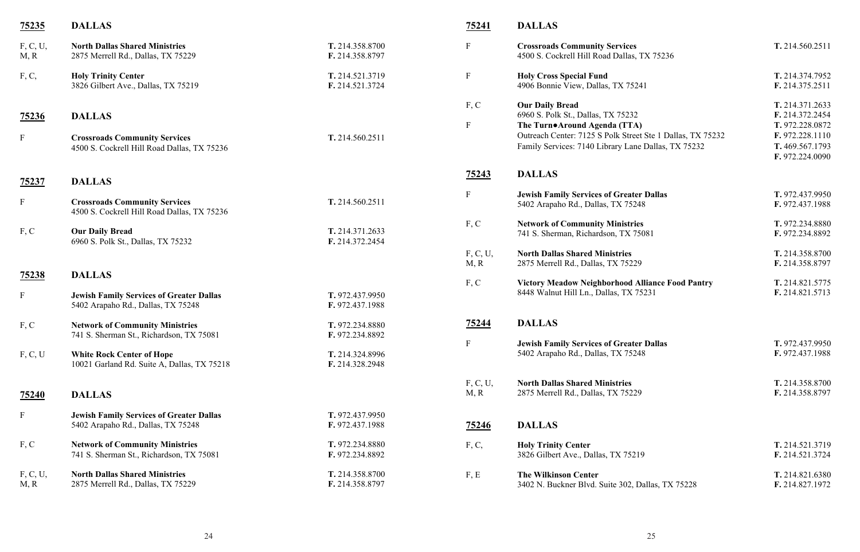F **Holy Cross Special Fund T.** 214.374.7952 4906 Bonnie View, Dallas, TX 75241 **F.** 214.375.2511 F, C **Our Daily Bread T.** 214.371.2633 6960 S. Polk St., Dallas, TX 75232 **F.** 214.372.2454 F **The Turn●Around Agenda (TTA) T.** 972.228.0872 **Ste 1 Dallas, TX 75232 F. 972.228.1110**<br> **Dallas, TX 75232 T. 469.567.1793** Dallas, TX 75232 **F.** 972.224.0090 F **Jewish Family Services of Greater Dallas T.** 972.437.9950 5402 Arapaho Rd., Dallas, TX 75248 **F.** 972.437.1988 **F.** 972.234.8880<br> **F.** 972.234.8892 741 S. Sherman, Richardson, TX 75081 **F.** 972.234.8892 F, C, U, **North Dallas Shared Ministries T.** 214.358.8700 M, R 2875 Merrell Rd., Dallas, TX 75229 **F.** 214.358.8797 **F. 214.821.5775**<br> **F. 214.821.5713** F. 214.821.5713 F **Jewish Family Services of Greater Dallas T.** 972.437.9950 5402 Arapaho Rd., Dallas, TX 75248 **F.** 972.437.1988 F, C, U, **North Dallas Shared Ministries T.** 214.358.8700 M, R 2875 Merrell Rd., Dallas, TX 75229 **F.** 214.358.8797 F, C, **Holy Trinity Center T.** 214.521.3719 3826 Gilbert Ave., Dallas, TX 75219 **F.** 214.521.3724 **T.** 214.821.6380<br>**F.** 214.827.1972 F. 214.827.1972

| <u>75235</u>              | <b>DALLAS</b>                                                                         |                                    | 75241                     | <b>DALLAS</b>                                                                                                                                 |
|---------------------------|---------------------------------------------------------------------------------------|------------------------------------|---------------------------|-----------------------------------------------------------------------------------------------------------------------------------------------|
| F, C, U,<br>M, R          | <b>North Dallas Shared Ministries</b><br>2875 Merrell Rd., Dallas, TX 75229           | T. 214.358.8700<br>F. 214.358.8797 | $\boldsymbol{\mathrm{F}}$ | <b>Crossroads Community Services</b><br>4500 S. Cockrell Hill Road Dallas, TX 75236                                                           |
| F, C,                     | <b>Holy Trinity Center</b><br>3826 Gilbert Ave., Dallas, TX 75219                     | T. 214.521.3719<br>F. 214.521.3724 | $\mathbf F$               | <b>Holy Cross Special Fund</b><br>4906 Bonnie View, Dallas, TX 75241                                                                          |
| <u>75236</u>              | <b>DALLAS</b>                                                                         |                                    | F, C<br>$\mathbf F$       | <b>Our Daily Bread</b><br>6960 S. Polk St., Dallas, TX 75232<br>The Turn•Around Agenda (TTA)<br>Outreach Center: 7125 S Polk Street Ste 1 Dal |
| $\boldsymbol{\mathrm{F}}$ | <b>Crossroads Community Services</b><br>4500 S. Cockrell Hill Road Dallas, TX 75236   | T. 214.560.2511                    |                           | Family Services: 7140 Library Lane Dallas, T.                                                                                                 |
| <u>75237</u>              | <b>DALLAS</b>                                                                         |                                    | <u>75243</u>              | <b>DALLAS</b>                                                                                                                                 |
| $\boldsymbol{\mathrm{F}}$ | <b>Crossroads Community Services</b><br>4500 S. Cockrell Hill Road Dallas, TX 75236   | T. 214.560.2511                    | $\boldsymbol{\mathrm{F}}$ | <b>Jewish Family Services of Greater Dallas</b><br>5402 Arapaho Rd., Dallas, TX 75248                                                         |
| F, C                      | <b>Our Daily Bread</b><br>6960 S. Polk St., Dallas, TX 75232                          | T. 214.371.2633<br>F. 214.372.2454 | F, C                      | <b>Network of Community Ministries</b><br>741 S. Sherman, Richardson, TX 75081                                                                |
|                           |                                                                                       |                                    | F, C, U,<br>M, R          | <b>North Dallas Shared Ministries</b><br>2875 Merrell Rd., Dallas, TX 75229                                                                   |
| <u>75238</u>              | <b>DALLAS</b>                                                                         |                                    | F, C                      | Victory Meadow Neighborhood Alliance Fo<br>8448 Walnut Hill Ln., Dallas, TX 75231                                                             |
| $\boldsymbol{\mathrm{F}}$ | <b>Jewish Family Services of Greater Dallas</b><br>5402 Arapaho Rd., Dallas, TX 75248 | T. 972.437.9950<br>F. 972.437.1988 |                           |                                                                                                                                               |
| F, C                      | <b>Network of Community Ministries</b><br>741 S. Sherman St., Richardson, TX 75081    | T. 972.234.8880<br>F. 972.234.8892 | <u>75244</u>              | <b>DALLAS</b>                                                                                                                                 |
| F, C, U                   | <b>White Rock Center of Hope</b><br>10021 Garland Rd. Suite A, Dallas, TX 75218       | T. 214.324.8996<br>F. 214.328.2948 |                           | <b>Jewish Family Services of Greater Dallas</b><br>5402 Arapaho Rd., Dallas, TX 75248                                                         |
| <u>75240</u>              | <b>DALLAS</b>                                                                         |                                    | F, C, U,<br>M, R          | <b>North Dallas Shared Ministries</b><br>2875 Merrell Rd., Dallas, TX 75229                                                                   |
| $\mathbf{F}$              | <b>Jewish Family Services of Greater Dallas</b><br>5402 Arapaho Rd., Dallas, TX 75248 | T. 972.437.9950<br>F. 972.437.1988 | <u>75246</u>              | <b>DALLAS</b>                                                                                                                                 |
| F, C                      | <b>Network of Community Ministries</b><br>741 S. Sherman St., Richardson, TX 75081    | T. 972.234.8880<br>F. 972.234.8892 | F, C,                     | <b>Holy Trinity Center</b><br>3826 Gilbert Ave., Dallas, TX 75219                                                                             |
| F, C, U,<br>M, R          | <b>North Dallas Shared Ministries</b><br>2875 Merrell Rd., Dallas, TX 75229           | T. 214.358.8700<br>F. 214.358.8797 | F, E                      | <b>The Wilkinson Center</b><br>3402 N. Buckner Blvd. Suite 302, Dallas, TX                                                                    |

F **Crossroads Community Services T.** 214.560.2511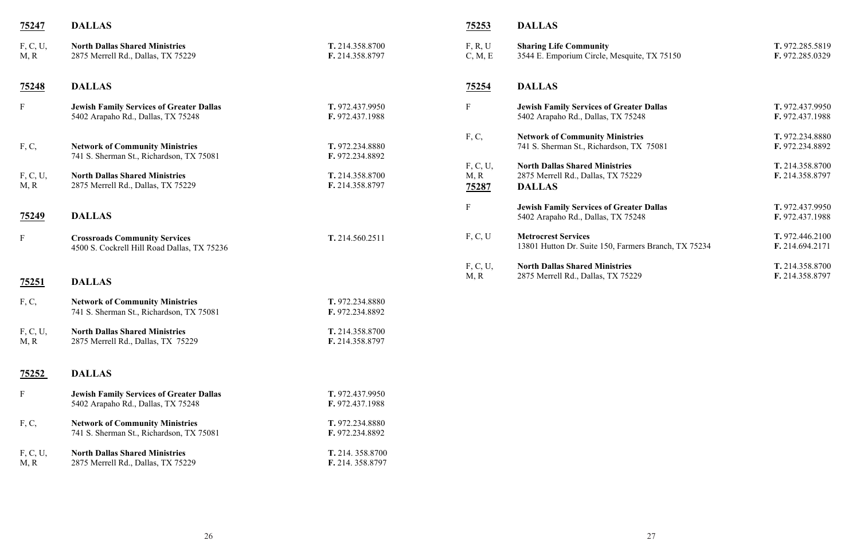| 75247                     | <b>DALLAS</b>                                                                         |                                      | 75253                     | <b>DALLAS</b>                                                                                |
|---------------------------|---------------------------------------------------------------------------------------|--------------------------------------|---------------------------|----------------------------------------------------------------------------------------------|
| F, C, U,<br>M, R          | <b>North Dallas Shared Ministries</b><br>2875 Merrell Rd., Dallas, TX 75229           | T. 214.358.8700<br>F. 214.358.8797   | F, R, U<br>C, M, E        | <b>Sharing Life Community</b><br>3544 E. Emporium Circle, Mesquite,                          |
| <u>75248</u>              | <b>DALLAS</b>                                                                         |                                      | <u>75254</u>              | <b>DALLAS</b>                                                                                |
| $\boldsymbol{\mathrm{F}}$ | <b>Jewish Family Services of Greater Dallas</b><br>5402 Arapaho Rd., Dallas, TX 75248 | T. 972.437.9950<br>F. 972.437.1988   | $\boldsymbol{\mathrm{F}}$ | <b>Jewish Family Services of Greater I</b><br>5402 Arapaho Rd., Dallas, TX 75248             |
| F, C,                     | <b>Network of Community Ministries</b><br>741 S. Sherman St., Richardson, TX 75081    | T. 972.234.8880<br>F. 972.234.8892   | F, C,                     | <b>Network of Community Ministries</b><br>741 S. Sherman St., Richardson, TX                 |
| F, C, U,<br>M, R          | <b>North Dallas Shared Ministries</b><br>2875 Merrell Rd., Dallas, TX 75229           | T. 214.358.8700<br>F. 214.358.8797   | F, C, U,<br>M, R<br>75287 | <b>North Dallas Shared Ministries</b><br>2875 Merrell Rd., Dallas, TX 75229<br><b>DALLAS</b> |
| <u>75249</u>              | <b>DALLAS</b>                                                                         |                                      | $\mathbf F$               | <b>Jewish Family Services of Greater I</b><br>5402 Arapaho Rd., Dallas, TX 75248             |
| $\boldsymbol{\mathrm{F}}$ | <b>Crossroads Community Services</b><br>4500 S. Cockrell Hill Road Dallas, TX 75236   | T. 214.560.2511                      | F, C, U                   | <b>Metrocrest Services</b><br>13801 Hutton Dr. Suite 150, Farmers                            |
| <u>75251</u>              | <b>DALLAS</b>                                                                         |                                      | F, C, U,<br>M, R          | <b>North Dallas Shared Ministries</b><br>2875 Merrell Rd., Dallas, TX 75229                  |
| F, C,                     | <b>Network of Community Ministries</b><br>741 S. Sherman St., Richardson, TX 75081    | T. 972.234.8880<br>F. 972.234.8892   |                           |                                                                                              |
| F, C, U,<br>M, R          | <b>North Dallas Shared Ministries</b><br>2875 Merrell Rd., Dallas, TX 75229           | T. 214.358.8700<br>F. 214.358.8797   |                           |                                                                                              |
| <u>75252</u>              | <b>DALLAS</b>                                                                         |                                      |                           |                                                                                              |
| $\boldsymbol{\mathrm{F}}$ | <b>Jewish Family Services of Greater Dallas</b><br>5402 Arapaho Rd., Dallas, TX 75248 | T. 972.437.9950<br>F. 972.437.1988   |                           |                                                                                              |
| F, C,                     | <b>Network of Community Ministries</b><br>741 S. Sherman St., Richardson, TX 75081    | T. 972.234.8880<br>F. 972.234.8892   |                           |                                                                                              |
| F, C, U,<br>M, R          | <b>North Dallas Shared Ministries</b><br>2875 Merrell Rd., Dallas, TX 75229           | T. 214. 358.8700<br>F. 214. 358.8797 |                           |                                                                                              |
|                           |                                                                                       |                                      |                           |                                                                                              |

| F, R, U<br>C, M, E        | <b>Sharing Life Community</b><br>3544 E. Emporium Circle, Mesquite, TX 75150                 | T. 972.285.5819<br>F. 972.285.0329 |
|---------------------------|----------------------------------------------------------------------------------------------|------------------------------------|
| <u>75254</u>              | <b>DALLAS</b>                                                                                |                                    |
| F                         | <b>Jewish Family Services of Greater Dallas</b><br>5402 Arapaho Rd., Dallas, TX 75248        | T. 972.437.9950<br>F. 972.437.1988 |
| F, C,                     | <b>Network of Community Ministries</b><br>741 S. Sherman St., Richardson, TX 75081           | T. 972.234.8880<br>F. 972.234.8892 |
| F, C, U,<br>M, R<br>75287 | <b>North Dallas Shared Ministries</b><br>2875 Merrell Rd., Dallas, TX 75229<br><b>DALLAS</b> | T. 214.358.8700<br>F. 214.358.8797 |
| F                         | <b>Jewish Family Services of Greater Dallas</b><br>5402 Arapaho Rd., Dallas, TX 75248        | T. 972.437.9950<br>F. 972.437.1988 |
| F, C, U                   | <b>Metrocrest Services</b><br>13801 Hutton Dr. Suite 150, Farmers Branch, TX 75234           | T. 972.446.2100<br>F. 214.694.2171 |
| F, C, U,<br>M, R          | <b>North Dallas Shared Ministries</b><br>2875 Merrell Rd., Dallas, TX 75229                  | T. 214.358.8700<br>F. 214.358.8797 |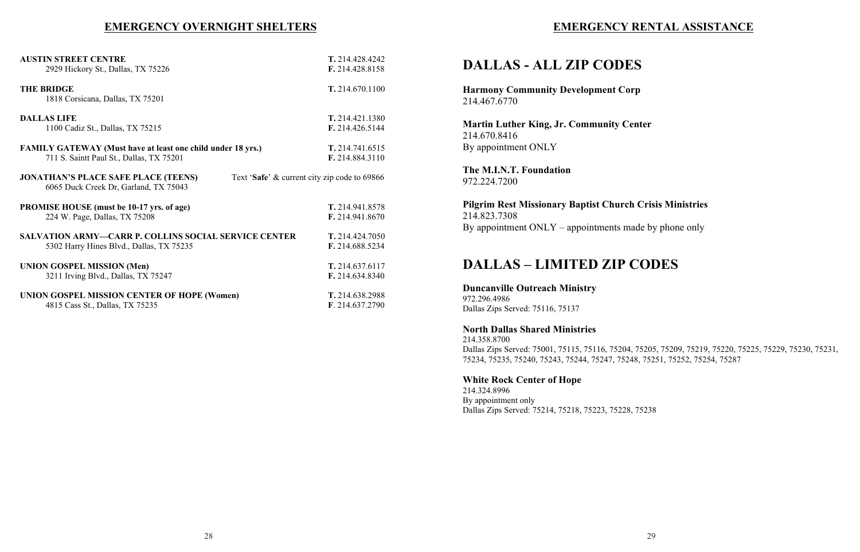## **EMERGENCY RENTAL ASSISTANCE**

## **DALLAS - ALL ZIP CODES**

**Harmony Community Development Corp** 214.467.6770

**Martin Luther King, Jr. Community Center** 214.670.8416 By appointment ONLY

**The M.I.N.T. Foundation** 972.224.7200

**Pilgrim Rest Missionary Baptist Church Crisis Ministries** 214.823.7308 By appointment ONLY – appointments made by phone only

## **DALLAS – LIMITED ZIP CODES**

**Duncanville Outreach Ministry** 972.296.4986 Dallas Zips Served: 75116, 75137

**North Dallas Shared Ministries**

214.358.8700 Dallas Zips Served: 75001, 75115, 75116, 75204, 75205, 75209, 75219, 75220, 75225, 75229, 75230, 75231, 75234, 75235, 75240, 75243, 75244, 75247, 75248, 75251, 75252, 75254, 75287

### **White Rock Center of Hope**

214.324.8996 By appointment only Dallas Zips Served: 75214, 75218, 75223, 75228, 75238

## **EMERGENCY OVERNIGHT SHELTERS**

| <b>AUSTIN STREET CENTRE</b>                                                                                                         | T. 214.428.4242 |
|-------------------------------------------------------------------------------------------------------------------------------------|-----------------|
| 2929 Hickory St., Dallas, TX 75226                                                                                                  | F. 214.428.8158 |
| <b>THE BRIDGE</b><br>1818 Corsicana, Dallas, TX 75201                                                                               | T. 214.670.1100 |
| <b>DALLAS LIFE</b>                                                                                                                  | T. 214.421.1380 |
| 1100 Cadiz St., Dallas, TX 75215                                                                                                    | F. 214.426.5144 |
| <b>FAMILY GATEWAY (Must have at least one child under 18 yrs.)</b>                                                                  | T. 214.741.6515 |
| 711 S. Saintt Paul St., Dallas, TX 75201                                                                                            | F. 214.884.3110 |
| <b>JONATHAN'S PLACE SAFE PLACE (TEENS)</b><br>Text 'Safe' & current city zip code to 69866<br>6065 Duck Creek Dr, Garland, TX 75043 |                 |
| <b>PROMISE HOUSE</b> (must be 10-17 yrs. of age)                                                                                    | T. 214.941.8578 |
| 224 W. Page, Dallas, TX 75208                                                                                                       | F. 214.941.8670 |
| <b>SALVATION ARMY-CARR P. COLLINS SOCIAL SERVICE CENTER</b>                                                                         | T. 214.424.7050 |
| 5302 Harry Hines Blvd., Dallas, TX 75235                                                                                            | F. 214.688.5234 |
| <b>UNION GOSPEL MISSION (Men)</b>                                                                                                   | T. 214.637.6117 |
| 3211 Irving Blvd., Dallas, TX 75247                                                                                                 | F. 214.634.8340 |
| <b>UNION GOSPEL MISSION CENTER OF HOPE (Women)</b>                                                                                  | T. 214.638.2988 |
| 4815 Cass St., Dallas, TX 75235                                                                                                     | F. 214.637.2790 |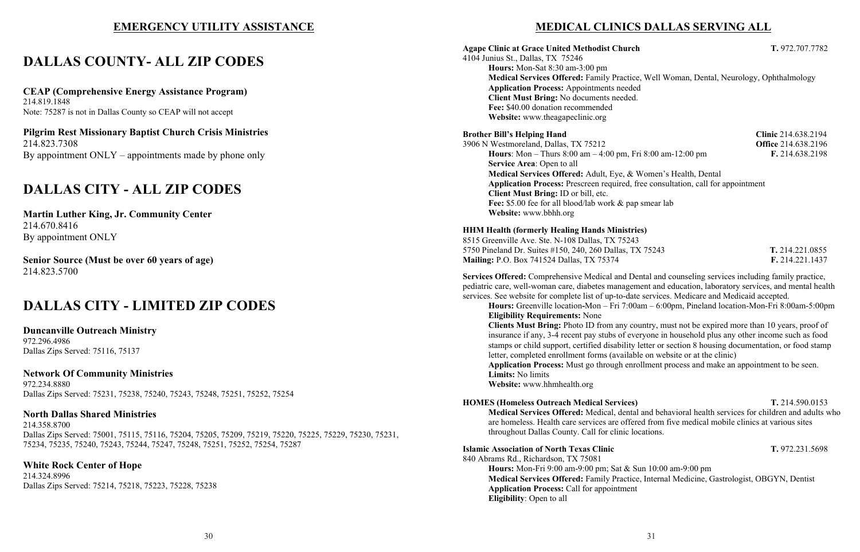## **EMERGENCY UTILITY ASSISTANCE**

## **DALLAS COUNTY- ALL ZIP CODES**

**Pilgrim Rest Missionary Baptist Church Crisis Ministries** 214.823.7308 By appointment  $ONLY$  – appointments made by phone only

**CEAP (Comprehensive Energy Assistance Program)** 214.819.1848 Note: 75287 is not in Dallas County so CEAP will not accept

## **DALLAS CITY - ALL ZIP CODES**

**Martin Luther King, Jr. Community Center** 214.670.8416 By appointment ONLY

**Senior Source (Must be over 60 years of age)** 214.823.5700

## **DALLAS CITY - LIMITED ZIP CODES**

**Duncanville Outreach Ministry** 972.296.4986 Dallas Zips Served: 75116, 75137

**Network Of Community Ministries** 972.234.8880 Dallas Zips Served: 75231, 75238, 75240, 75243, 75248, 75251, 75252, 75254

**North Dallas Shared Ministries** 214.358.8700 Dallas Zips Served: 75001, 75115, 75116, 75204, 75205, 75209, 75219, 75220, 75225, 75229, 75230, 75231, 75234, 75235, 75240, 75243, 75244, 75247, 75248, 75251, 75252, 75254, 75287

**White Rock Center of Hope** 214.324.8996 Dallas Zips Served: 75214, 75218, 75223, 75228, 75238

## **MEDICAL CLINICS DALLAS SERVING ALL**

**Agape Clinic at Grace United Methodist Church T.** 972.707.7782 4104 Junius St., Dallas, TX 75246

**Hours:** Mon-Sat 8:30 am-3:00 pm **Medical Services Offered:** Family Practice, Well Woman, Dental, Neurology, Ophthalmology **Application Process:** Appointments needed **Client Must Bring:** No documents needed. **Fee:** \$40.00 donation recommended **Website:** www.theagapeclinic.org

### **Brother Bill's Helping Hand Clinic** 214.638.2194

3906 N Westmoreland, Dallas, TX 75212 **Office** 214.638.2196 **Hours**: Mon – Thurs 8:00 am – 4:00 pm, Fri 8:00 am-12:00 pm **F.** 214.638.2198 **Service Area**: Open to all **Medical Services Offered:** Adult, Eye, & Women's Health, Dental **Application Process:** Prescreen required, free consultation, call for appointment **Client Must Bring:** ID or bill, etc. Fee: \$5.00 fee for all blood/lab work & pap smear lab **Website:** www.bbhh.org

**HHM Health (formerly Healing Hands Ministries)** 8515 Greenville Ave. Ste. N-108 Dallas, TX 75243 5750 Pineland Dr. Suites #150, 240, 260 Dallas, TX 75243 **T.** 214.221.0855 **Mailing:** P.O. Box 741524 Dallas, TX 75374 **F.** 214.221.1437

**Services Offered:** Comprehensive Medical and Dental and counseling services including family practice, pediatric care, well-woman care, diabetes management and education, laboratory services, and mental health services. See website for complete list of up-to-date services. Medicare and Medicaid accepted. **Hours:** Greenville location**-**Mon – Fri 7:00am – 6:00pm, Pineland location-Mon-Fri 8:00am-5:00pm

**Eligibility Requirements:** None **Clients Must Bring:** Photo ID from any country, must not be expired more than 10 years, proof of insurance if any, 3-4 recent pay stubs of everyone in household plus any other income such as food stamps or child support, certified disability letter or section 8 housing documentation, or food stamp letter, completed enrollment forms (available on website or at the clinic) **Application Process:** Must go through enrollment process and make an appointment to be seen. **Limits:** No limits **Website:** www.hhmhealth.org

**HOMES (Homeless Outreach Medical Services) T.** 214.590.0153 **Medical Services Offered:** Medical, dental and behavioral health services for children and adults who are homeless. Health care services are offered from five medical mobile clinics at various sites throughout Dallas County. Call for clinic locations.

**Islamic Association of North Texas Clinic T.** 972.231.5698 840 Abrams Rd., Richardson, TX 75081 **Hours:** Mon-Fri 9:00 am-9:00 pm; Sat & Sun 10:00 am-9:00 pm **Medical Services Offered:** Family Practice, Internal Medicine, Gastrologist, OBGYN, Dentist **Application Process:** Call for appointment **Eligibility**: Open to all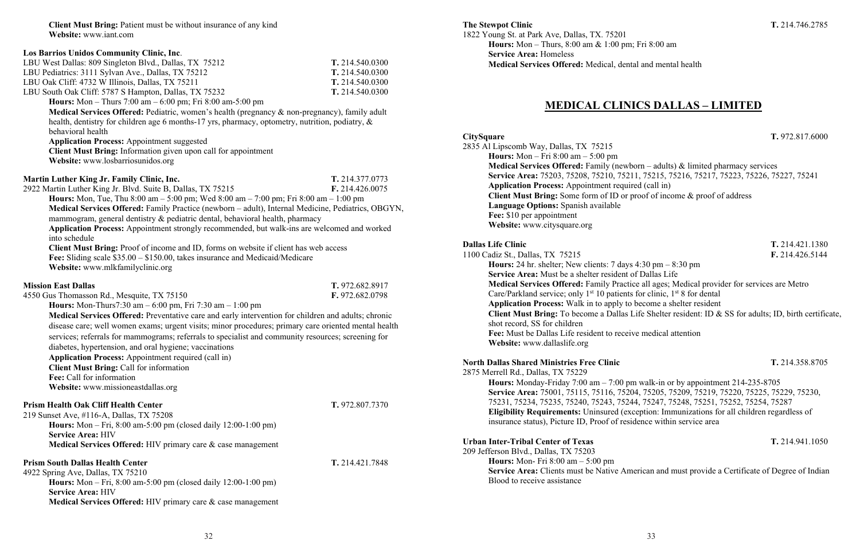**Client Must Bring:** Patient must be without insurance of any kind **Website:** www.iant.com

| Los Barrios Unidos Community Clinic, Inc.                                                            |                 |
|------------------------------------------------------------------------------------------------------|-----------------|
| LBU West Dallas: 809 Singleton Blvd., Dallas, TX 75212                                               | T. 214.540.0300 |
| LBU Pediatrics: 3111 Sylvan Ave., Dallas, TX 75212                                                   | T. 214.540.0300 |
| LBU Oak Cliff: 4732 W Illinois, Dallas, TX 75211                                                     | T. 214.540.0300 |
| LBU South Oak Cliff: 5787 S Hampton, Dallas, TX 75232                                                | T. 214.540.0300 |
| <b>Hours:</b> Mon – Thurs 7:00 am – 6:00 pm; Fri 8:00 am-5:00 pm                                     |                 |
| Medical Services Offered: Pediatric, women's health (pregnancy & non-pregnancy), family adult        |                 |
| health, dentistry for children age 6 months-17 yrs, pharmacy, optometry, nutrition, podiatry, &      |                 |
| behavioral health                                                                                    |                 |
| <b>Application Process: Appointment suggested</b>                                                    |                 |
| Client Must Bring: Information given upon call for appointment                                       |                 |
| Website: www.losbarriosunidos.org                                                                    |                 |
|                                                                                                      |                 |
| Martin Luther King Jr. Family Clinic, Inc.                                                           | T. 214.377.0773 |
| 2922 Martin Luther King Jr. Blvd. Suite B, Dallas, TX 75215                                          | F. 214.426.0075 |
| <b>Hours:</b> Mon, Tue, Thu 8:00 am $-$ 5:00 pm; Wed 8:00 am $-$ 7:00 pm; Fri 8:00 am $-$ 1:00 pm    |                 |
| Medical Services Offered: Family Practice (newborn - adult), Internal Medicine, Pediatrics, OBGYN,   |                 |
| mammogram, general dentistry & pediatric dental, behavioral health, pharmacy                         |                 |
| Application Process: Appointment strongly recommended, but walk-ins are welcomed and worked          |                 |
| into schedule                                                                                        |                 |
| Client Must Bring: Proof of income and ID, forms on website if client has web access                 |                 |
| Fee: Sliding scale \$35.00 - \$150.00, takes insurance and Medicaid/Medicare                         |                 |
| Website: www.mlkfamilyclinic.org                                                                     |                 |
| <b>Mission East Dallas</b>                                                                           |                 |
|                                                                                                      | T. 972.682.8917 |
| 4550 Gus Thomasson Rd., Mesquite, TX 75150                                                           | F. 972.682.0798 |
| <b>Hours:</b> Mon-Thurs7:30 am $- 6:00$ pm, Fri 7:30 am $- 1:00$ pm                                  |                 |
| Medical Services Offered: Preventative care and early intervention for children and adults; chronic  |                 |
|                                                                                                      |                 |
| disease care; well women exams; urgent visits; minor procedures; primary care oriented mental health |                 |
| services; referrals for mammograms; referrals to specialist and community resources; screening for   |                 |
| diabetes, hypertension, and oral hygiene; vaccinations                                               |                 |
| <b>Application Process: Appointment required (call in)</b>                                           |                 |
| <b>Client Must Bring: Call for information</b>                                                       |                 |
| Fee: Call for information                                                                            |                 |
| Website: www.missioneastdallas.org                                                                   |                 |
| <b>Prism Health Oak Cliff Health Center</b>                                                          | T. 972.807.7370 |
| 219 Sunset Ave, #116-A, Dallas, TX 75208                                                             |                 |
| <b>Hours:</b> Mon – Fri, 8:00 am-5:00 pm (closed daily $12:00-1:00$ pm)                              |                 |
| <b>Service Area: HIV</b>                                                                             |                 |
| Medical Services Offered: HIV primary care & case management                                         |                 |
|                                                                                                      |                 |
| <b>Prism South Dallas Health Center</b>                                                              | T. 214.421.7848 |
| 4922 Spring Ave, Dallas, TX 75210                                                                    |                 |
| <b>Hours:</b> Mon – Fri, 8:00 am-5:00 pm (closed daily $12:00-1:00$ pm)                              |                 |
| <b>Service Area: HIV</b><br>Medical Services Offered: HIV primary care & case management             |                 |

**The Stewpot Clinic T.** 214.746.2785 1822 Young St. at Park Ave, Dallas, TX. 75201 **Hours:** Mon – Thurs, 8:00 am & 1:00 pm; Fri 8:00 am **Service Area:** Homeless **Medical Services Offered:** Medical, dental and mental health

## **MEDICAL CLINICS DALLAS – LIMITED**

### **CitySquare T.** 972.817.6000

2835 Al Lipscomb Way, Dallas, TX 75215 **Hours:** Mon – Fri 8:00 am – 5:00 pm **Medical Services Offered:** Family (newborn – adults) & limited pharmacy services **Service Area:** 75203, 75208, 75210, 75211, 75215, 75216, 75217, 75223, 75226, 75227, 75241 **Application Process:** Appointment required (call in) **Client Must Bring:** Some form of ID or proof of income & proof of address **Language Options:** Spanish available **Fee:** \$10 per appointment **Website:** www.citysquare.org

### **Dallas Life Clinic T.** 214.421.1380

1100 Cadiz St., Dallas, TX 75215 **F.** 214.426.5144 **Hours:** 24 hr. shelter; New clients: 7 days 4:30 pm – 8:30 pm **Service Area:** Must be a shelter resident of Dallas Life **Medical Services Offered:** Family Practice all ages; Medical provider for services are Metro Care/Parkland service; only  $1<sup>st</sup> 10$  patients for clinic,  $1<sup>st</sup> 8$  for dental **Application Process:** Walk in to apply to become a shelter resident **Client Must Bring:** To become a Dallas Life Shelter resident: ID & SS for adults; ID, birth certificate, shot record, SS for children **Fee:** Must be Dallas Life resident to receive medical attention **Website:** www.dallaslife.org

## **North Dallas Shared Ministries Free Clinic T.** 214.358.8705

2875 Merrell Rd., Dallas, TX 75229 **Hours:** Monday-Friday 7:00 am – 7:00 pm walk-in or by appointment 214-235-8705 **Service Area:** 75001, 75115, 75116, 75204, 75205, 75209, 75219, 75220, 75225, 75229, 75230, 75231, 75234, 75235, 75240, 75243, 75244, 75247, 75248, 75251, 75252, 75254, 75287 **Eligibility Requirements:** Uninsured (exception: Immunizations for all children regardless of insurance status), Picture ID, Proof of residence within service area

### **Urban Inter-Tribal Center of Texas T.** 214.941.1050

209 Jefferson Blvd., Dallas, TX 75203 **Hours:** Mon- Fri 8:00 am – 5:00 pm **Service Area:** Clients must be Native American and must provide a Certificate of Degree of Indian Blood to receive assistance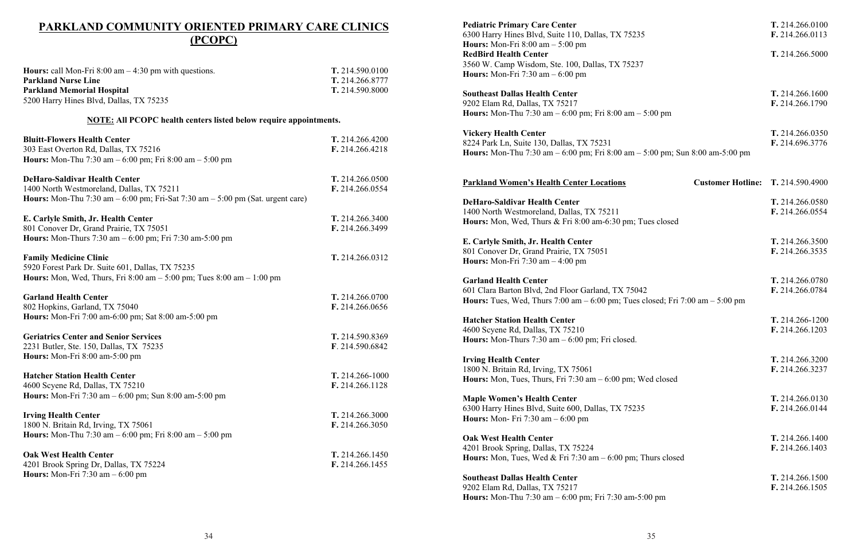## **PARKLAND COMMUNITY ORIENTED PRIMARY CARE CLINICS (PCOPC)**

| <b>Hours:</b> call Mon-Fri $8:00$ am $-4:30$ pm with questions.                         | T. 214.590.0100 |
|-----------------------------------------------------------------------------------------|-----------------|
| <b>Parkland Nurse Line</b>                                                              | T. 214.266.8777 |
| <b>Parkland Memorial Hospital</b>                                                       | T. 214.590.8000 |
| 5200 Harry Hines Blvd, Dallas, TX 75235                                                 |                 |
| <b>NOTE:</b> All PCOPC health centers listed below require appointments.                |                 |
| <b>Bluitt-Flowers Health Center</b>                                                     | T. 214.266.4200 |
| 303 East Overton Rd, Dallas, TX 75216                                                   | F. 214.266.4218 |
| <b>Hours:</b> Mon-Thu 7:30 am $-6:00$ pm; Fri 8:00 am $-5:00$ pm                        |                 |
| <b>DeHaro-Saldivar Health Center</b>                                                    | T. 214.266.0500 |
| 1400 North Westmoreland, Dallas, TX 75211                                               | F. 214.266.0554 |
| <b>Hours:</b> Mon-Thu 7:30 am $-6:00$ pm; Fri-Sat 7:30 am $-5:00$ pm (Sat. urgent care) |                 |
| E. Carlyle Smith, Jr. Health Center                                                     | T. 214.266.3400 |
| 801 Conover Dr, Grand Prairie, TX 75051                                                 | F. 214.266.3499 |
| <b>Hours:</b> Mon-Thurs 7:30 am $- 6:00$ pm; Fri 7:30 am-5:00 pm                        |                 |
| <b>Family Medicine Clinic</b>                                                           | T. 214.266.0312 |
| 5920 Forest Park Dr. Suite 601, Dallas, TX 75235                                        |                 |
| <b>Hours:</b> Mon, Wed, Thurs, Fri 8:00 am $-$ 5:00 pm; Tues 8:00 am $-$ 1:00 pm        |                 |
| <b>Garland Health Center</b>                                                            | T. 214.266.0700 |
| 802 Hopkins, Garland, TX 75040                                                          | F. 214.266.0656 |
| Hours: Mon-Fri 7:00 am-6:00 pm; Sat 8:00 am-5:00 pm                                     |                 |
| <b>Geriatrics Center and Senior Services</b>                                            | T. 214.590.8369 |
| 2231 Butler, Ste. 150, Dallas, TX 75235                                                 | F. 214.590.6842 |
| Hours: Mon-Fri 8:00 am-5:00 pm                                                          |                 |
| <b>Hatcher Station Health Center</b>                                                    | T. 214.266-1000 |
| 4600 Scyene Rd, Dallas, TX 75210                                                        | F. 214.266.1128 |
| <b>Hours:</b> Mon-Fri 7:30 am $- 6:00$ pm; Sun 8:00 am-5:00 pm                          |                 |
| <b>Irving Health Center</b>                                                             | T. 214.266.3000 |
| 1800 N. Britain Rd, Irving, TX 75061                                                    | F. 214.266.3050 |
| <b>Hours:</b> Mon-Thu 7:30 am $- 6:00$ pm; Fri 8:00 am $- 5:00$ pm                      |                 |
| <b>Oak West Health Center</b>                                                           | T. 214.266.1450 |
| 4201 Brook Spring Dr, Dallas, TX 75224                                                  | F. 214.266.1455 |
| Hours: Mon-Fri $7:30$ am $-6:00$ pm                                                     |                 |

### **Pediatric Primary Care Center**

6300 Harry Hines Blvd, Suite 110, Dallas, TX 7523: **Hours:** Mon-Fri 8:00 am – 5:00 pm **RedBird Health Center** 3560 W. Camp Wisdom, Ste. 100, Dallas, TX 75237 **Hours:** Mon-Fri 7:30 am – 6:00 pm

**Southeast Dallas Health Center** 9202 Elam Rd, Dallas, TX 75217 **Hours:** Mon-Thu 7:30 am – 6:00 pm; Fri 8:00 am –

**Vickery Health Center** 8224 Park Ln, Suite 130, Dallas, TX 75231 **Hours:** Mon-Thu  $7:30$  am  $-6:00$  pm; Fri  $8:00$  am  $-$ 

### **Parkland Women's Health Center Locations**

**DeHaro-Saldivar Health Center** 1400 North Westmoreland, Dallas, TX 75211 **Hours:** Mon, Wed, Thurs & Fri 8:00 am-6:30 pm; T

**E.** Carlyle Smith, Jr. Health Center 801 Conover Dr, Grand Prairie, TX 75051 **Hours:** Mon-Fri 7:30 am – 4:00 pm

**Garland Health Center** 601 Clara Barton Blvd, 2nd Floor Garland, TX 7504. **Hours:** Tues, Wed, Thurs  $7:00 \text{ am } -6:00 \text{ pm}$ ; Tues

**Hatcher Station Health Center** 4600 Scyene Rd, Dallas, TX 75210 **Hours:** Mon-Thurs 7:30 am – 6:00 pm; Fri closed.

**Irving Health Center** 1800 N. Britain Rd, Irving, TX 75061 **Hours:** Mon, Tues, Thurs, Fri  $7:30$  am  $-6:00$  pm; W

**Maple Women's Health Center** 6300 Harry Hines Blvd, Suite 600, Dallas, TX 7523: **Hours:** Mon- Fri 7:30 am – 6:00 pm

**Oak West Health Center** 4201 Brook Spring, Dallas, TX 75224 **Hours:** Mon, Tues, Wed & Fri  $7:30$  am  $-6:00$  pm;

**Southeast Dallas Health Center** 9202 Elam Rd, Dallas, TX 75217 **Hours:** Mon-Thu 7:30 am – 6:00 pm; Fri 7:30 am-5:

| 5                                               | T. 214.266.0100<br>F. 214.266.0113 |
|-------------------------------------------------|------------------------------------|
|                                                 | T. 214.266.5000                    |
| $5:00 \text{ pm}$                               | T. 214.266.1600<br>F. 214.266.1790 |
| 5:00 pm; Sun 8:00 am-5:00 pm                    | T. 214.266.0350<br>F. 214.696.3776 |
| <b>Customer Hotline: T. 214.590.4900</b>        |                                    |
| ues closed                                      | T. 214.266.0580<br>F. 214.266.0554 |
|                                                 | T. 214.266.3500<br>F. 214.266.3535 |
| $\overline{2}$<br>closed; Fri 7:00 am – 5:00 pm | T. 214.266.0780<br>F. 214.266.0784 |
|                                                 | T. 214.266-1200<br>F. 214.266.1203 |
| Ved closed                                      | T. 214.266.3200<br>F. 214.266.3237 |
| 5                                               | T. 214.266.0130<br>F. 214.266.0144 |
| Thurs closed                                    | T. 214.266.1400<br>F. 214.266.1403 |
| :00 pm                                          | T. 214.266.1500<br>F. 214.266.1505 |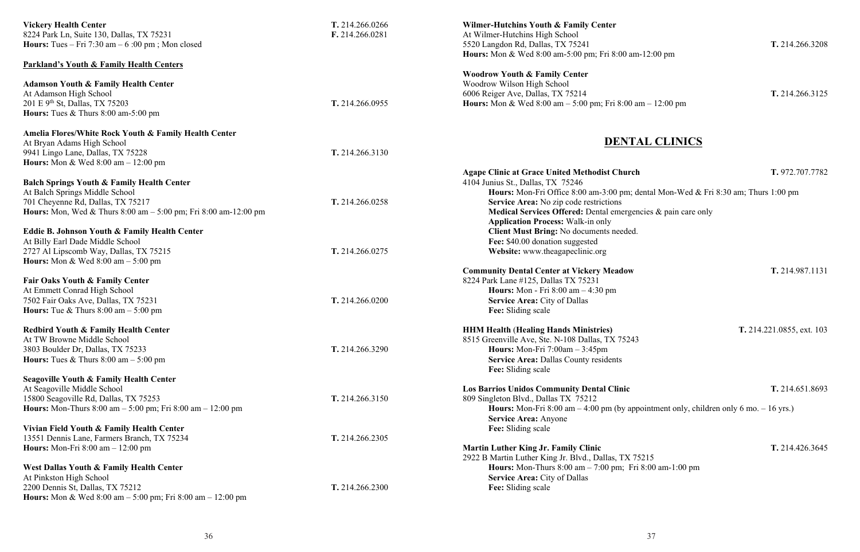| <b>Vickery Health Center</b><br>8224 Park Ln, Suite 130, Dallas, TX 75231<br><b>Hours:</b> Tues – Fri 7:30 am – $6:00$ pm; Mon closed                                                                                                                                                          | T. 214.266.0266<br>F. 214.266.0281 | <b>Wilmer-Hutchins Youth &amp; Family Center</b><br>At Wilmer-Hutchins High School<br>5520 Langdon Rd, Dallas, TX 75241                                                                                                                                                                |
|------------------------------------------------------------------------------------------------------------------------------------------------------------------------------------------------------------------------------------------------------------------------------------------------|------------------------------------|----------------------------------------------------------------------------------------------------------------------------------------------------------------------------------------------------------------------------------------------------------------------------------------|
| <b>Parkland's Youth &amp; Family Health Centers</b>                                                                                                                                                                                                                                            |                                    | <b>Hours:</b> Mon & Wed 8:00 am-5:00 pm; Fri 8:00 am-12:                                                                                                                                                                                                                               |
| <b>Adamson Youth &amp; Family Health Center</b><br>At Adamson High School<br>201 E 9 <sup>th</sup> St, Dallas, TX 75203<br>Hours: Tues & Thurs 8:00 am-5:00 pm                                                                                                                                 | T. 214.266.0955                    | <b>Woodrow Youth &amp; Family Center</b><br>Woodrow Wilson High School<br>6006 Reiger Ave, Dallas, TX 75214<br><b>Hours:</b> Mon & Wed 8:00 am $-$ 5:00 pm; Fri 8:00 am $-$                                                                                                            |
| Amelia Flores/White Rock Youth & Family Health Center<br>At Bryan Adams High School<br>9941 Lingo Lane, Dallas, TX 75228                                                                                                                                                                       | T. 214.266.3130                    | <b>DENTAL</b>                                                                                                                                                                                                                                                                          |
| <b>Hours:</b> Mon & Wed $8:00$ am $-12:00$ pm<br><b>Balch Springs Youth &amp; Family Health Center</b><br>At Balch Springs Middle School<br>701 Cheyenne Rd, Dallas, TX 75217<br><b>Hours:</b> Mon, Wed & Thurs $8:00 \text{ am} - 5:00 \text{ pm}$ ; Fri $8:00 \text{ am} - 12:00 \text{ pm}$ | T. 214.266.0258                    | <b>Agape Clinic at Grace United Methodist Church</b><br>4104 Junius St., Dallas, TX 75246<br>Hours: Mon-Fri Office 8:00 am-3:00 pm; denta<br>Service Area: No zip code restrictions<br><b>Medical Services Offered: Dental emergencies</b><br><b>Application Process: Walk-in only</b> |
| Eddie B. Johnson Youth & Family Health Center<br>At Billy Earl Dade Middle School<br>2727 Al Lipscomb Way, Dallas, TX 75215<br><b>Hours:</b> Mon & Wed $8:00 \text{ am} - 5:00 \text{ pm}$                                                                                                     | T. 214.266.0275                    | Client Must Bring: No documents needed.<br>Fee: \$40.00 donation suggested<br>Website: www.theagapeclinic.org                                                                                                                                                                          |
| <b>Fair Oaks Youth &amp; Family Center</b><br>At Emmett Conrad High School<br>7502 Fair Oaks Ave, Dallas, TX 75231<br><b>Hours:</b> Tue & Thurs $8:00 \text{ am} - 5:00 \text{ pm}$                                                                                                            | T. 214.266.0200                    | <b>Community Dental Center at Vickery Meadow</b><br>8224 Park Lane #125, Dallas TX 75231<br>Hours: Mon - Fri 8:00 am - 4:30 pm<br><b>Service Area: City of Dallas</b><br>Fee: Sliding scale                                                                                            |
| <b>Redbird Youth &amp; Family Health Center</b><br>At TW Browne Middle School<br>3803 Boulder Dr, Dallas, TX 75233<br><b>Hours:</b> Tues & Thurs $8:00 \text{ am} - 5:00 \text{ pm}$                                                                                                           | T. 214.266.3290                    | <b>HHM Health (Healing Hands Ministries)</b><br>8515 Greenville Ave, Ste. N-108 Dallas, TX 75243<br><b>Hours:</b> Mon-Fri $7:00am - 3:45pm$<br><b>Service Area: Dallas County residents</b><br>Fee: Sliding scale                                                                      |
| Seagoville Youth & Family Health Center<br>At Seagoville Middle School<br>15800 Seagoville Rd, Dallas, TX 75253<br><b>Hours:</b> Mon-Thurs 8:00 am $-$ 5:00 pm; Fri 8:00 am $-$ 12:00 pm                                                                                                       | T. 214.266.3150                    | <b>Los Barrios Unidos Community Dental Clinic</b><br>809 Singleton Blvd., Dallas TX 75212<br><b>Hours:</b> Mon-Fri $8:00$ am $-4:00$ pm (by appoint<br>Service Area: Anyone                                                                                                            |
| Vivian Field Youth & Family Health Center<br>13551 Dennis Lane, Farmers Branch, TX 75234<br><b>Hours:</b> Mon-Fri $8:00 \text{ am} - 12:00 \text{ pm}$                                                                                                                                         | T. 214.266.2305                    | Fee: Sliding scale<br><b>Martin Luther King Jr. Family Clinic</b><br>2922 B Martin Luther King Jr. Blvd., Dallas, TX 75215                                                                                                                                                             |
| West Dallas Youth & Family Health Center<br>At Pinkston High School<br>2200 Dennis St, Dallas, TX 75212<br><b>Hours:</b> Mon & Wed $8:00 \text{ am} - 5:00 \text{ pm}$ ; Fri $8:00 \text{ am} - 12:00 \text{ pm}$                                                                              | T. 214.266.2300                    | <b>Hours:</b> Mon-Thurs $8:00$ am $- 7:00$ pm; Fri $8:00$<br><b>Service Area: City of Dallas</b><br>Fee: Sliding scale                                                                                                                                                                 |

**Hours:** Monet B:00 pm

5520 Langdon Rd, Dallas, TX 75241 **T.** 214.266.3208

6006 Reiger Ave, Dallas, TX 75214 **T.** 214.266.3125

**Hours:** Mondon 2:00 pm

## **DENTAL CLINICS**

**Agape Clinic at Grace United Methodist Church T.** 972.707.7782

ental Mon-Wed & Fri 8:30 am; Thurs 1:00 pm

**Cies & pain care only** 

**Community Dental Center at Vickery Meadow T.** 214.987.1131

**HHM Health** (**Healing Hands Ministries) T.** 214.221.0855, ext. 103

**Los Barrios Unidos Community Dental Clinic T.** 214.651.8693

**Martin Luther King Jr. Family Clinic T.** 214.426.3645

wointment only, children only 6 mo. – 16 yrs.)

**5215**<br>i 8:00 am-1:00 pm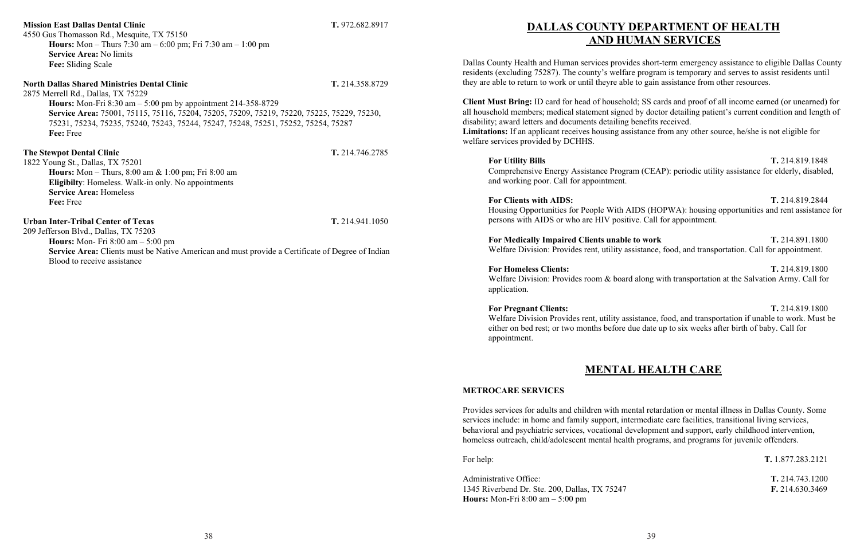## **Mission East Dallas Dental Clinic T.** 972.682.8917 4550 Gus Thomasson Rd., Mesquite, TX 75150 **Hours:** Mon – Thurs 7:30 am – 6:00 pm; Fri 7:30 am – 1:00 pm **Service Area:** No limits **Fee:** Sliding Scale

**North Dallas Shared Ministries Dental Clinic T.** 214.358.8729 2875 Merrell Rd., Dallas, TX 75229 **Hours:** Mon-Fri 8:30 am – 5:00 pm by appointment 214-358-8729 **Service Area:** 75001, 75115, 75116, 75204, 75205, 75209, 75219, 75220, 75225, 75229, 75230, 75231, 75234, 75235, 75240, 75243, 75244, 75247, 75248, 75251, 75252, 75254, 75287 **Fee:** Free **The Stewpot Dental Clinic T.** 214.746.2785

1822 Young St., Dallas, TX 75201 **Hours:** Mon – Thurs, 8:00 am & 1:00 pm; Fri 8:00 am **Eligibilty**: Homeless. Walk-in only. No appointments **Service Area:** Homeless **Fee:** Free

### **Urban Inter-Tribal Center of Texas T.** 214.941.1050

209 Jefferson Blvd., Dallas, TX 75203 **Hours:** Mon- Fri 8:00 am – 5:00 pm **Service Area:** Clients must be Native American and must provide a Certificate of Degree of Indian Blood to receive assistance

## **DALLAS COUNTY DEPARTMENT OF HEALTH AND HUMAN SERVICES**

**For Homeless Clients: T.** 214.819.1800 Welfare Division: Provides room & board along with transportation at the Salvation Army. Call for

Dallas County Health and Human services provides short-term emergency assistance to eligible Dallas County residents (excluding 75287). The county's welfare program is temporary and serves to assist residents until they are able to return to work or until theyre able to gain assistance from other resources.

**Client Must Bring:** ID card for head of household; SS cards and proof of all income earned (or unearned) for all household members; medical statement signed by doctor detailing patient's current condition and length of disability; award letters and documents detailing benefits received. **Limitations:** If an applicant receives housing assistance from any other source, he/she is not eligible for welfare services provided by DCHHS.

Administrative Office: **T.** 214.743.1200 1345 Riverbend Dr. Ste. 200, Dallas, TX 75247 **F.** 214.630.3469 **Hours:** Mon-Fri 8:00 am – 5:00 pm

**For Utility Bills T.** 214.819.1848 Comprehensive Energy Assistance Program (CEAP): periodic utility assistance for elderly, disabled,

and working poor. Call for appointment.

**For Clients with AIDS: T.** 214.819.2844 Housing Opportunities for People With AIDS (HOPWA): housing opportunities and rent assistance for persons with AIDS or who are HIV positive. Call for appointment.

**For Medically Impaired Clients unable to work T.** 214.891.1800 Welfare Division: Provides rent, utility assistance, food, and transportation. Call for appointment.

application.

**For Pregnant Clients: T.** 214.819.1800 Welfare Division Provides rent, utility assistance, food, and transportation if unable to work. Must be either on bed rest; or two months before due date up to six weeks after birth of baby. Call for appointment.

## **MENTAL HEALTH CARE**

### **METROCARE SERVICES**

Provides services for adults and children with mental retardation or mental illness in Dallas County. Some services include: in home and family support, intermediate care facilities, transitional living services, behavioral and psychiatric services, vocational development and support, early childhood intervention, homeless outreach, child/adolescent mental health programs, and programs for juvenile offenders.

For help: **T.** 1.877.283.2121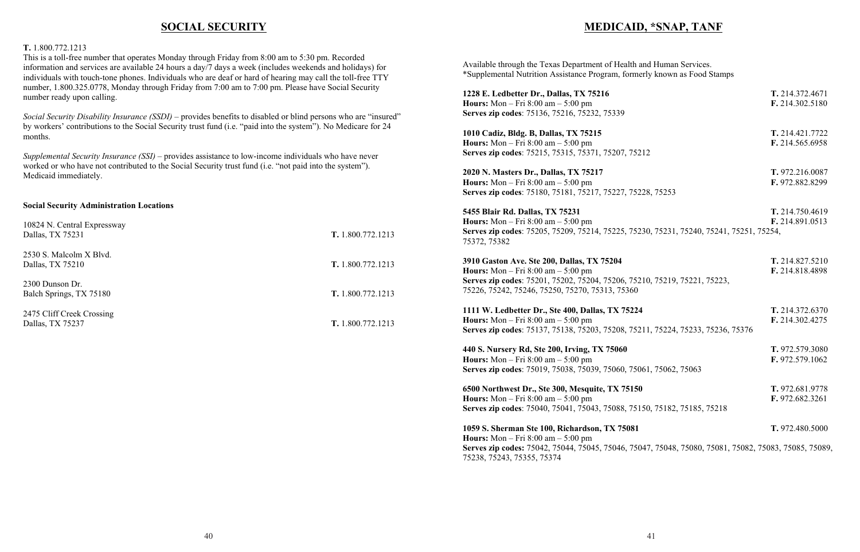## **SOCIAL SECURITY**

### **T.** 1.800.772.1213

This is a toll-free number that operates Monday through Friday from 8:00 am to 5:30 pm. Recorded information and services are available 24 hours a day/7 days a week (includes weekends and holidays) for individuals with touch-tone phones. Individuals who are deaf or hard of hearing may call the toll-free TTY number, 1.800.325.0778, Monday through Friday from 7:00 am to 7:00 pm. Please have Social Security number ready upon calling.

*Social Security Disability Insurance (SSDI)* – provides benefits to disabled or blind persons who are "insured" by workers' contributions to the Social Security trust fund (i.e. "paid into the system"). No Medicare for 24 months.

**1228 E. Ledbetter Dr., Dallas, TX 75216 Hours:** Mon – Fri  $8:00 \text{ am} - 5:00 \text{ pm}$ **Serves zip codes**: 75136, 75216, 75232, 75339

**1010 Cadiz, Bldg. B, Dallas, TX 75215 Hours:** Mon – Fri  $8:00 \text{ am} - 5:00 \text{ pm}$ **Serves zip codes**: 75215, 75315, 75371, 75207, 752

*Supplemental Security Insurance (SSI)* – provides assistance to low-income individuals who have never worked or who have not contributed to the Social Security trust fund (i.e. "not paid into the system"). Medicaid immediately.

**2020 N. Masters Dr., Dallas, TX 75217 T.** 972.216.0087 **Hours:** Mon – Fri  $8:00 \text{ am} - 5:00 \text{ pm}$ **Serves zip codes**: 75180, 75181, 75217, 75227, 752

### **Social Security Administration Locations**

**5455 Blair Rd. Dallas, TX 75231 Hours:** Mon – Fri  $8:00$  am –  $5:00$  pm **Serves zip codes**: 75205, 75209, 75214, 75225, 7523 75372, 75382

| 10824 N. Central Expressway<br>Dallas, TX 75231 | T. 1.800.772.1213 |
|-------------------------------------------------|-------------------|
| 2530 S. Malcolm X Blvd.<br>Dallas, TX 75210     | T. 1.800.772.1213 |
| 2300 Dunson Dr.<br>Balch Springs, TX 75180      | T. 1.800.772.1213 |
| 2475 Cliff Creek Crossing<br>Dallas, TX 75237   | T. 1.800.772.1213 |

Available through the Texas Department of Health a \*Supplemental Nutrition Assistance Program, forme

**1111 W. Ledbetter Dr., Ste 400, Dallas, TX 75224 T.** 214.372.6370 **Hours:** Mon – Fri  $8:00 \text{ am} - 5:00 \text{ pm}$ **Serves zip codes**: 75137, 75138, 75203, 75208, 752

## **MEDICAID, \*SNAP, TANF**

| nd Human Services.                                  |                 |
|-----------------------------------------------------|-----------------|
| rly known as Food Stamps                            |                 |
|                                                     | T. 214.372.4671 |
|                                                     | F. 214.302.5180 |
|                                                     |                 |
|                                                     | T. 214.421.7722 |
|                                                     | F. 214.565.6958 |
| 12                                                  |                 |
|                                                     | T. 972.216.0087 |
|                                                     | F. 972.882.8299 |
| 28, 75253                                           |                 |
|                                                     | T. 214.750.4619 |
|                                                     | F. 214.891.0513 |
| 30, 75231, 75240, 75241, 75251, 75254,              |                 |
|                                                     |                 |
|                                                     | T. 214.827.5210 |
|                                                     | F. 214.818.4898 |
| 10, 75219, 75221, 75223,                            |                 |
|                                                     | T. 214.372.6370 |
|                                                     | F. 214.302.4275 |
| 11, 75224, 75233, 75236, 75376                      |                 |
|                                                     | T. 972.579.3080 |
|                                                     | F. 972.579.1062 |
| 61, 75062, 75063                                    |                 |
|                                                     | T. 972.681.9778 |
|                                                     | F. 972.682.3261 |
| 50, 75182, 75185, 75218                             |                 |
|                                                     | T. 972.480.5000 |
| 47, 75048, 75080, 75081, 75082, 75083, 75085, 75089 |                 |
|                                                     |                 |

**440 S. Nursery Rd, Ste 200, Irving, TX 75060 T.** 972.579.3080 **Hours:** Mon – Fri  $8:00 \text{ am} - 5:00 \text{ pm}$ **Serves zip codes**: 75019, 75038, 75039, 75060, 7506

**6500** Northwest Dr., Ste 300, Mesquite, TX 75150 **Hours:** Mon – Fri  $8:00 \text{ am} - 5:00 \text{ pm}$ **Serves zip codes**: 75040, 75041, 75043, 75088, 751

**1059 S. Sherman Ste 100**, **Richardson**, **TX** 75081 **Hours:** Mon – Fri 8:00 am – 5:00 pm **Serves zip codes:** 75042, 75044, 75045, 75046, 750 75238, 75243, 75355, 75374

**3910 Gaston Ave. Ste 200, Dallas, TX 75204 T.** 214.827.5210 **Hours:** Mon – Fri  $8:00$  am –  $5:00$  pm **Serves zip codes**: 75201, 75202, 75204, 75206, 752 75226, 75242, 75246, 75250, 75270, 75313, 75360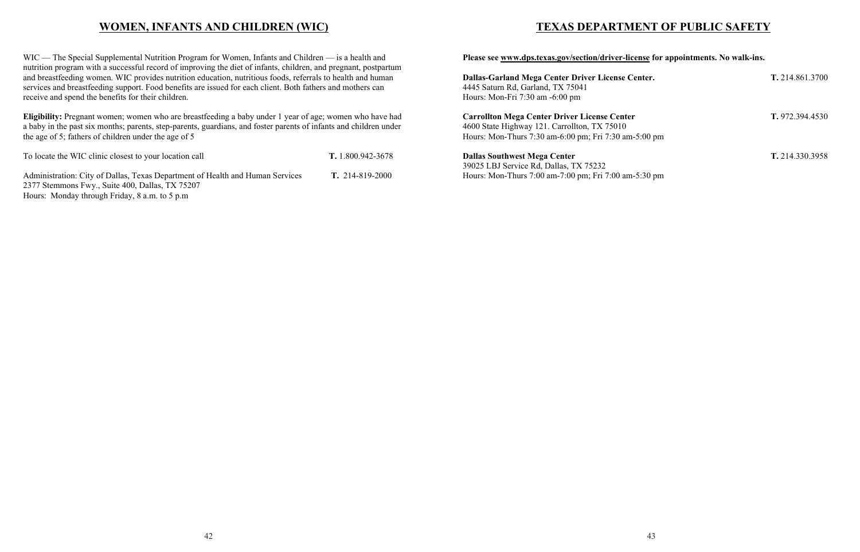## **WOMEN, INFANTS AND CHILDREN (WIC)**

WIC — The Special Supplemental Nutrition Program for Women, Infants and Children — is a health and nutrition program with a successful record of improving the diet of infants, children, and pregnant, postpartum and breastfeeding women. WIC provides nutrition education, nutritious foods, referrals to health and human services and breastfeeding support. Food benefits are issued for each client. Both fathers and mothers can receive and spend the benefits for their children.

**Eligibility:** Pregnant women; women who are breastfeeding a baby under 1 year of age; women who have had a baby in the past six months; parents, step-parents, guardians, and foster parents of infants and children under the age of 5; fathers of children under the age of 5

To locate the WIC clinic closest to your location call **T.** 1.800.942-3678 Administration: City of Dallas, Texas Department of Health and Human Services **T.** 214-819-2000 2377 Stemmons Fwy., Suite 400, Dallas, TX 75207 Hours: Monday through Friday, 8 a.m. to 5 p.m

## **TEXAS DEPARTMENT OF PUBLIC SAFETY**

**Please see www.dps.texas.gov/section/driver-license for appointments. No walk-ins.**

**Dallas-Garland Mega Center Driver License Center. T.** 214.861.3700 4445 Saturn Rd, Garland, TX 75041 Hours: Mon-Fri 7:30 am -6:00 pm **Carrollton Mega Center Driver License Center T.** 972.394.4530 4600 State Highway 121. Carrollton, TX 75010 Hours: Mon-Thurs 7:30 am-6:00 pm; Fri 7:30 am-5:00 pm **Dallas Southwest Mega Center T.** 214.330.3958

39025 LBJ Service Rd, Dallas, TX 75232 Hours: Mon-Thurs 7:00 am-7:00 pm; Fri 7:00 am-5:30 pm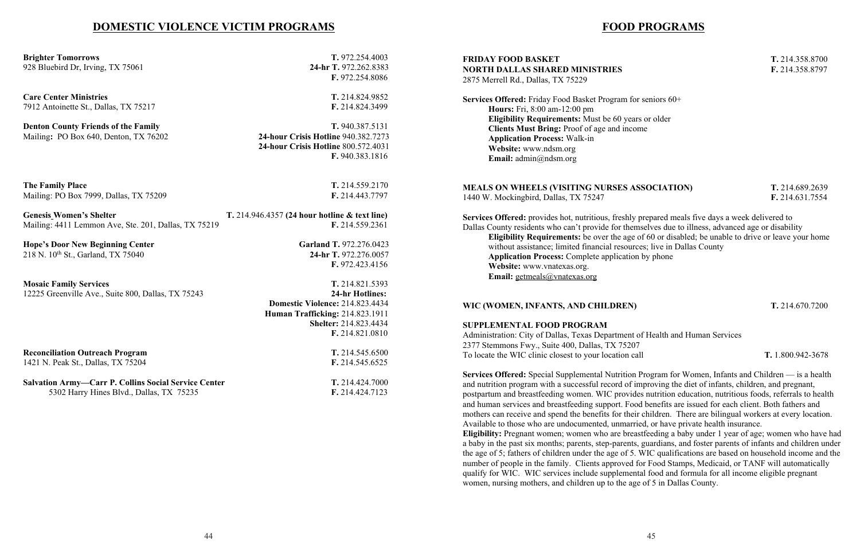## **DOMESTIC VIOLENCE VICTIM PROGRAMS**

**Brighter Tomorrows T.** 972.254.4003 928 Bluebird Dr, Irving, TX 75061 **24-hr T.** 972.262.8383

**F.** 972.254.8086

**Care Center Ministries T.** 214.824.9852 7912 Antoinette St., Dallas, TX 75217 **F.** 214.824.3499

**Denton County Friends of the Family T.** 940.387.5131 Mailing**:** PO Box 640, Denton, TX 76202 **24-hour Crisis Hotline** 940.382.7273

**Hope's Door New Beginning Center Garland T.** 972.276.0423 218 N. 10th St., Garland, TX 75040 **24-hr T.** 972.276.0057

 **24-hour Crisis Hotline** 800.572.4031 **F.** 940.383.1816

**The Family Place T.** 214.559.2170 Mailing: PO Box 7999, Dallas, TX 75209 **F.** 214.443.7797

**Genesis Women's Shelter T.** 214.946.4357 **(24 hour hotline & text line)** Mailing: 4411 Lemmon Ave, Ste. 201, Dallas, TX 75219 **F.** 214.559.2361

**Services Offered:** Friday Food Basket Program for seniors 60+ **Hours:** Fri, 8:00 am-12:00 pm **Eligibility Requirements:** Must be 60 years or older **Clients Must Bring:** Proof of age and income **Application Process:** Walk-in **Website:** www.ndsm.org Email: admin@ndsm.org

**F.** 972.423.4156

**Mosaic Family Services T.** 214.821.5393 12225 Greenville Ave., Suite 800, Dallas, TX 75243 **24-hr Hotlines:**

 **Domestic Violence:** 214.823.4434 **Human Trafficking:** 214.823.1911 **Shelter:** 214.823.4434 **F.** 214.821.0810

**Reconciliation Outreach Program T.** 214.545.6500

1421 N. Peak St., Dallas, TX 75204 **F.** 214.545.6525

**Salvation Army—Carr P. Collins Social Service Center T.** 214.424.7000 5302 Harry Hines Blvd., Dallas, TX 75235 **F.** 214.424.7123

## **FOOD PROGRAMS**

### **FRIDAY FOOD BASKET T.** 214.358.8700 **NORTH DALLAS SHARED MINISTRIES F.** 214.358.8797 2875 Merrell Rd., Dallas, TX 75229

**MEALS ON WHEELS (VISITING NURSES ASSOCIATION) T.** 214.689.2639 1440 W. Mockingbird, Dallas, TX 75247 **F.** 214.631.7554

**Services Offered:** provides hot, nutritious, freshly prepared meals five days a week delivered to Dallas County residents who can't provide for themselves due to illness, advanced age or disability **Eligibility Requirements:** be over the age of 60 or disabled; be unable to drive or leave your home without assistance; limited financial resources; live in Dallas County **Application Process:** Complete application by phone

**Website:** www.vnatexas.org. **Email:** getmeals@vnatexas.org

### **WIC (WOMEN, INFANTS, AND CHILDREN) T.** 214.670.7200

### **SUPPLEMENTAL FOOD PROGRAM**

Administration: City of Dallas, Texas Department of Health and Human Services 2377 Stemmons Fwy., Suite 400, Dallas, TX 75207 To locate the WIC clinic closest to your location call **T.** 1.800.942-3678

**Services Offered:** Special Supplemental Nutrition Program for Women, Infants and Children — is a health and nutrition program with a successful record of improving the diet of infants, children, and pregnant, postpartum and breastfeeding women. WIC provides nutrition education, nutritious foods, referrals to health and human services and breastfeeding support. Food benefits are issued for each client. Both fathers and mothers can receive and spend the benefits for their children. There are bilingual workers at every location. Available to those who are undocumented, unmarried, or have private health insurance. **Eligibility:** Pregnant women; women who are breastfeeding a baby under 1 year of age; women who have had a baby in the past six months; parents, step-parents, guardians, and foster parents of infants and children under the age of 5; fathers of children under the age of 5. WIC qualifications are based on household income and the number of people in the family. Clients approved for Food Stamps, Medicaid, or TANF will automatically qualify for WIC. WIC services include supplemental food and formula for all income eligible pregnant women, nursing mothers, and children up to the age of 5 in Dallas County.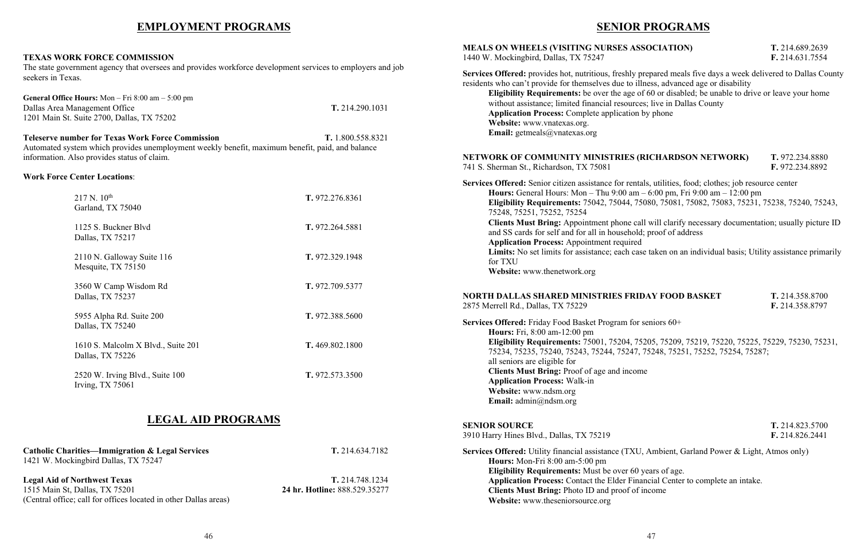## **EMPLOYMENT PROGRAMS**

### **TEXAS WORK FORCE COMMISSION**

The state government agency that oversees and provides workforce development services to employers and job seekers in Texas.

| <b>General Office Hours:</b> Mon $-$ Fri 8:00 am $-$ 5:00 pm<br>Dallas Area Management Office<br>1201 Main St. Suite 2700, Dallas, TX 75202                                                                                    | T. 214.290.1031 |  |
|--------------------------------------------------------------------------------------------------------------------------------------------------------------------------------------------------------------------------------|-----------------|--|
| <b>Teleserve number for Texas Work Force Commission</b><br>T. 1.800.558.8321<br>Automated system which provides unemployment weekly benefit, maximum benefit, paid, and balance<br>information. Also provides status of claim. |                 |  |
| <b>Work Force Center Locations:</b>                                                                                                                                                                                            |                 |  |
| $217$ N. $10^{th}$<br>Garland, TX 75040                                                                                                                                                                                        | T. 972.276.8361 |  |
| 1125 S. Buckner Blvd<br>Dallas, TX 75217                                                                                                                                                                                       | T. 972.264.5881 |  |
| 2110 N. Galloway Suite 116<br>Mesquite, TX 75150                                                                                                                                                                               | T. 972.329.1948 |  |
| 3560 W Camp Wisdom Rd<br>Dallas, TX 75237                                                                                                                                                                                      | T. 972.709.5377 |  |
| 5955 Alpha Rd. Suite 200<br>Dallas, TX 75240                                                                                                                                                                                   | T. 972.388.5600 |  |
| 1610 S. Malcolm X Blvd., Suite 201<br>Dallas, TX 75226                                                                                                                                                                         | T. 469.802.1800 |  |
| 2520 W. Irving Blvd., Suite 100<br>Irving, $TX$ 75061                                                                                                                                                                          | T. 972.573.3500 |  |

## **LEGAL AID PROGRAMS**

**Catholic Charities—Immigration & Legal Services T.** 214.634.7182 1421 W. Mockingbird Dallas, TX 75247

Is, utilities, food; clothes; job resource center **Hours:** General Hours: Mon – Thu 9:00 am – 6:00 pm, Fri 9:00 am – 12:00 pm **Eligibility Requirements:** 75042, 75044, 75080, 75081, 75082, 75083, 75231, 75238, 75240, 75243,

Il will clarify necessary documentation; usually picture ID ; proof of address

Le taken on an individual basis; Utility assistance primarily

### **DAY FOOD BASKET T.** 214.358.8700

**Legal Aid of Northwest Texas T.** 214.748.1234 1515 Main St, Dallas, TX 75201 **24 hr. Hotline:** 888.529.35277 (Central office; call for offices located in other Dallas areas)

## **SENIOR PROGRAMS**

**MEALS T.** 214.689.2639 F. 214.631.7554

repared meals five days a week delivered to Dallas County ness, advanced age or disability

Elgigiblion: **Eligibility Requirements:** 60 or disabled; be unable to drive or leave your home es; live in Dallas County

by phone

**Eligibility Requirements:** 75001, 75204, 75205, 75209, 75219, 75220, 75225, 75229, 75230, 75231, 75248, 75251, 75252, 75254, 75287;

*Preaments* of age. **Application Properties Properties** an intake. **Clients Must Bring:** Photo ID and proof of income

## **NETWORK OF COMMUNITY MINISTRIES (RICHARDSON NETWORK) T.** 972.234.8880

# 741 S. Sherman St., Richardson, TX 75081 **F.** 972.234.8892

| <b>MEALS ON WHEELS (VISITING NURSES ASS)</b><br>1440 W. Mockingbird, Dallas, TX 75247                                                                                                                                                                                                                                                                                                                                                      |
|--------------------------------------------------------------------------------------------------------------------------------------------------------------------------------------------------------------------------------------------------------------------------------------------------------------------------------------------------------------------------------------------------------------------------------------------|
| Services Offered: provides hot, nutritious, freshly pre<br>residents who can't provide for themselves due to illn<br>Eligibility Requirements: be over the age of<br>without assistance; limited financial resources.<br><b>Application Process:</b> Complete application by<br>Website: www.vnatexas.org.<br>Email: getmeals@vnatexas.org                                                                                                 |
| <b>NETWORK OF COMMUNITY MINISTRIES (RI</b><br>741 S. Sherman St., Richardson, TX 75081                                                                                                                                                                                                                                                                                                                                                     |
| Services Offered: Senior citizen assistance for rentals<br>Hours: General Hours: Mon - Thu 9:00 am -<br>Eligibility Requirements: 75042, 75044, 750<br>75248, 75251, 75252, 75254<br><b>Clients Must Bring: Appointment phone call</b><br>and SS cards for self and for all in household;<br><b>Application Process: Appointment required</b><br>Limits: No set limits for assistance; each case<br>for TXU<br>Website: www.thenetwork.org |
| <b>NORTH DALLAS SHARED MINISTRIES FRIDA</b><br>2875 Merrell Rd., Dallas, TX 75229                                                                                                                                                                                                                                                                                                                                                          |
| Services Offered: Friday Food Basket Program for se<br>Hours: Fri, 8:00 am-12:00 pm<br>Eligibility Requirements: 75001, 75204, 752<br>75234, 75235, 75240, 75243, 75244, 75247, 7<br>all seniors are eligible for<br>Clients Must Bring: Proof of age and income<br><b>Application Process: Walk-in</b><br>Website: www.ndsm.org<br><b>Email:</b> $\text{admin}(a)$ ndsm.org                                                               |
| <b>SENIOR SOURCE</b><br>3910 Harry Hines Blvd., Dallas, TX 75219                                                                                                                                                                                                                                                                                                                                                                           |
| Services Offered: Utility financial assistance (TXU,<br>Hours: Mon-Fri 8:00 am-5:00 pm<br>Eligibility Requirements: Must be over 60 ye<br><b>Application Process: Contact the Elder Finan</b>                                                                                                                                                                                                                                              |

2875 Merrell Rd., Dallas, TX 75229 **F.** 214.358.8797

**Seniors** 60+

**SENIOR SOURCE T.** 214.823.5700 3910 Harry Hines Blvd., Dallas, TX 75219 **F.** 214.826.2441

Ambient, Garland Power & Light, Atmos only)

**Website:** www.theseniorsource.org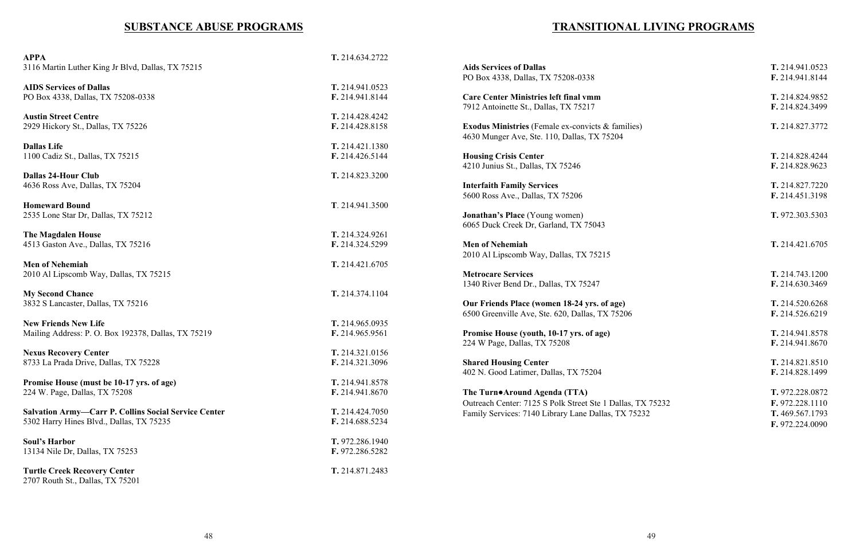## **SUBSTANCE ABUSE PROGRAMS**

| <b>APPA</b>                                                 | T. 214.634.2722 |                                                   |
|-------------------------------------------------------------|-----------------|---------------------------------------------------|
| 3116 Martin Luther King Jr Blvd, Dallas, TX 75215           |                 | <b>Aids Services of Dallas</b>                    |
|                                                             |                 | PO Box 4338, Dallas, TX 75208-0338                |
| <b>AIDS Services of Dallas</b>                              | T. 214.941.0523 |                                                   |
| PO Box 4338, Dallas, TX 75208-0338                          | F. 214.941.8144 | <b>Care Center Ministries left final vmm</b>      |
|                                                             |                 | 7912 Antoinette St., Dallas, TX 75217             |
| <b>Austin Street Centre</b>                                 | T. 214.428.4242 |                                                   |
|                                                             |                 |                                                   |
| 2929 Hickory St., Dallas, TX 75226                          | F. 214.428.8158 | Exodus Ministries (Female ex-convicts & families) |
|                                                             |                 | 4630 Munger Ave, Ste. 110, Dallas, TX 75204       |
| <b>Dallas Life</b>                                          | T. 214.421.1380 |                                                   |
| 1100 Cadiz St., Dallas, TX 75215                            | F. 214.426.5144 | <b>Housing Crisis Center</b>                      |
|                                                             |                 | 4210 Junius St., Dallas, TX 75246                 |
| <b>Dallas 24-Hour Club</b>                                  | T. 214.823.3200 |                                                   |
| 4636 Ross Ave, Dallas, TX 75204                             |                 | <b>Interfaith Family Services</b>                 |
|                                                             |                 | 5600 Ross Ave., Dallas, TX 75206                  |
|                                                             |                 |                                                   |
| <b>Homeward Bound</b>                                       | T. 214.941.3500 |                                                   |
| 2535 Lone Star Dr, Dallas, TX 75212                         |                 | <b>Jonathan's Place</b> (Young women)             |
|                                                             |                 | 6065 Duck Creek Dr, Garland, TX 75043             |
| <b>The Magdalen House</b>                                   | T. 214.324.9261 |                                                   |
| 4513 Gaston Ave., Dallas, TX 75216                          | F. 214.324.5299 | <b>Men of Nehemiah</b>                            |
|                                                             |                 | 2010 Al Lipscomb Way, Dallas, TX 75215            |
| <b>Men of Nehemiah</b>                                      | T. 214.421.6705 |                                                   |
| 2010 Al Lipscomb Way, Dallas, TX 75215                      |                 | <b>Metrocare Services</b>                         |
|                                                             |                 |                                                   |
|                                                             |                 | 1340 River Bend Dr., Dallas, TX 75247             |
| <b>My Second Chance</b>                                     | T. 214.374.1104 |                                                   |
| 3832 S Lancaster, Dallas, TX 75216                          |                 | Our Friends Place (women 18-24 yrs. of age)       |
|                                                             |                 | 6500 Greenville Ave, Ste. 620, Dallas, TX 75206   |
| <b>New Friends New Life</b>                                 | T. 214.965.0935 |                                                   |
| Mailing Address: P. O. Box 192378, Dallas, TX 75219         | F. 214.965.9561 | Promise House (youth, 10-17 yrs. of age)          |
|                                                             |                 | 224 W Page, Dallas, TX 75208                      |
| <b>Nexus Recovery Center</b>                                | T. 214.321.0156 |                                                   |
| 8733 La Prada Drive, Dallas, TX 75228                       | F. 214.321.3096 | <b>Shared Housing Center</b>                      |
|                                                             |                 | 402 N. Good Latimer, Dallas, TX 75204             |
|                                                             |                 |                                                   |
| Promise House (must be 10-17 yrs. of age)                   | T. 214.941.8578 |                                                   |
| 224 W. Page, Dallas, TX 75208                               | F. 214.941.8670 | The Turn•Around Agenda (TTA)                      |
|                                                             |                 | Outreach Center: 7125 S Polk Street Ste 1 Dallas, |
| <b>Salvation Army-Carr P. Collins Social Service Center</b> | T. 214.424.7050 | Family Services: 7140 Library Lane Dallas, TX 7:  |
| 5302 Harry Hines Blvd., Dallas, TX 75235                    | F. 214.688.5234 |                                                   |
|                                                             |                 |                                                   |
| <b>Soul's Harbor</b>                                        | T. 972.286.1940 |                                                   |
| 13134 Nile Dr, Dallas, TX 75253                             | F. 972.286.5282 |                                                   |
|                                                             |                 |                                                   |
|                                                             |                 |                                                   |
| <b>Turtle Creek Recovery Center</b>                         | T. 214.871.2483 |                                                   |
| 2707 Routh St., Dallas, TX 75201                            |                 |                                                   |

**A**:  $\overline{A}$ : 0338<br>**A**: 0338<br>**E.** 214.941.8144 F. 214.941.8144 **Cal vmm**<br> **Career 1214.824.9852**<br> **Career 1214.824.3499**<br> **Career 1214.824.3499** 7912 Antoinette St., Dallas, TX 75217 **F.** 214.824.3499  $\sum_{k=1}^{\infty}$  **Example Exconvicts & families**) **T.** 214.827.3772 **Housing Crisis Critical Crisis Critical Crisis Critical Crisis Critical Critical Critical Critical Critical Critical Critical Critical Critical Critical Critical Critical Critical** 4210 Junius St., Dallas, TX 75246 **F.** 214.828.9623 **IT.** 214.827.7220<br>**F.** 214.451.3198 5600 Ross Ave., Dallas, TX 75206 **F.** 214.451.3198 **Jonathan's Place** (Young women) **T.** 972.303.5303 **Men of Nehemiah T.** 214.421.6705 **T.** 214.743.1200<br>**F.** 214.630.3469 **F.** 214.630.3469 **Course Friends Plance <b>CO CO Friends Plance <b>Plance Plance Plance Plance Plance Plance Plance Plance Plance Plance Plance Plance Plance Plance Plance Plance Plance Plance Plan From age) House House (youth) House House House House House House House House House House House House House House House House House House House House House House House** F. 214.941.8670 **Shared Housing CENT HOUSE <b>T.** 214.821.8510<br>**F.** 214.828.1499 402 N. Good Latimer, Dallas, TX 75204 **F.** 214.828.1499 **The Turns T.** 972.228.0872 **Contract Ste 1 Dallas, TX 75232 F.** 972.228.1110 Family Services: 7140 Library Lane Dallas, TX 75232 **T.** 469.567.1793 **F.** 972.224.0090

## **TRANSITIONAL LIVING PROGRAMS**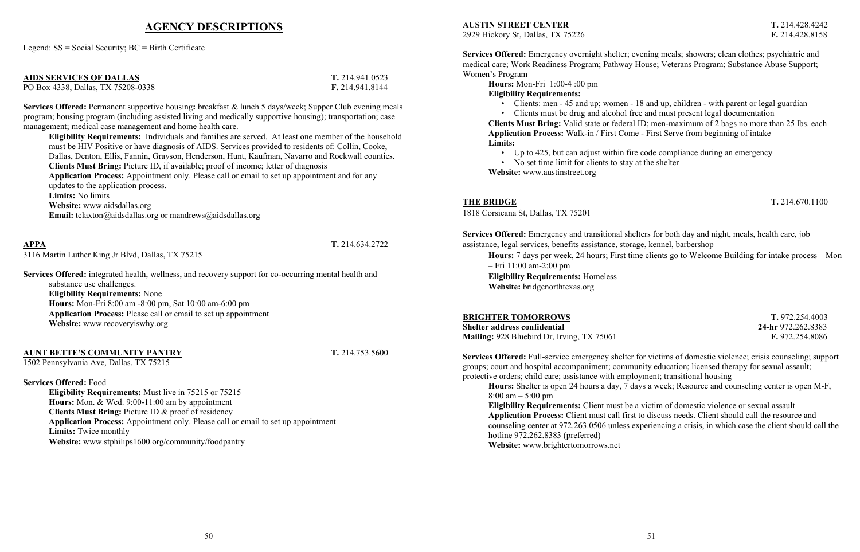### **THE BRIDGE T.** 214.670.1100

## **AGENCY DESCRIPTIONS**

Legend: SS = Social Security; BC = Birth Certificate

| <b>AIDS SERVICES OF DALLAS</b>     | T. 214.941.0523 |
|------------------------------------|-----------------|
| PO Box 4338, Dallas, TX 75208-0338 | F. 214.941.8144 |

**Services Offered:** Permanent supportive housing**:** breakfast & lunch 5 days/week; Supper Club evening meals program; housing program (including assisted living and medically supportive housing); transportation; case management; medical case management and home health care.

**Eligibility Requirements:** Individuals and families are served. At least one member of the household must be HIV Positive or have diagnosis of AIDS. Services provided to residents of: Collin, Cooke, Dallas, Denton, Ellis, Fannin, Grayson, Henderson, Hunt, Kaufman, Navarro and Rockwall counties. **Clients Must Bring:** Picture ID, if available; proof of income; letter of diagnosis **Application Process:** Appointment only. Please call or email to set up appointment and for any updates to the application process. **Limits:** No limits **Website:** www.aidsdallas.org **Email:** tclaxton@aidsdallas.org or mandrews@aidsdallas.org

### **APPA T.** 214.634.2722

3116 Martin Luther King Jr Blvd, Dallas, TX 75215

**Services Offered:** integrated health, wellness, and recovery support for co-occurring mental health and substance use challenges. **Eligibility Requirements:** None **Hours:** Mon-Fri 8:00 am -8:00 pm, Sat 10:00 am-6:00 pm **Application Process:** Please call or email to set up appointment **Website:** www.recoveryiswhy.org

• Up to 425, but can adjust within fire code compliance during an emergency • No set time limit for clients to stay at the shelter

### **AUNT BETTE'S COMMUNITY PANTRY T.** 214.753.5600

1502 Pennsylvania Ave, Dallas. TX 75215

### **Services Offered:** Food

**Eligibility Requirements:** Must live in 75215 or 75215 **Hours:** Mon. & Wed. 9:00-11:00 am by appointment **Clients Must Bring:** Picture ID & proof of residency **Application Process:** Appointment only. Please call or email to set up appointment **Limits:** Twice monthly **Website:** www.stphilips1600.org/community/foodpantry

### **AUSTIN STREET CENTER T.** 214.428.4242

2929 Hickory St, Dallas, TX 75226 **F.** 214.428.8158

**Services Offered:** Emergency overnight shelter; evening meals; showers; clean clothes; psychiatric and medical care; Work Readiness Program; Pathway House; Veterans Program; Substance Abuse Support; Women's Program

**Hours:** Mon-Fri 1:00-4 :00 pm **Eligibility Requirements:**

• Clients must be drug and alcohol free and must present legal documentation

• Clients: men - 45 and up; women - 18 and up, children - with parent or legal guardian **Clients Must Bring:** Valid state or federal ID; men-maximum of 2 bags no more than 25 lbs. each **Application Process:** Walk-in / First Come - First Serve from beginning of intake **Limits:**

**Website:** www.austinstreet.org

1818 Corsicana St, Dallas, TX 75201

**Services Offered:** Emergency and transitional shelters for both day and night, meals, health care, job assistance, legal services, benefits assistance, storage, kennel, barbershop **Hours:** 7 days per week, 24 hours; First time clients go to Welcome Building for intake process – Mon – Fri 11:00 am-2:00 pm **Eligibility Requirements:** Homeless **Website:** bridgenorthtexas.org

### **BRIGHTER TOMORROWS T. 972.254.4003**

**Shelter address confidential 24-hr** 972.262.8383 **Mailing:** 928 Bluebird Dr, Irving, TX 75061 **F.** 972.254.8086

**Services Offered:** Full-service emergency shelter for victims of domestic violence; crisis counseling; support groups; court and hospital accompaniment; community education; licensed therapy for sexual assault; protective orders; child care; assistance with employment; transitional housing **Hours:** Shelter is open 24 hours a day, 7 days a week; Resource and counseling center is open M-F,

8:00 am – 5:00 pm **Eligibility Requirements:** Client must be a victim of domestic violence or sexual assault **Application Process:** Client must call first to discuss needs. Client should call the resource and counseling center at 972.263.0506 unless experiencing a crisis, in which case the client should call the hotline 972.262.8383 (preferred) **Website:** www.brightertomorrows.net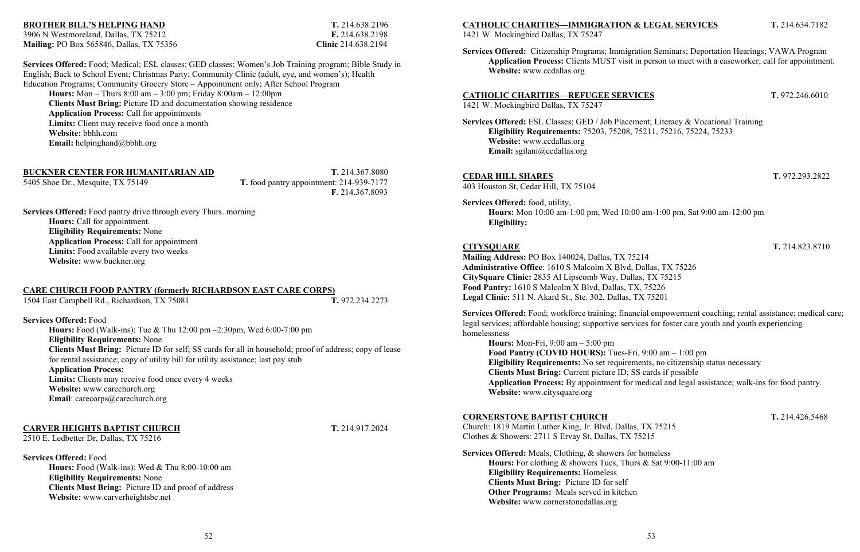### **BROTHER BILL'S HELPING HAND T.** 214.638.2196

3906 N Westmoreland, Dallas, TX 75212 **F.** 214.638.2198 **Mailing:** PO Box 565846, Dallas, TX 75356 **Clinic** 214.638.2194

**Services Offered:** Food; Medical; ESL classes; GED classes; Women's Job Training program; Bible Study in English; Back to School Event; Christmas Party; Community Clinic (adult, eye, and women's); Health Education Programs; Community Grocery Store – Appointment only; After School Program **Hours:** Mon – Thurs 8:00 am – 3:00 pm; Friday 8:00am – 12:00pm **Clients Must Bring:** Picture ID and documentation showing residence **Application Process:** Call for appointments **Limits:** Client may receive food once a month **Website:** bbhh.com **Email:** helpinghand@bbhh.org

**Hours:** Food (Walk-ins): Tue & Thu 12:00 pm –2:30pm, Wed 6:00-7:00 pm **Eligibility Requirements:** None **Clients Must Bring:** Picture ID for self; SS cards for all in household; proof of address; copy of lease for rental assistance; copy of utility bill for utility assistance; last pay stub **Application Process: Limits:** Clients may receive food once every 4 weeks **Website:** www.carechurch.org **Email**: carecorps@carechurch.org

### **BUCKNER CENTER FOR HUMANITARIAN AID T.** 214.367.8080

5405 Shoe Dr., Mesquite, TX 75149 **T.** food pantry appointment: 214-939-7177 **F.** 214.367.8093

**Services Offered:** Food pantry drive through every Thurs. morning **Hours:** Call for appointment. **Eligibility Requirements:** None **Application Process:** Call for appointment **Limits:** Food available every two weeks **Website:** www.buckner.org

### **CARE CHURCH FOOD PANTRY (formerly RICHARDSON EAST CARE CORPS)**

1504 East Campbell Rd., Richardson, TX 75081 **T.** 972.234.2273

### **Services Offered:** Food

### **CARVER HEIGHTS BAPTIST CHURCH T.** 214.917.2024

2510 E. Ledbetter Dr, Dallas, TX 75216

**Services Offered:** Food

**Hours:** Food (Walk-ins): Wed & Thu 8:00-10:00 am **Eligibility Requirements:** None **Clients Must Bring:** Picture ID and proof of address **Website:** www.carverheightsbc.net

### **CATHOLIC CHARITIES—IMMIGRATION & LEGAL SERVICES T.** 214.634.7182

1421 W. Mockingbird Dallas, TX 75247

**Services Offered:** Citizenship Programs; Immigration Seminars; Deportation Hearings; VAWA Program **Application Process:** Clients MUST visit in person to meet with a caseworker; call for appointment.

**Website:** www.ccdallas.org

### **CATHOLIC CHARITIES—REFUGEE SERVICES T.** 972.246.6010

1421 W. Mockingbird Dallas, TX 75247

**Services Offered:** ESL Classes; GED / Job Placement; Literacy & Vocational Training **Eligibility Requirements:** 75203, 75208, 75211, 75216, 75224, 75233 **Website:** www.ccdallas.org **Email:** sgilani@ccdallas.org

### **CEDAR HILL SHARES T.** 972.293.2822

403 Houston St, Cedar Hill, TX 75104

**Services Offered:** food, utility, **Hours:** Mon 10:00 am-1:00 pm, Wed 10:00 am-1:00 pm, Sat 9:00 am-12:00 pm **Eligibility:**

### **CITYSQUARE T.** 214.823.8710

**Mailing Address:** PO Box 140024, Dallas, TX 75214 **Administrative Office**: 1610 S Malcolm X Blvd, Dallas, TX 75226 **CitySquare Clinic:** 2835 Al Lipscomb Way, Dallas, TX 75215 **Food Pantry:** 1610 S Malcolm X Blvd, Dallas, TX, 75226 **Legal Clinic:** 511 N. Akard St., Ste. 302, Dallas, TX 75201

**Services Offered:** Food; workforce training; financial empowerment coaching; rental assistance; medical care; legal services; affordable housing; supportive services for foster care youth and youth experiencing homelessness

**Hours:** Mon-Fri, 9:00 am – 5:00 pm **Food Pantry (COVID HOURS):** Tues-Fri, 9:00 am – 1:00 pm **Eligibility Requirements:** No set requirements, no citizenship status necessary **Clients Must Bring:** Current picture ID; SS cards if possible **Application Process:** By appointment for medical and legal assistance; walk-ins for food pantry. **Website:** www.citysquare.org

**CORNERSTONE BAPTIST CHURCH T.** 214.426.5468 Church: 1819 Martin Luther King, Jr. Blvd, Dallas, TX 75215 Clothes & Showers: 2711 S Ervay St, Dallas, TX 75215 **Services Offered:** Meals, Clothing, & showers for homeless

**Hours:** For clothing & showers Tues, Thurs & Sat 9:00-11:00 am **Eligibility Requirements:** Homeless **Clients Must Bring:** Picture ID for self **Other Programs:** Meals served in kitchen **Website:** www.cornerstonedallas.org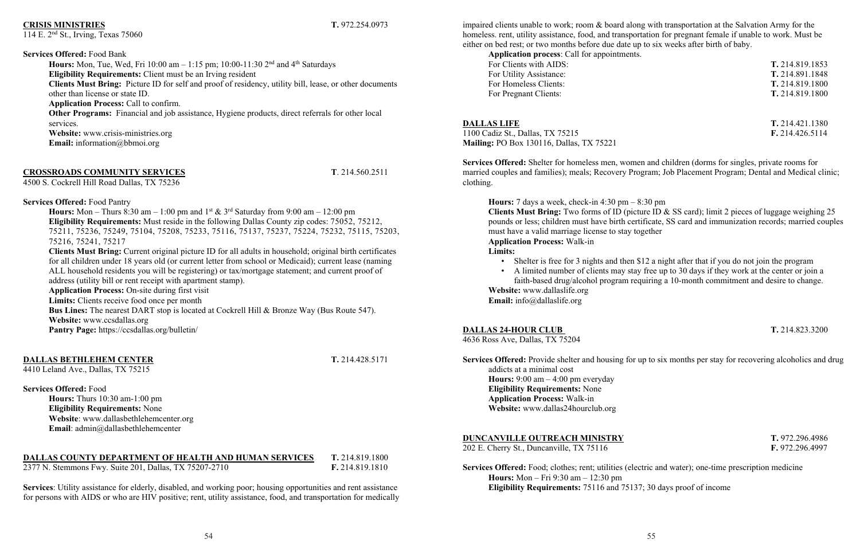## **CRISIS MINISTRIES T.** 972.254.0973

### 114 E. 2nd St., Irving, Texas 75060

**Services Offered:** Food Bank **Hours:** Mon, Tue, Wed, Fri 10:00 am  $-1:15$  pm; 10:00-11:30 2<sup>nd</sup> and 4<sup>th</sup> Saturdays **Eligibility Requirements:** Client must be an Irving resident **Clients Must Bring:** Picture ID for self and proof of residency, utility bill, lease, or other documents other than license or state ID. **Application Process:** Call to confirm. **Other Programs:** Financial and job assistance, Hygiene products, direct referrals for other local services. **Website:** www.crisis-ministries.org **Email:** information@bbmoi.org

### **CROSSROADS COMMUNITY SERVICES T**. 214.560.2511

4500 S. Cockrell Hill Road Dallas, TX 75236

**Services Offered:** Food Pantry **Hours:** Mon – Thurs 8:30 am – 1:00 pm and  $1^{st}$  &  $3^{rd}$  Saturday from 9:00 am – 12:00 pm **Eligibility Requirements:** Must reside in the following Dallas County zip codes: 75052, 75212, 75211, 75236, 75249, 75104, 75208, 75233, 75116, 75137, 75237, 75224, 75232, 75115, 75203, 75216, 75241, 75217

**Clients Must Bring:** Current original picture ID for all adults in household; original birth certificates for all children under 18 years old (or current letter from school or Medicaid); current lease (naming ALL household residents you will be registering) or tax/mortgage statement; and current proof of address (utility bill or rent receipt with apartment stamp).

**Application process**: Call for appointments. For Clients with AIDS: **T.** 214.819.1853 For Utility Assistance: **T.** 214.891.1848 For Homeless Clients: **T.** 214.819.1800 For Pregnant Clients: **T.** 214.819.1800

**Application Process:** On-site during first visit **Limits:** Clients receive food once per month **Bus Lines:** The nearest DART stop is located at Cockrell Hill & Bronze Way (Bus Route 547). **Website:** www.ccsdallas.org **Pantry Page:** https://ccsdallas.org/bulletin/

### **DALLAS BETHLEHEM CENTER T.** 214.428.5171

4410 Leland Ave., Dallas, TX 75215

**Services Offered:** Food

**Hours:** Thurs 10:30 am-1:00 pm **Eligibility Requirements:** None **Website**: www.dallasbethlehemcenter.org **Email**: admin@dallasbethlehemcenter

• Shelter is free for 3 nights and then \$12 a night after that if you do not join the program • A limited number of clients may stay free up to 30 days if they work at the center or join a faith-based drug/alcohol program requiring a 10-month commitment and desire to change.

### **DALLAS COUNTY DEPARTMENT OF HEALTH AND HUMAN SERVICES T.** 214.819.1800

2377 N. Stemmons Fwy. Suite 201, Dallas, TX 75207-2710 **F.** 214.819.1810

**Services**: Utility assistance for elderly, disabled, and working poor; housing opportunities and rent assistance for persons with AIDS or who are HIV positive; rent, utility assistance, food, and transportation for medically

impaired clients unable to work; room & board along with transportation at the Salvation Army for the homeless. rent, utility assistance, food, and transportation for pregnant female if unable to work. Must be either on bed rest; or two months before due date up to six weeks after birth of baby.

**DALLAS LIFE T.** 214.421.1380

1100 Cadiz St., Dallas, TX 75215 **F.** 214.426.5114 **Mailing:** PO Box 130116, Dallas, TX 75221

**Services Offered:** Shelter for homeless men, women and children (dorms for singles, private rooms for married couples and families); meals; Recovery Program; Job Placement Program; Dental and Medical clinic; clothing.

**Hours:** 7 days a week, check-in 4:30 pm – 8:30 pm **Clients Must Bring:** Two forms of ID (picture ID & SS card); limit 2 pieces of luggage weighing 25 pounds or less; children must have birth certificate, SS card and immunization records; married couples must have a valid marriage license to stay together **Application Process:** Walk-in **Limits:**

- 
- **Website:** www.dallaslife.org

**Email:** info@dallaslife.org

### **DALLAS 24-HOUR CLUB T.** 214.823.3200

4636 Ross Ave, Dallas, TX 75204

**Services Offered:** Provide shelter and housing for up to six months per stay for recovering alcoholics and drug addicts at a minimal cost **Hours:** 9:00 am – 4:00 pm everyday **Eligibility Requirements:** None **Application Process:** Walk-in **Website:** www.dallas24hourclub.org

### **DUNCANVILLE OUTREACH MINISTRY T.** 972.296.4986

202 E. Cherry St., Duncanville, TX 75116 **F.** 972.296.4997

**Services Offered:** Food; clothes; rent; utilities (electric and water); one-time prescription medicine **Hours:** Mon – Fri 9:30 am – 12:30 pm **Eligibility Requirements:** 75116 and 75137; 30 days proof of income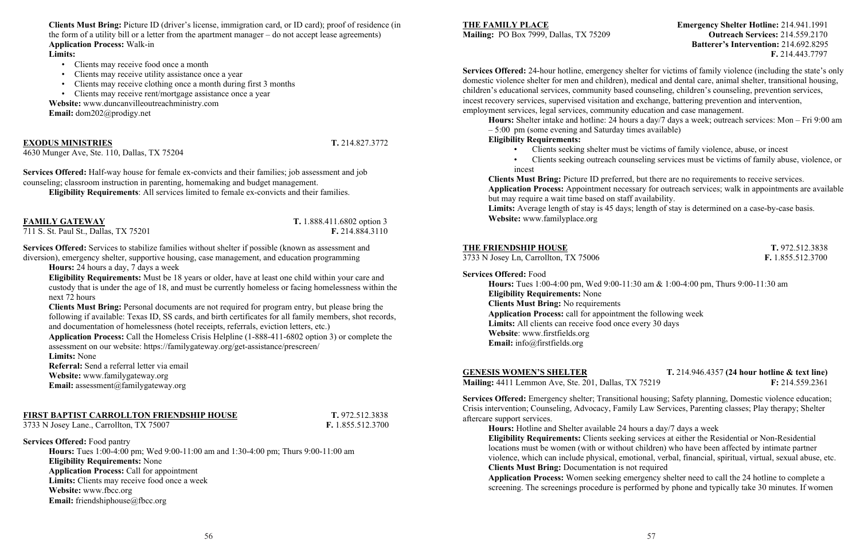**Clients Must Bring:** Picture ID (driver's license, immigration card, or ID card); proof of residence (in the form of a utility bill or a letter from the apartment manager – do not accept lease agreements) **Application Process:** Walk-in

### **Limits:**

- Clients may receive food once a month
- Clients may receive utility assistance once a year
- Clients may receive clothing once a month during first 3 months
- Clients may receive rent/mortgage assistance once a year

**Website:** www.duncanvilleoutreachministry.com **Email:** dom202@prodigy.net

### **EXODUS MINISTRIES T.** 214.827.3772

4630 Munger Ave, Ste. 110, Dallas, TX 75204

**Services Offered:** Half-way house for female ex-convicts and their families; job assessment and job counseling; classroom instruction in parenting, homemaking and budget management.

**Eligibility Requirements**: All services limited to female ex-convicts and their families.

**FAMILY GATEWAY T.** 1.888.411.6802 option 3

711 S. St. Paul St., Dallas, TX 75201 **F.** 214.884.3110

**Services Offered:** Food pantry **Hours:** Tues 1:00-4:00 pm; Wed 9:00-11:00 am and 1:30-4:00 pm; Thurs 9:00-11:00 am **Eligibility Requirements:** None **Application Process:** Call for appointment **Limits:** Clients may receive food once a week Website: www.fbcc.org **Email:** friendshiphouse@fbcc.org

**Services Offered:** Services to stabilize families without shelter if possible (known as assessment and diversion), emergency shelter, supportive housing, case management, and education programming

**Hours:** 24 hours a day, 7 days a week

**Eligibility Requirements:** Must be 18 years or older, have at least one child within your care and custody that is under the age of 18, and must be currently homeless or facing homelessness within the next 72 hours

**Clients Must Bring:** Personal documents are not required for program entry, but please bring the following if available: Texas ID, SS cards, and birth certificates for all family members, shot records, and documentation of homelessness (hotel receipts, referrals, eviction letters, etc.)

**Application Process:** Call the Homeless Crisis Helpline (1-888-411-6802 option 3) or complete the assessment on our website: https://familygateway.org/get-assistance/prescreen/

**Limits:** None

**Referral:** Send a referral letter via email

**Website:** www.familygateway.org

**Email:** assessment@familygateway.org

### **FIRST BAPTIST CARROLLTON FRIENDSHIP HOUSE T.** 972.512.3838

3733 N Josey Lane., Carrollton, TX 75007 **F.** 1.855.512.3700

### **THE FAMILY PLACE Emergency Shelter Hotline:** 214.941.1991 **Mailing:** PO Box 7999, Dallas, TX 75209 **Outreach Services:** 214.559.2170 **Batterer's Intervention:** 214.692.8295 **F.** 214.443.7797

**Services Offered:** 24-hour hotline, emergency shelter for victims of family violence (including the state's only domestic violence shelter for men and children), medical and dental care, animal shelter, transitional housing, children's educational services, community based counseling, children's counseling, prevention services, incest recovery services, supervised visitation and exchange, battering prevention and intervention, employment services, legal services, community education and case management.

**Hours:** Shelter intake and hotline: 24 hours a day/7 days a week; outreach services: Mon – Fri 9:00 am – 5:00 pm (some evening and Saturday times available)

**Eligibility Requirements:**

• Clients seeking shelter must be victims of family violence, abuse, or incest • Clients seeking outreach counseling services must be victims of family abuse, violence, or

- 
- incest

**Clients Must Bring:** Picture ID preferred, but there are no requirements to receive services. **Application Process:** Appointment necessary for outreach services; walk in appointments are available but may require a wait time based on staff availability. **Limits:** Average length of stay is 45 days; length of stay is determined on a case-by-case basis. **Website:** www.familyplace.org

### **THE FRIENDSHIP HOUSE T. 972.512.3838**

3733 N Josey Ln, Carrollton, TX 75006 **F.** 1.855.512.3700

### **Services Offered:** Food

**Hours:** Tues 1:00-4:00 pm, Wed 9:00-11:30 am & 1:00-4:00 pm, Thurs 9:00-11:30 am **Eligibility Requirements:** None **Clients Must Bring:** No requirements **Application Process:** call for appointment the following week Limits: All clients can receive food once every 30 days **Website**: www.firstfields.org **Email:** info@firstfields.org

### **GENESIS WOMEN'S SHELTER T.** 214.946.4357 **(24 hour hotline & text line) Mailing:** 4411 Lemmon Ave, Ste. 201, Dallas, TX 75219 **F:** 214.559.2361

**Services Offered:** Emergency shelter; Transitional housing; Safety planning, Domestic violence education; Crisis intervention; Counseling, Advocacy, Family Law Services, Parenting classes; Play therapy; Shelter aftercare support services.

**Hours:** Hotline and Shelter available 24 hours a day/7 days a week **Eligibility Requirements:** Clients seeking services at either the Residential or Non-Residential locations must be women (with or without children) who have been affected by intimate partner violence, which can include physical, emotional, verbal, financial, spiritual, virtual, sexual abuse, etc. **Clients Must Bring:** Documentation is not required **Application Process:** Women seeking emergency shelter need to call the 24 hotline to complete a screening. The screenings procedure is performed by phone and typically take 30 minutes. If women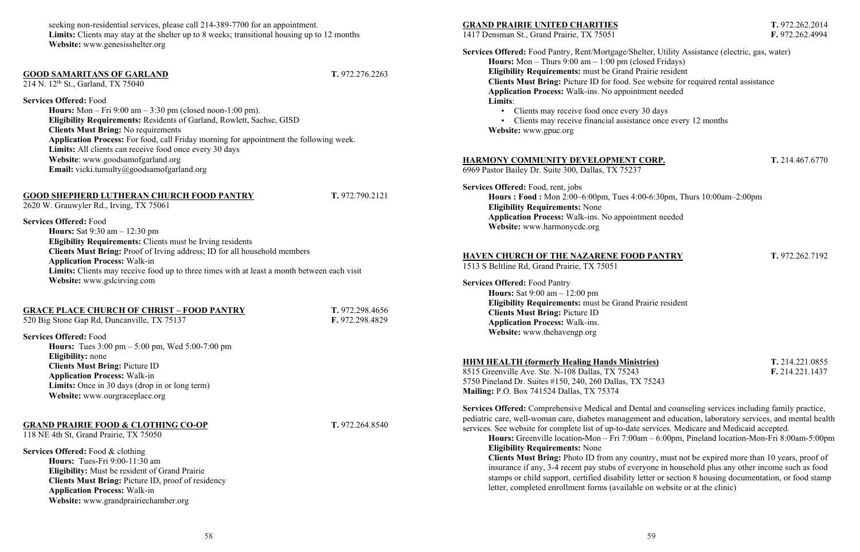| ries)  | T. 214.221.0855 |
|--------|-----------------|
|        | F. 214.221.1437 |
| 752/13 |                 |

seeking non-residential services, please call 214-389-7700 for an appointment. **Limits:** Clients may stay at the shelter up to 8 weeks; transitional housing up to 12 months **Website:** www.genesisshelter.org

### **GOOD SAMARITANS OF GARLAND T.** 972.276.2263

214 N. 12<sup>th</sup> St., Garland, TX 75040

**Services Offered:** Food

**Hours:** Mon – Fri 9:00 am – 3:30 pm (closed noon-1:00 pm). **Eligibility Requirements:** Residents of Garland, Rowlett, Sachse, GISD **Clients Must Bring:** No requirements **Application Process:** For food, call Friday morning for appointment the following week. **Limits:** All clients can receive food once every 30 days **Website**: www.goodsamofgarland.org **Email:** vicki.tumulty@goodsamofgarland.org

### **GOOD SHEPHERD LUTHERAN CHURCH FOOD PANTRY T.** 972.790.2121

2620 W. Grauwyler Rd., Irving, TX 75061

### **Services Offered:** Food

**Hours:** Sat 9:30 am – 12:30 pm **Eligibility Requirements:** Clients must be Irving residents **Clients Must Bring:** Proof of Irving address; ID for all household members **Application Process:** Walk-in Limits: Clients may receive food up to three times with at least a month between each visit **Website:** www.gslcirving.com

### **GRACE PLACE CHURCH OF CHRIST – FOOD PANTRY T.** 972.298.4656

520 Big Stone Gap Rd, Duncanville, TX 75137 **F.** 972.298.4829

### **Services Offered:** Food

**Hours:** Tues 3:00 pm – 5:00 pm, Wed 5:00-7:00 pm **Eligibility:** none **Clients Must Bring:** Picture ID **Application Process:** Walk-in **Limits:** Once in 30 days (drop in or long term) **Website:** www.ourgraceplace.org

### **GRAND PRAIRIE FOOD & CLOTHING CO-OP T.** 972.264.8540

118 NE 4th St, Grand Prairie, TX 75050

8515 Greenville Ave. Ste. N-108 Dallas, TX 75243 5750 Pineland Dr. Suites #150, 240, 260 Dallas, TX 75243 **Mailing:** P.O. Box 741524 Dallas, TX 75374

**Services Offered:** Food & clothing **Hours:** Tues-Fri 9:00-11:30 am **Eligibility:** Must be resident of Grand Prairie **Clients Must Bring:** Picture ID, proof of residency **Application Process:** Walk-in **Website:** www.grandprairiechamber.org

### **GRAND PRAIRIE UNITED CHARITIES T.** 972.262.2014

1417 Densman St., Grand Prairie, TX 75051 **F.** 972.262.4994

- **Services Offered:** Food Pantry, Rent/Mortgage/Shelter, Utility Assistance (electric, gas, water)
	- **Hours:** Mon Thurs 9:00 am 1:00 pm (closed Fridays) **Eligibility Requirements:** must be Grand Prairie resident **Clients Must Bring:** Picture ID for food. See website for required rental assistance **Application Process:** Walk-ins. No appointment needed **Limits**:
		- Clients may receive food once every 30 days
		- Clients may receive financial assistance once every 12 months
	- **Website:** www.gpuc.org

### **HARMONY COMMUNITY DEVELOPMENT CORP. T.** 214.467.6770

6969 Pastor Bailey Dr. Suite 300, Dallas, TX 75237

**Services Offered:** Food, rent, jobs **Hours : Food :** Mon 2:00–6:00pm, Tues 4:00-6:30pm, Thurs 10:00am–2:00pm **Eligibility Requirements:** None **Application Process:** Walk-ins. No appointment needed **Website:** www.harmonycdc.org

### **HAVEN CHURCH OF THE NAZARENE FOOD PANTRY T.** 972.262.7192

1513 S Beltline Rd, Grand Prairie, TX 75051

**Services Offered:** Food Pantry **Hours:** Sat 9:00 am – 12:00 pm **Eligibility Requirements:** must be Grand Prairie resident **Clients Must Bring:** Picture ID **Application Process:** Walk-ins. **Website:** www.thehavengp.org

### **HHM HEALTH (formerly Healing Hands Minist)**

**Services Offered:** Comprehensive Medical and Dental and counseling services including family practice, pediatric care, well-woman care, diabetes management and education, laboratory services, and mental health services. See website for complete list of up-to-date services. Medicare and Medicaid accepted. **Hours:** Greenville location**-**Mon – Fri 7:00am – 6:00pm, Pineland location-Mon-Fri 8:00am-5:00pm

**Eligibility Requirements:** None **Clients Must Bring:** Photo ID from any country, must not be expired more than 10 years, proof of insurance if any, 3-4 recent pay stubs of everyone in household plus any other income such as food stamps or child support, certified disability letter or section 8 housing documentation, or food stamp letter, completed enrollment forms (available on website or at the clinic)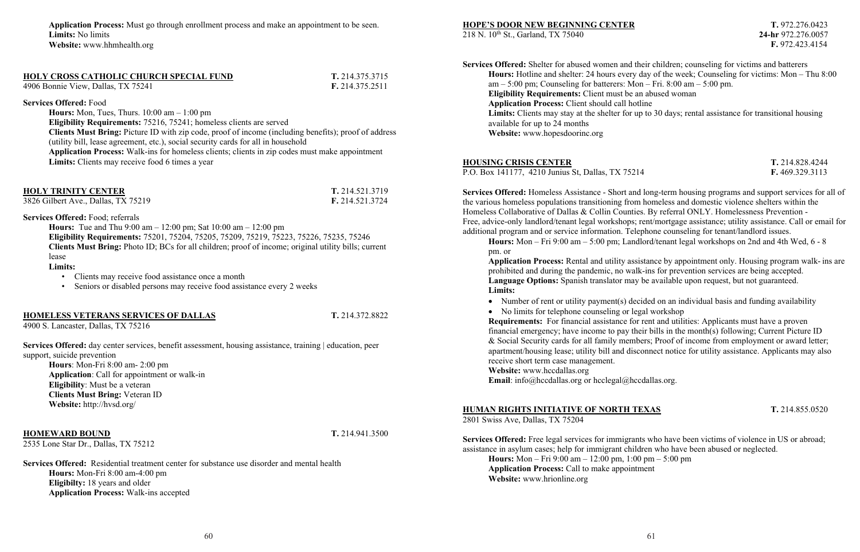**Application Process:** Must go through enrollment process and make an appointment to be seen. **Limits:** No limits **Website:** www.hhmhealth.org

| <b>HOLY CROSS CATHOLIC CHURCH SPECIAL FUND</b> | T. 214.375.3715 |
|------------------------------------------------|-----------------|
| 4906 Bonnie View, Dallas, TX 75241             | F. 214.375.2511 |

**Services Offered:** Food

**Hours:** Mon, Tues, Thurs. 10:00 am – 1:00 pm **Eligibility Requirements:** 75216, 75241; homeless clients are served **Clients Must Bring:** Picture ID with zip code, proof of income (including benefits); proof of address (utility bill, lease agreement, etc.), social security cards for all in household **Application Process:** Walk-ins for homeless clients; clients in zip codes must make appointment **Limits:** Clients may receive food 6 times a year

| <b>HOLY TRINITY CENTER</b>          | T. 214.521.3719 |
|-------------------------------------|-----------------|
| 3826 Gilbert Ave., Dallas, TX 75219 | F. 214.521.3724 |

**Services Offered:** Food; referrals

**Hours:** Tue and Thu 9:00 am – 12:00 pm; Sat 10:00 am – 12:00 pm **Eligibility Requirements:** 75201, 75204, 75205, 75209, 75219, 75223, 75226, 75235, 75246 **Clients Must Bring:** Photo ID; BCs for all children; proof of income; original utility bills; current lease

**Limits:**

• Clients may receive food assistance once a month

• Seniors or disabled persons may receive food assistance every 2 weeks

### **HOMELESS VETERANS SERVICES OF DALLAS T.** 214.372.8822

4900 S. Lancaster, Dallas, TX 75216

**Services Offered:** day center services, benefit assessment, housing assistance, training | education, peer support, suicide prevention

**Hours**: Mon-Fri 8:00 am- 2:00 pm **Application**: Call for appointment or walk-in **Eligibility**: Must be a veteran **Clients Must Bring:** Veteran ID **Website:** http://hvsd.org/

### **HOMEWARD BOUND T.** 214.941.3500

2535 Lone Star Dr., Dallas, TX 75212

**Services Offered:** Residential treatment center for substance use disorder and mental health **Hours:** Mon-Fri 8:00 am-4:00 pm **Eligibilty:** 18 years and older **Application Process:** Walk-ins accepted

### **HOPE'S DOOR NEW BEGINNING CENTER T.** 972.276.0423

218 N. 10th St., Garland, TX 75040 **24-hr** 972.276.0057

**F.** 972.423.4154

• No limits for telephone counseling or legal workshop **Requirements:** For financial assistance for rent and utilities: Applicants must have a proven financial emergency; have income to pay their bills in the month(s) following; Current Picture ID & Social Security cards for all family members; Proof of income from employment or award letter; apartment/housing lease; utility bill and disconnect notice for utility assistance. Applicants may also receive short term case management. **Website:** www.hccdallas.org

Email: info@hccdallas.org or hcclegal@hccdallas.org.

**Services Offered:** Shelter for abused women and their children; counseling for victims and batterers am – 5:00 pm; Counseling for batterers: Mon – Fri. 8:00 am – 5:00 pm. **Eligibility Requirements:** Client must be an abused woman **Application Process:** Client should call hotline available for up to 24 months **Website:** www.hopesdoorinc.org

**Hours:** Hotline and shelter: 24 hours every day of the week; Counseling for victims: Mon – Thu 8:00 **Limits:** Clients may stay at the shelter for up to 30 days; rental assistance for transitional housing

• Number of rent or utility payment(s) decided on an individual basis and funding availability

### **HOUSING CRISIS CENTER T.** 214.828.4244

P.O. Box 141177, 4210 Junius St, Dallas, TX 75214 **F.** 469.329.3113

**Services Offered:** Homeless Assistance - Short and long-term housing programs and support services for all of the various homeless populations transitioning from homeless and domestic violence shelters within the Homeless Collaborative of Dallas & Collin Counties. By referral ONLY. Homelessness Prevention - Free, advice-only landlord/tenant legal workshops; rent/mortgage assistance; utility assistance. Call or email for additional program and or service information. Telephone counseling for tenant/landlord issues. **Hours:** Mon – Fri 9:00 am – 5:00 pm; Landlord/tenant legal workshops on 2nd and 4th Wed, 6 - 8

pm. or

**Application Process:** Rental and utility assistance by appointment only. Housing program walk- ins are prohibited and during the pandemic, no walk-ins for prevention services are being accepted. **Language Options:** Spanish translator may be available upon request, but not guaranteed. **Limits:**

### **HUMAN RIGHTS INITIATIVE OF NORTH TEXAS T.** 214.855.0520

2801 Swiss Ave, Dallas, TX 75204

**Services Offered:** Free legal services for immigrants who have been victims of violence in US or abroad; assistance in asylum cases; help for immigrant children who have been abused or neglected. **Hours:** Mon – Fri 9:00 am – 12:00 pm, 1:00 pm – 5:00 pm **Application Process:** Call to make appointment **Website:** www.hrionline.org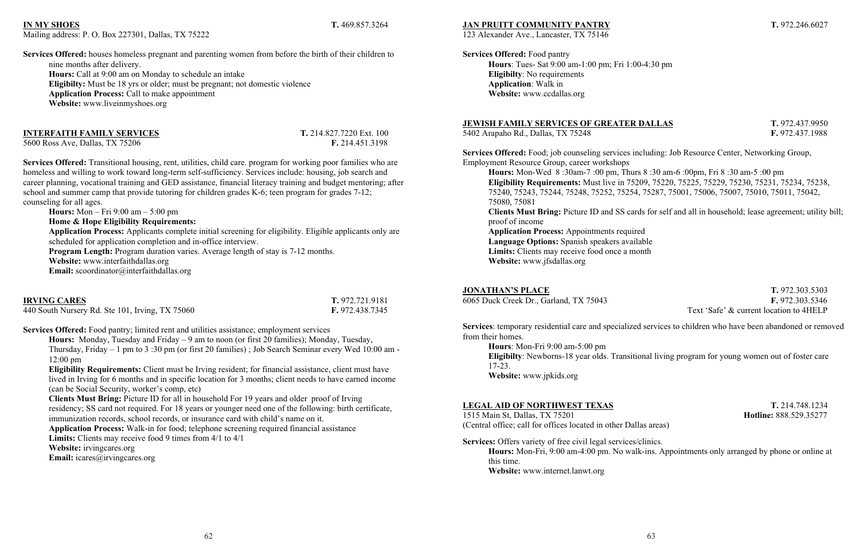### **IN MY SHOES T.** 469.857.3264

Mailing address: P. O. Box 227301, Dallas, TX 75222

**Services Offered:** houses homeless pregnant and parenting women from before the birth of their children to nine months after delivery. **Hours:** Call at 9:00 am on Monday to schedule an intake **Eligibilty:** Must be 18 yrs or older; must be pregnant; not domestic violence **Application Process:** Call to make appointment **Website:** www.liveinmyshoes.org

**INTERFAITH FAMILY SERVICES** T. 214.827.7220 Ext. 100

5600 Ross Ave, Dallas, TX 75206 **F.** 214.451.3198

**Services Offered:** Transitional housing, rent, utilities, child care. program for working poor families who are homeless and willing to work toward long-term self-sufficiency. Services include: housing, job search and career planning, vocational training and GED assistance, financial literacy training and budget mentoring; after school and summer camp that provide tutoring for children grades K-6; teen program for grades 7-12; counseling for all ages.

 **Hours:** Mon – Fri 9:00 am – 5:00 pm

**Home & Hope Eligibility Requirements:**

 **Application Process:** Applicants complete initial screening for eligibility. Eligible applicants only are scheduled for application completion and in-office interview.

**Program Length:** Program duration varies. Average length of stay is 7-12 months.

**Website:** www.interfaithdallas.org

**Email:** scoordinator@interfaithdallas.org

| <b>IRVING CARES</b>                             | T. 972.721.9181 |
|-------------------------------------------------|-----------------|
| 440 South Nursery Rd. Ste 101, Irving, TX 75060 | F. 972.438.7345 |

**Services Offered:** Food pantry; limited rent and utilities assistance; employment services

**Hours:** Monday, Tuesday and Friday – 9 am to noon (or first 20 families); Monday, Tuesday, Thursday, Friday – 1 pm to 3 :30 pm (or first 20 families) ; Job Search Seminar every Wed 10:00 am - 12:00 pm

**Eligibility Requirements:** Client must be Irving resident; for financial assistance, client must have lived in Irving for 6 months and in specific location for 3 months; client needs to have earned income (can be Social Security, worker's comp, etc)

**Clients Must Bring:** Picture ID for all in household For 19 years and older proof of Irving residency; SS card not required. For 18 years or younger need one of the following: birth certificate, immunization records, school records, or insurance card with child's name on it.

**Application Process:** Walk-in for food; telephone screening required financial assistance

**Limits:** Clients may receive food 9 times from 4/1 to 4/1

**Website:** irvingcares.org

**Email:** icares@irvingcares.org

### **JAN PRUITT COMMUNITY PANTRY T.** 972.246.6027

123 Alexander Ave., Lancaster, TX 75146

**Services Offered:** Food pantry **Hours**: Tues- Sat 9:00 am-1:00 pm; Fri 1:00-4:30 pm **Eligibilty**: No requirements **Application**: Walk in **Website:** www.ccdallas.org

### **JEWISH FAMILY SERVICES OF GREATER DALLAS T.** 972.437.9950

5402 Arapaho Rd., Dallas, TX 75248 **F.** 972.437.1988

**Services Offered:** Food; job counseling services including: Job Resource Center, Networking Group, Employment Resource Group, career workshops

**Hours:** Mon-Wed 8 :30am-7 :00 pm, Thurs 8 :30 am-6 :00pm, Fri 8 :30 am-5 :00 pm **Eligibility Requirements:** Must live in 75209, 75220, 75225, 75229, 75230, 75231, 75234, 75238, 75240, 75243, 75244, 75248, 75252, 75254, 75287, 75001, 75006, 75007, 75010, 75011, 75042, 75080, 75081

**Clients Must Bring:** Picture ID and SS cards for self and all in household; lease agreement; utility bill; proof of income

**Application Process:** Appointments required **Language Options:** Spanish speakers available **Limits:** Clients may receive food once a month **Website:** www.jfsdallas.org

### **JONATHAN'S PLACE T.** 972.303.5303 6065 Duck Creek Dr., Garland, TX 75043 **F.** 972.303.5346 Text 'Safe' & current location to 4HELP

**Services**: temporary residential care and specialized services to children who have been abandoned or removed from their homes.

**Hours**: Mon-Fri 9:00 am-5:00 pm **Eligibilty**: Newborns-18 year olds. Transitional living program for young women out of foster care 17-23. **Website:** www.jpkids.org

### **LEGAL AID OF NORTHWEST TEXAS T.** 214.748.1234

1515 Main St, Dallas, TX 75201 **Hotline:** 888.529.35277 (Central office; call for offices located in other Dallas areas)

**Services:** Offers variety of free civil legal services/clinics. **Hours:** Mon-Fri, 9:00 am-4:00 pm. No walk-ins. Appointments only arranged by phone or online at this time. **Website:** www.internet.lanwt.org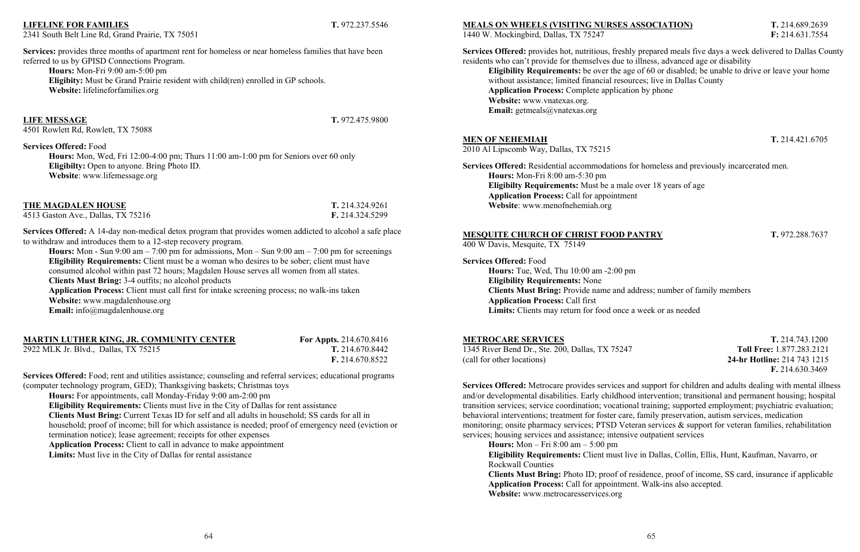### **LIFELINE FOR FAMILIES T.** 972.237.5546

2341 South Belt Line Rd, Grand Prairie, TX 75051

referred to us by GPISD Connections Program. **Hours:** Mon-Fri 9:00 am-5:00 pm

**Eligibity:** Must be Grand Prairie resident with child(ren) enrolled in GP schools.

**Website:** lifelineforfamilies.org

**LIFE MESSAGE T.** 972.475.9800

4501 Rowlett Rd, Rowlett, TX 75088

**Services Offered:** Food

**Hours:** Mon, Wed, Fri 12:00-4:00 pm; Thurs 11:00 am-1:00 pm for Seniors over 60 only

**Eligibilty:** Open to anyone. Bring Photo ID.

**Website**: www.lifemessage.org

**THE MAGDALEN HOUSE T.** 214.324.9261

Services: provides three months of apartment rent for homeless or near homeless families that have been

4513 Gaston Ave., Dallas, TX 75216 **F.** 214.324.5299 **Services Offered:** A 14-day non-medical detox program that provides women addicted to alcohol a safe place

to withdraw and introduces them to a 12-step recovery program. **Hours:** Mon - Sun 9:00 am – 7:00 pm for admissions, Mon – Sun 9:00 am – 7:00 pm for screenings

**Eligibility Requirements:** Client must be a woman who desires to be sober; client must have consumed alcohol within past 72 hours; Magdalen House serves all women from all states. **Clients Must Bring:** 3-4 outfits; no alcohol products

**Application Process:** Client must call first for intake screening process; no walk-ins taken **Website:** www.magdalenhouse.org

### **MARTIN LUTHER KING, JR. COMMUNITY CENTER For Appts.** 214.670.8416

2922 MLK Jr. Blvd., Dallas, TX 75215 **T.** 214.670.8442

**F.** 214.670.8522

**Services Offered:** Food; rent and utilities assistance; counseling and referral services; educational programs

(computer technology program, GED); Thanksgiving baskets; Christmas toys **Hours:** For appointments, call Monday-Friday 9:00 am-2:00 pm **Eligibility Requirements:** Clients must live in the City of Dallas for rent assistance **Clients Must Bring:** Current Texas ID for self and all adults in household; SS cards for all in household; proof of income; bill for which assistance is needed; proof of emergency need (eviction or termination notice); lease agreement; receipts for other expenses **Application Process:** Client to call in advance to make appointment **Limits:** Must live in the City of Dallas for rental assistance

Email: info@magdalenhouse.org

### **MEALS ON WHEELS (VISITING NURSES ASSOCIATION) T.** 214.689.2639

1440 W. Mockingbird, Dallas, TX 75247 **F:** 214.631.7554

**Services Offered:** provides hot, nutritious, freshly prepared meals five days a week delivered to Dallas County residents who can't provide for themselves due to illness, advanced age or disability **Eligibility Requirements:** be over the age of 60 or disabled; be unable to drive or leave your home without assistance; limited financial resources; live in Dallas County **Application Process:** Complete application by phone **Website:** www.vnatexas.org. **Email:** getmeals@vnatexas.org

### **MEN OF NEHEMIAH T.** 214.421.6705

2010 Al Lipscomb Way, Dallas, TX 75215

**Services Offered:** Residential accommodations for homeless and previously incarcerated men. **Hours:** Mon-Fri 8:00 am-5:30 pm **Eligibilty Requirements:** Must be a male over 18 years of age **Application Process:** Call for appointment **Website**: www.menofnehemiah.org

### **MESQUITE CHURCH OF CHRIST FOOD PANTRY T.** 972.288.7637

400 W Davis, Mesquite, TX 75149

**Services Offered:** Food **Hours:** Tue, Wed, Thu 10:00 am -2:00 pm **Eligibility Requirements:** None **Clients Must Bring:** Provide name and address; number of family members **Application Process:** Call first **Limits:** Clients may return for food once a week or as needed

**METROCARE SERVICES T.** 214.743.1200 **F.** 214.630.3469

1345 River Bend Dr., Ste. 200, Dallas, TX 75247 **Toll Free:** 1.877.283.2121 (call for other locations) **24-hr Hotline:** 214 743 1215

**Services Offered:** Metrocare provides services and support for children and adults dealing with mental illness and/or developmental disabilities. Early childhood intervention; transitional and permanent housing; hospital transition services; service coordination; vocational training; supported employment; psychiatric evaluation; behavioral interventions; treatment for foster care, family preservation, autism services, medication monitoring; onsite pharmacy services; PTSD Veteran services & support for veteran families, rehabilitation services; housing services and assistance; intensive outpatient services

**Hours:** Mon – Fri 8:00 am – 5:00 pm **Eligibility Requirements:** Client must live in Dallas, Collin, Ellis, Hunt, Kaufman, Navarro, or Rockwall Counties **Clients Must Bring:** Photo ID; proof of residence, proof of income, SS card, insurance if applicable **Application Process:** Call for appointment. Walk-ins also accepted. **Website:** www.metrocaresservices.org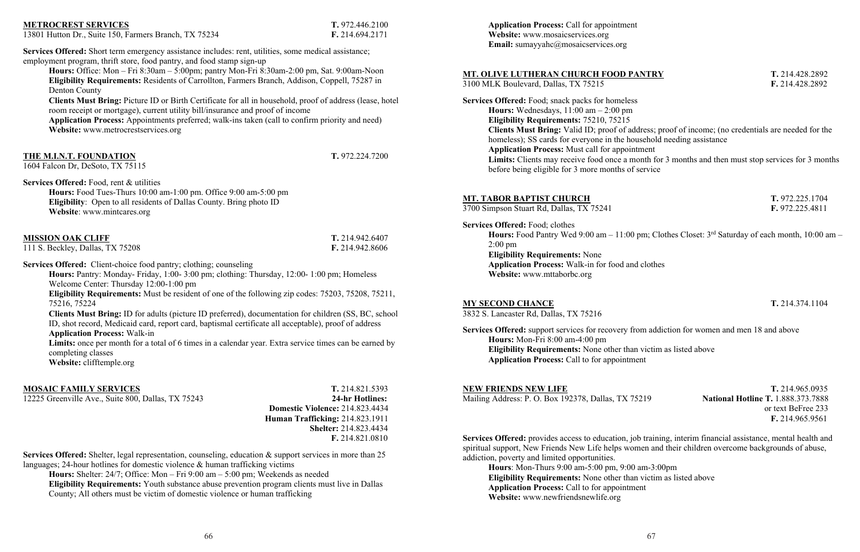### **METROCREST SERVICES T.** 972.446.2100

13801 Hutton Dr., Suite 150, Farmers Branch, TX 75234 **F.** 214.694.2171

**Services Offered:** Short term emergency assistance includes: rent, utilities, some medical assistance; employment program, thrift store, food pantry, and food stamp sign-up

**Hours:** Office: Mon – Fri 8:30am – 5:00pm; pantry Mon-Fri 8:30am-2:00 pm, Sat. 9:00am-Noon **Eligibility Requirements:** Residents of Carrollton, Farmers Branch, Addison, Coppell, 75287 in Denton County

**Clients Must Bring:** Picture ID or Birth Certificate for all in household, proof of address (lease, hotel room receipt or mortgage), current utility bill/insurance and proof of income

**Application Process:** Appointments preferred; walk-ins taken (call to confirm priority and need) **Website:** www.metrocrestservices.org

### **THE M.I.N.T. FOUNDATION T.** 972.224.7200

1604 Falcon Dr, DeSoto, TX 75115

**Services Offered:** Food, rent & utilities

**Hours:** Food Tues-Thurs 10:00 am-1:00 pm. Office 9:00 am-5:00 pm **Eligibility**: Open to all residents of Dallas County. Bring photo ID **Website**: www.mintcares.org

### **MISSION OAK CLIFF T.** 214.942.6407

111 S. Beckley, Dallas, TX 75208 **F.** 214.942.8606

**Services Offered:** Client-choice food pantry; clothing; counseling

**Application Process:** Call for appointment **Website:** www.mosaicservices.org Email: sumayyahc@mosaicservices.org

**Hours:** Pantry: Monday- Friday, 1:00- 3:00 pm; clothing: Thursday, 12:00- 1:00 pm; Homeless Welcome Center: Thursday 12:00-1:00 pm

**Eligibility Requirements:** Must be resident of one of the following zip codes: 75203, 75208, 75211, 75216, 75224

**Clients Must Bring:** ID for adults (picture ID preferred), documentation for children (SS, BC, school ID, shot record, Medicaid card, report card, baptismal certificate all acceptable), proof of address **Application Process:** Walk-in

**Limits:** once per month for a total of 6 times in a calendar year. Extra service times can be earned by completing classes

**Website:** clifftemple.org

### **MOSAIC FAMILY SERVICES T.** 214.821.5393

12225 Greenville Ave., Suite 800, Dallas, TX 75243 **24-hr Hotlines:**

 **Domestic Violence:** 214.823.4434 **Human Trafficking:** 214.823.1911 **Shelter:** 214.823.4434 **F.** 214.821.0810

**Services Offered:** Shelter, legal representation, counseling, education & support services in more than 25 languages; 24-hour hotlines for domestic violence & human trafficking victims

**Hours:** Shelter: 24/7; Office: Mon – Fri 9:00 am – 5:00 pm; Weekends as needed **Eligibility Requirements:** Youth substance abuse prevention program clients must live in Dallas County; All others must be victim of domestic violence or human trafficking

### **MT. OLIVE LUTHERAN CHURCH FOOD PANTRY T.** 214.428.2892

3100 MLK Boulevard, Dallas, TX 75215 **F.** 214.428.2892

**Services Offered:** Food; snack packs for homeless **Hours:** Wednesdays, 11:00 am – 2:00 pm **Eligibility Requirements:** 75210, 75215 **Clients Must Bring:** Valid ID; proof of address; proof of income; (no credentials are needed for the homeless); SS cards for everyone in the household needing assistance **Application Process:** Must call for appointment **Limits:** Clients may receive food once a month for 3 months and then must stop services for 3 months before being eligible for 3 more months of service

**MT. TABOR BAPTIST CHURCH T.** 972.225.1704

3700 Simpson Stuart Rd, Dallas, TX 75241 **F.** 972.225.4811

## **Services Offered:** Food; clothes

**Hours:** Food Pantry Wed 9:00 am – 11:00 pm; Clothes Closet: 3rd Saturday of each month, 10:00 am – 2:00 pm **Eligibility Requirements:** None **Application Process:** Walk-in for food and clothes **Website:** www.mttaborbc.org

### **MY SECOND CHANCE T.** 214.374.1104

3832 S. Lancaster Rd, Dallas, TX 75216

**Services Offered:** support services for recovery from addiction for women and men 18 and above **Hours:** Mon-Fri 8:00 am-4:00 pm **Eligibility Requirements:** None other than victim as listed above **Application Process:** Call to for appointment

### **NEW FRIENDS NEW LIFE T.** 214.965.0935 Mailing Address: P. O. Box 192378, Dallas, TX 75219 **National Hotline T.** 1.888.373.7888 or text BeFree 233 **F.** 214.965.9561

**Services Offered:** provides access to education, job training, interim financial assistance, mental health and spiritual support, New Friends New Life helps women and their children overcome backgrounds of abuse, addiction, poverty and limited opportunities.

**Hours**: Mon-Thurs 9:00 am-5:00 pm, 9:00 am-3:00pm **Eligibility Requirements:** None other than victim as listed above **Application Process:** Call to for appointment **Website:** www.newfriendsnewlife.org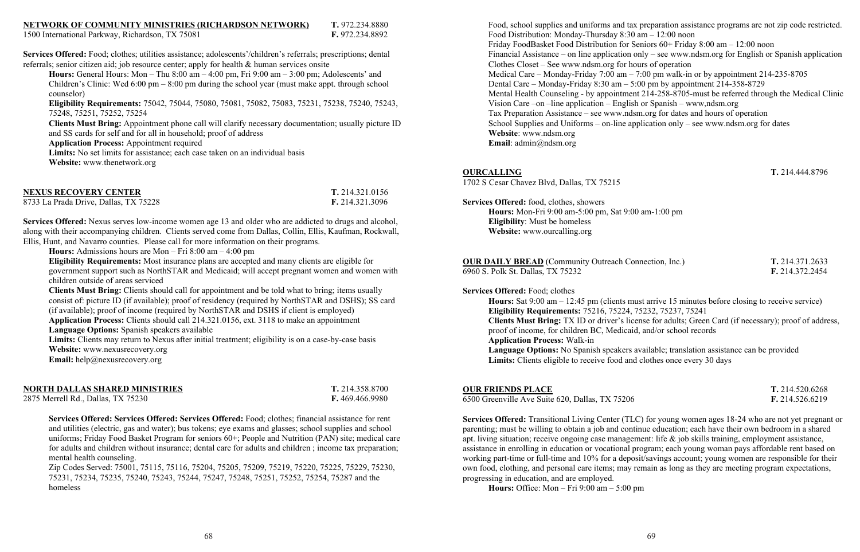### **NETWORK OF COMMUNITY MINISTRIES (RICHARDSON NETWORK) T.** 972.234.8880

1500 International Parkway, Richardson, TX 75081 **F.** 972.234.8892

**Services Offered:** Food; clothes; utilities assistance; adolescents'/children's referrals; prescriptions; dental referrals; senior citizen aid; job resource center; apply for health & human services onsite

**Hours:** General Hours: Mon – Thu 8:00 am – 4:00 pm, Fri 9:00 am – 3:00 pm; Adolescents' and Children's Clinic: Wed  $6:00 \text{ pm} - 8:00 \text{ pm}$  during the school year (must make appt. through school counselor)

**Eligibility Requirements:** 75042, 75044, 75080, 75081, 75082, 75083, 75231, 75238, 75240, 75243, 75248, 75251, 75252, 75254

**Services Offered:** Nexus serves low-income women age 13 and older who are addicted to drugs and alcohol, along with their accompanying children. Clients served come from Dallas, Collin, Ellis, Kaufman, Rockwall, Ellis, Hunt, and Navarro counties. Please call for more information on their programs.

**Clients Must Bring:** Appointment phone call will clarify necessary documentation; usually picture ID and SS cards for self and for all in household; proof of address

**Application Process:** Appointment required

**Limits:** No set limits for assistance; each case taken on an individual basis

**Website:** www.thenetwork.org

| <b>NEXUS RECOVERY CENTER</b>          | T. 214.321.0156 |
|---------------------------------------|-----------------|
| 8733 La Prada Drive, Dallas, TX 75228 | F. 214.321.3096 |

Limits: Clients may return to Nexus after initial treatment; eligibility is on a case-by-case basis **Website:** www.nexusrecovery.org

**Hours:** Admissions hours are Mon – Fri 8:00 am – 4:00 pm

Food, school supplies and uniforms and tax preparation assistance programs are not zip code restricted. Food Distribution: Monday-Thursday 8:30 am – 12:00 noon Friday FoodBasket Food Distribution for Seniors 60+ Friday 8:00 am – 12:00 noon Financial Assistance – on line application only – see www.ndsm.org for English or Spanish application Clothes Closet – See www.ndsm.org for hours of operation Medical Care – Monday-Friday 7:00 am – 7:00 pm walk-in or by appointment 214-235-8705 Dental Care – Monday-Friday 8:30 am – 5:00 pm by appointment 214-358-8729 Mental Health Counseling - by appointment 214-258-8705-must be referred through the Medical Clinic Vision Care –on –line application – English or Spanish – www,ndsm.org Tax Preparation Assistance – see www.ndsm.org for dates and hours of operation School Supplies and Uniforms – on-line application only – see www.ndsm.org for dates **Website**: www.ndsm.org **Email**: admin@ndsm.org

**Eligibility Requirements:** Most insurance plans are accepted and many clients are eligible for government support such as NorthSTAR and Medicaid; will accept pregnant women and women with children outside of areas serviced

**Clients Must Bring:** Clients should call for appointment and be told what to bring; items usually consist of: picture ID (if available); proof of residency (required by NorthSTAR and DSHS); SS card (if available); proof of income (required by NorthSTAR and DSHS if client is employed)

**Application Process:** Clients should call 214.321.0156, ext. 3118 to make an appointment

**Language Options:** Spanish speakers available

**Email:** help@nexusrecovery.org

| <b>NORTH DALLAS SHARED MINISTRIES</b> | T. 214.358.8700 |
|---------------------------------------|-----------------|
| 2875 Merrell Rd., Dallas, TX 75230    | F. 469.466.9980 |

**Services Offered: Services Offered: Services Offered:** Food; clothes; financial assistance for rent and utilities (electric, gas and water); bus tokens; eye exams and glasses; school supplies and school uniforms; Friday Food Basket Program for seniors 60+; People and Nutrition (PAN) site; medical care for adults and children without insurance; dental care for adults and children ; income tax preparation; mental health counseling.

Zip Codes Served: 75001, 75115, 75116, 75204, 75205, 75209, 75219, 75220, 75225, 75229, 75230, 75231, 75234, 75235, 75240, 75243, 75244, 75247, 75248, 75251, 75252, 75254, 75287 and the homeless

### **OURCALLING T.** 214.444.8796

1702 S Cesar Chavez Blvd, Dallas, TX 75215

**Services Offered:** food, clothes, showers **Hours:** Mon-Fri 9:00 am-5:00 pm, Sat 9:00 am-1:00 pm **Eligibility**: Must be homeless **Website:** www.ourcalling.org

**OUR DAILY BREAD** (Community Outreach Connection, Inc.) **T.** 214.371.2633 6960 S. Polk St. Dallas, TX 75232 **F.** 214.372.2454

**Services Offered:** Food; clothes

**Hours:** Sat 9:00 am – 12:45 pm (clients must arrive 15 minutes before closing to receive service) **Eligibility Requirements:** 75216, 75224, 75232, 75237, 75241 **Clients Must Bring:** TX ID or driver's license for adults; Green Card (if necessary); proof of address, proof of income, for children BC, Medicaid, and/or school records **Application Process:** Walk-in **Language Options:** No Spanish speakers available; translation assistance can be provided **Limits:** Clients eligible to receive food and clothes once every 30 days

**OUR FRIENDS PLACE T.** 214.520.6268

6500 Greenville Ave Suite 620, Dallas, TX 75206 **F.** 214.526.6219

**Services Offered:** Transitional Living Center (TLC) for young women ages 18-24 who are not yet pregnant or parenting; must be willing to obtain a job and continue education; each have their own bedroom in a shared apt. living situation; receive ongoing case management: life & job skills training, employment assistance, assistance in enrolling in education or vocational program; each young woman pays affordable rent based on working part-time or full-time and 10% for a deposit/savings account; young women are responsible for their own food, clothing, and personal care items; may remain as long as they are meeting program expectations, progressing in education, and are employed.

**Hours:** Office: Mon – Fri 9:00 am – 5:00 pm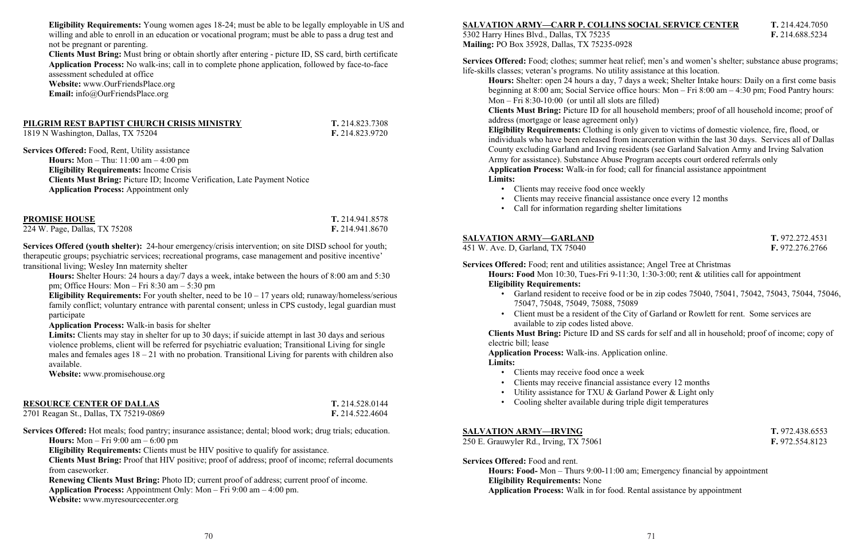**Eligibility Requirements:** Young women ages 18-24; must be able to be legally employable in US and willing and able to enroll in an education or vocational program; must be able to pass a drug test and not be pregnant or parenting.

**Clients Must Bring:** Must bring or obtain shortly after entering - picture ID, SS card, birth certificate **Application Process:** No walk-ins; call in to complete phone application, followed by face-to-face assessment scheduled at office **Website:** www.OurFriendsPlace.org

**Email:** info@OurFriendsPlace.org

### **PILGRIM REST BAPTIST CHURCH CRISIS MINISTRY T.** 214.823.7308

1819 N Washington, Dallas, TX 75204 **F.** 214.823.9720

**Services Offered:** Food, Rent, Utility assistance **Hours:** Mon – Thu: 11:00 am – 4:00 pm **Eligibility Requirements:** Income Crisis **Clients Must Bring:** Picture ID; Income Verification, Late Payment Notice **Application Process:** Appointment only

**Eligibility Requirements:** For youth shelter, need to be  $10 - 17$  years old; runaway/homeless/serious family conflict; voluntary entrance with parental consent; unless in CPS custody, legal guardian must participate

| <b>PROMISE HOUSE</b>          | T. 214.941.8578        |
|-------------------------------|------------------------|
| 224 W. Page, Dallas, TX 75208 | <b>F.</b> 214.941.8670 |

**Services Offered (youth shelter):** 24-hour emergency/crisis intervention; on site DISD school for youth; therapeutic groups; psychiatric services; recreational programs, case management and positive incentive' transitional living; Wesley Inn maternity shelter

**Hours:** Shelter Hours: 24 hours a day/7 days a week, intake between the hours of 8:00 am and 5:30 pm; Office Hours: Mon – Fri 8:30 am – 5:30 pm

**Application Process:** Walk-in basis for shelter

**Limits:** Clients may stay in shelter for up to 30 days; if suicide attempt in last 30 days and serious violence problems, client will be referred for psychiatric evaluation; Transitional Living for single males and females ages  $18 - 21$  with no probation. Transitional Living for parents with children also available.

**Website:** www.promisehouse.org

|--|

| 2701 Reagan St., Dallas, TX 75219-0869 |  |  |  |
|----------------------------------------|--|--|--|
|                                        |  |  |  |

**RESOURCE CENTER OF DALLAS T.** 214.528.0144 2701 Reagan St., Dallas, TX 75219-0869 **F.** 214.522.4604

**Services Offered:** Hot meals; food pantry; insurance assistance; dental; blood work; drug trials; education. **Hours:** Mon – Fri 9:00 am – 6:00 pm

**Eligibility Requirements:** Clients must be HIV positive to qualify for assistance.

**Clients Must Bring:** Proof that HIV positive; proof of address; proof of income; referral documents from caseworker.

**Renewing Clients Must Bring:** Photo ID; current proof of address; current proof of income. **Application Process:** Appointment Only: Mon – Fri 9:00 am – 4:00 pm. **Website:** www.myresourcecenter.org

### **SALVATION ARMY—CARR P. COLLINS SOCIAL SERVICE CENTER T.** 214.424.7050

5302 Harry Hines Blvd., Dallas, TX 75235 **F.** 214.688.5234 **Mailing:** PO Box 35928, Dallas, TX 75235-0928

**Services Offered:** Food; clothes; summer heat relief; men's and women's shelter; substance abuse programs; life-skills classes; veteran's programs. No utility assistance at this location.

**Hours:** Shelter: open 24 hours a day, 7 days a week; Shelter Intake hours: Daily on a first come basis beginning at 8:00 am; Social Service office hours: Mon – Fri 8:00 am – 4:30 pm; Food Pantry hours: Mon – Fri 8:30-10:00 (or until all slots are filled) **Clients Must Bring:** Picture ID for all household members; proof of all household income; proof of address (mortgage or lease agreement only) **Eligibility Requirements:** Clothing is only given to victims of domestic violence, fire, flood, or individuals who have been released from incarceration within the last 30 days. Services all of Dallas County excluding Garland and Irving residents (see Garland Salvation Army and Irving Salvation Army for assistance). Substance Abuse Program accepts court ordered referrals only **Application Process:** Walk-in for food; call for financial assistance appointment **Limits:**

- Clients may receive food once weekly
- Clients may receive financial assistance once every 12 months
- Call for information regarding shelter limitations

### **SALVATION ARMY—GARLAND T.** 972.272.4531

451 W. Ave. D, Garland, TX 75040 **F.** 972.276.2766

**Services Offered:** Food; rent and utilities assistance; Angel Tree at Christmas **Hours: Food** Mon 10:30, Tues-Fri 9-11:30, 1:30-3:00; rent & utilities call for appointment **Eligibility Requirements:**

• Garland resident to receive food or be in zip codes 75040, 75041, 75042, 75043, 75044, 75046,

• Client must be a resident of the City of Garland or Rowlett for rent. Some services are

- 75047, 75048, 75049, 75088, 75089
- available to zip codes listed above.

**Clients Must Bring:** Picture ID and SS cards for self and all in household; proof of income; copy of electric bill; lease

**Application Process:** Walk-ins. Application online. **Limits:**

- Clients may receive food once a week
- Clients may receive financial assistance every 12 months
- Utility assistance for TXU & Garland Power & Light only
- Cooling shelter available during triple digit temperatures

### **SALVATION ARMY—IRVING T.** 972.438.6553

250 E. Grauwyler Rd., Irving, TX 75061 **F.** 972.554.8123

**Services Offered:** Food and rent. **Hours: Food-** Mon – Thurs 9:00-11:00 am; Emergency financial by appointment **Eligibility Requirements:** None **Application Process:** Walk in for food. Rental assistance by appointment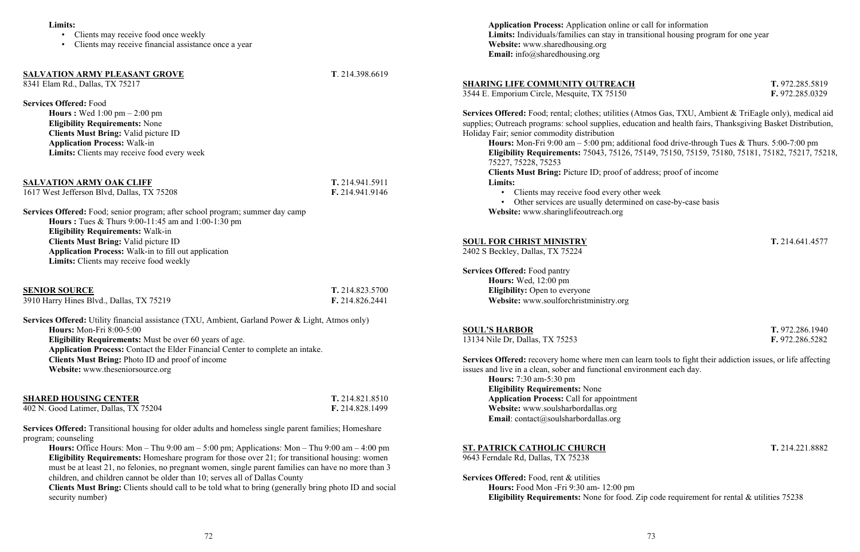### **Limits:**

- Clients may receive food once weekly
- Clients may receive financial assistance once a year

### **SALVATION ARMY PLEASANT GROVE T**. 214.398.6619

8341 Elam Rd., Dallas, TX 75217

**Services Offered:** Food

**Hours :** Wed 1:00 pm – 2:00 pm **Eligibility Requirements:** None **Clients Must Bring:** Valid picture ID **Application Process:** Walk-in **Limits:** Clients may receive food every week

**SALVATION ARMY OAK CLIFF T.** 214.941.5911

1617 West Jefferson Blvd, Dallas, TX 75208 **F.** 214.941.9146

**Services Offered:** Food; senior program; after school program; summer day camp **Hours :** Tues & Thurs 9:00-11:45 am and 1:00-1:30 pm **Eligibility Requirements:** Walk-in **Clients Must Bring:** Valid picture ID **Application Process:** Walk-in to fill out application **Limits:** Clients may receive food weekly

| <b>SENIOR SOURCE</b>                     | T. 214.823.5700 |
|------------------------------------------|-----------------|
| 3910 Harry Hines Blvd., Dallas, TX 75219 | F. 214.826.2441 |

**Services Offered:** Utility financial assistance (TXU, Ambient, Garland Power & Light, Atmos only) **Hours:** Mon-Fri 8:00-5:00 **Eligibility Requirements:** Must be over 60 years of age. **Application Process:** Contact the Elder Financial Center to complete an intake. **Clients Must Bring:** Photo ID and proof of income **Website:** www.theseniorsource.org

| <b>SHARED HOUSING CENTER</b>          | T. 214.821.8510 |
|---------------------------------------|-----------------|
| 402 N. Good Latimer, Dallas, TX 75204 | F. 214.828.1499 |

**Services Offered:** Transitional housing for older adults and homeless single parent families; Homeshare program; counseling

**Services Offered:** recovery home where men can learn tools to fight their addiction issues, or life affecting issues and live in a clean, sober and functional environment each day. **Hours:** 7:30 am-5:30 pm **Eligibility Requirements:** None **Application Process:** Call for appointment **Website:** www.soulsharbordallas.org **Email**: contact@soulsharbordallas.org

**Hours:** Office Hours: Mon – Thu 9:00 am – 5:00 pm; Applications: Mon – Thu 9:00 am – 4:00 pm **Eligibility Requirements:** Homeshare program for those over 21; for transitional housing: women must be at least 21, no felonies, no pregnant women, single parent families can have no more than 3 children, and children cannot be older than 10; serves all of Dallas County

**Clients Must Bring:** Clients should call to be told what to bring (generally bring photo ID and social security number)

**Application Process:** Application online or call for information **Limits:** Individuals/families can stay in transitional housing program for one year **Website:** www.sharedhousing.org **Email:** info@sharedhousing.org

### **SHARING LIFE COMMUNITY OUTREACH T.** 972.285.5819

3544 E. Emporium Circle, Mesquite, TX 75150 **F.** 972.285.0329

**Services Offered:** Food; rental; clothes; utilities (Atmos Gas, TXU, Ambient & TriEagle only), medical aid supplies; Outreach programs: school supplies, education and health fairs, Thanksgiving Basket Distribution, Holiday Fair; senior commodity distribution

**Hours:** Mon-Fri 9:00 am – 5:00 pm; additional food drive-through Tues & Thurs. 5:00-7:00 pm **Eligibility Requirements:** 75043, 75126, 75149, 75150, 75159, 75180, 75181, 75182, 75217, 75218, 75227, 75228, 75253

**Clients Must Bring:** Picture ID; proof of address; proof of income **Limits:**

• Clients may receive food every other week

• Other services are usually determined on case-by-case basis

**Website:** www.sharinglifeoutreach.org

### **SOUL FOR CHRIST MINISTRY T.** 214.641.4577

2402 S Beckley, Dallas, TX 75224

**Services Offered:** Food pantry **Hours:** Wed, 12:00 pm **Eligibility:** Open to everyone **Website:** www.soulforchristministry.org

### **SOUL'S HARBOR T.** 972.286.1940

13134 Nile Dr, Dallas, TX 75253 **F.** 972.286.5282

### **ST. PATRICK CATHOLIC CHURCH T.** 214.221.8882

9643 Ferndale Rd, Dallas, TX 75238

**Services Offered:** Food, rent & utilities **Hours:** Food Mon -Fri 9:30 am- 12:00 pm **Eligibility Requirements:** None for food. Zip code requirement for rental & utilities 75238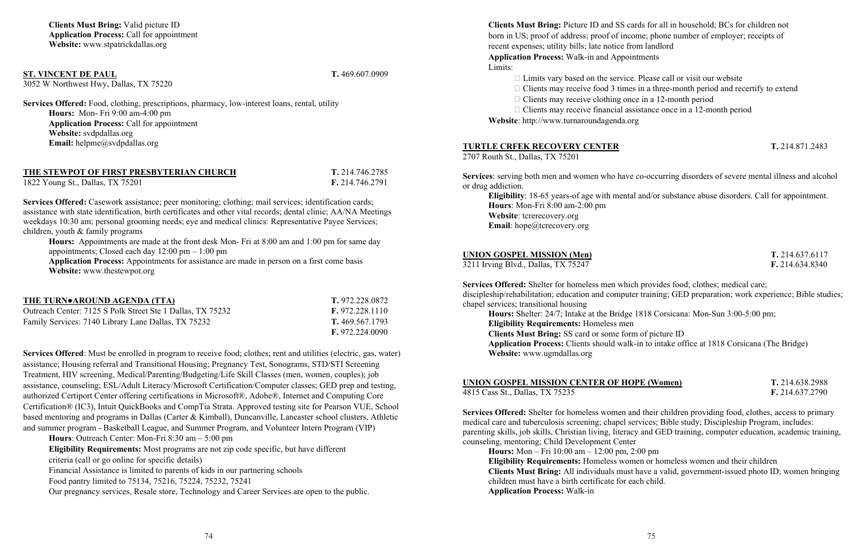### **ST. VINCENT DE PAUL T.** 469.607.0909

3052 W Northwest Hwy, Dallas, TX 75220

**Services Offered:** Food, clothing, prescriptions, pharmacy, low-interest loans, rental, utility **Hours:** Mon- Fri 9:00 am-4:00 pm **Application Process:** Call for appointment **Website:** svdpdallas.org **Email:** helpme@svdpdallas.org

**THE STEWPOT OF FIRST PRESBYTERIAN CHURCH T.** 214.746.2785

1822 Young St., Dallas, TX 75201 **F.** 214.746.2791

**Services Offered:** Casework assistance; peer monitoring; clothing; mail services; identification cards; assistance with state identification, birth certificates and other vital records; dental clinic; AA/NA Meetings weekdays 10:30 am; personal grooming needs; eye and medical clinics: Representative Payee Services; children, youth & family programs

**Hours:** Appointments are made at the front desk Mon- Fri at 8:00 am and 1:00 pm for same day appointments; Closed each day 12:00 pm – 1:00 pm

**Application Process:** Appointments for assistance are made in person on a first come basis **Website:** www.thestewpot.org

| THE TURN•AROUND AGENDA (TTA)                               | T. 972.228.0872            |
|------------------------------------------------------------|----------------------------|
| Outreach Center: 7125 S Polk Street Ste 1 Dallas, TX 75232 | $\mathbf{F.}$ 972.228.1110 |
| Family Services: 7140 Library Lane Dallas, TX 75232        | T. 469.567.1793            |
|                                                            | F. 972.224.0090            |

**Services Offered**: Must be enrolled in program to receive food; clothes; rent and utilities (electric, gas, water) assistance; Housing referral and Transitional Housing; Pregnancy Test, Sonograms, STD/STI Screening Treatment, HIV screening, Medical/Parenting/Budgeting/Life Skill Classes (men, women, couples); job assistance, counseling; ESL/Adult Literacy/Microsoft Certification/Computer classes; GED prep and testing, authorized Certiport Center offering certifications in Microsoft®, Adobe®, Internet and Computing Core Certification® (IC3), Intuit QuickBooks and CompTia Strata. Approved testing site for Pearson VUE, School based mentoring and programs in Dallas (Carter & Kimball), Duncanville, Lancaster school clusters, Athletic and summer program - Basketball League, and Summer Program, and Volunteer Intern Program (VIP)

**Hours**: Outreach Center: Mon-Fri 8:30 am – 5:00 pm **Eligibility Requirements:** Most programs are not zip code specific, but have different criteria (call or go online for specific details) Financial Assistance is limited to parents of kids in our partnering schools Food pantry limited to 75134, 75216, 75224, 75232, 75241 Our pregnancy services, Resale store, Technology and Career Services are open to the public. **Clients Must Bring:** Picture ID and SS cards for all in household; BCs for children not born in US; proof of address; proof of income; phone number of employer; receipts of recent expenses; utility bills; late notice from landlord **Application Process:** Walk-in and Appointments Limits:

 $\Box$  Limits vary based on the service. Please call or visit our website  $\Box$  Clients may receive food 3 times in a three-month period and recertify to extend  $\Box$  Clients may receive clothing once in a 12-month period  $\Box$  Clients may receive financial assistance once in a 12-month period

**Website**: http://www.turnaroundagenda.org

### **TURTLE CRFEK RECOVERY CENTER T.** 214.871.2483

2707 Routh St., Dallas, TX 75201

**Services**: serving both men and women who have co-occurring disorders of severe mental illness and alcohol or drug addiction.

**Eligibility**: 18-65 years-of age with mental and/or substance abuse disorders. Call for appointment. **Hours**: Mon-Fri 8:00 am-2:00 pm **Website**: tcrerecovery.org **Email**: hope@tcrecovery.org

### **UNION GOSPEL MISSION (Men) T.** 214.637.6117

3211 Irving Blvd., Dallas, TX 75247 **F.** 214.634.8340

**Services Offered:** Shelter for homeless men which provides food; clothes; medical care; discipleship/rehabilitation; education and computer training; GED preparation; work experience; Bible studies; chapel services; transitional housing

**Hours:** Shelter: 24/7; Intake at the Bridge 1818 Corsicana: Mon-Sun 3:00-5:00 pm; **Eligibility Requirements:** Homeless men **Clients Must Bring:** SS card or some form of picture ID **Application Process:** Clients should walk-in to intake office at 1818 Corsicana (The Bridge) **Website:** www.ugmdallas.org

**UNION GOSPEL MISSION CENTER OF HOPE (Women) T.** 214.638.2988

4815 Cass St., Dallas, TX 75235 **F.** 214.637.2790

**Services Offered:** Shelter for homeless women and their children providing food, clothes, access to primary medical care and tuberculosis screening; chapel services; Bible study; Discipleship Program, includes: parenting skills, job skills, Christian living, literacy and GED training, computer education, academic training, counseling, mentoring; Child Development Center

**Hours:** Mon – Fri 10:00 am – 12:00 pm, 2:00 pm **Eligibility Requirements:** Homeless women or homeless women and their children **Clients Must Bring:** All individuals must have a valid, government-issued photo ID; women bringing children must have a birth certificate for each child. **Application Process:** Walk-in